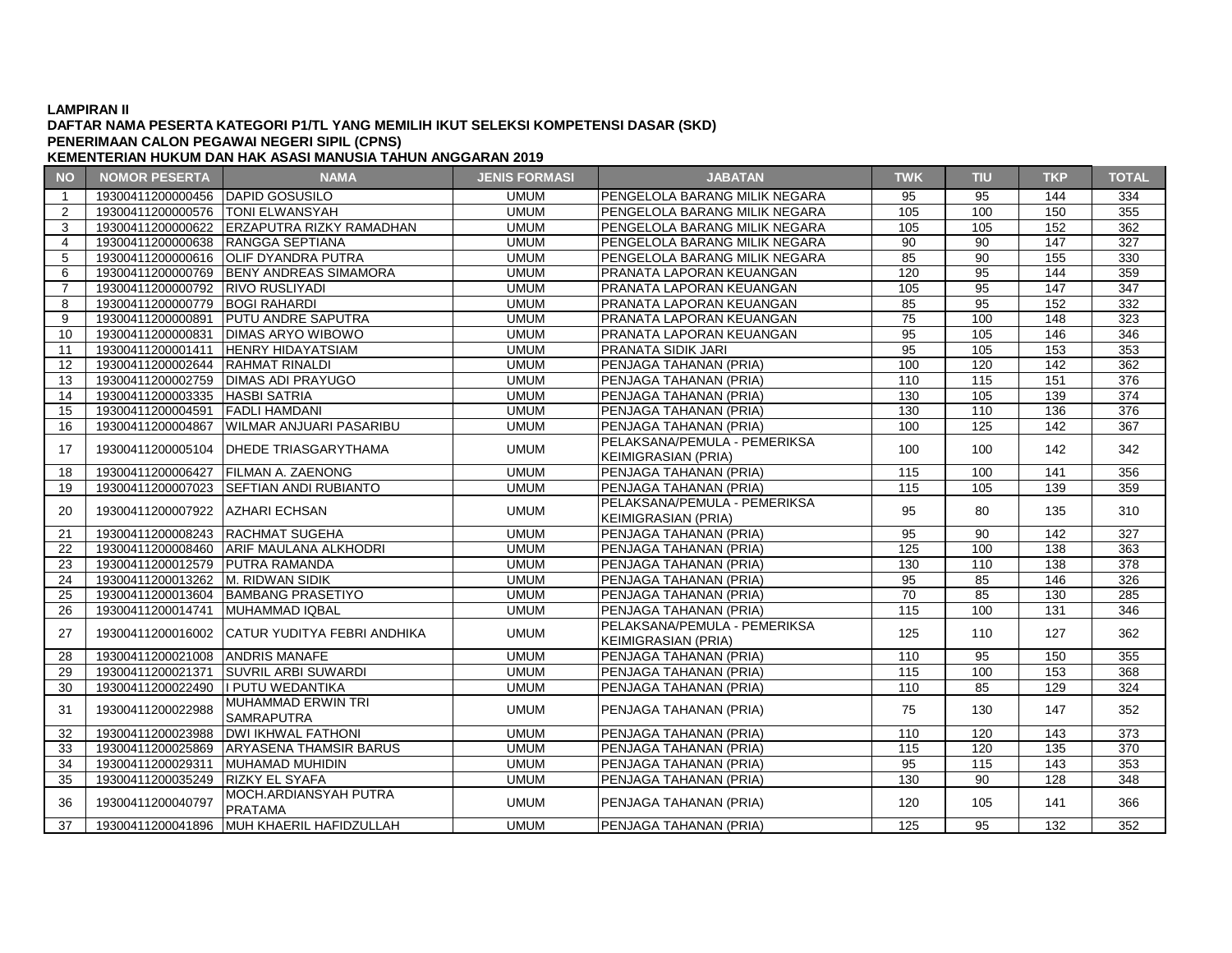### **DAFTAR NAMA PESERTA KATEGORI P1/TL YANG MEMILIH IKUT SELEKSI KOMPETENSI DASAR (SKD) PENERIMAAN CALON PEGAWAI NEGERI SIPIL (CPNS)**

| <b>NO</b>      | <b>NOMOR PESERTA</b>              | <b>NAMA</b>                                    | <b>JENIS FORMASI</b> | <b>JABATAN</b>                                             | <b>TWK</b>        | <b>TIU</b>        | <b>TKP</b>       | <b>TOTAL</b>     |
|----------------|-----------------------------------|------------------------------------------------|----------------------|------------------------------------------------------------|-------------------|-------------------|------------------|------------------|
| $\mathbf{1}$   | 19300411200000456 DAPID GOSUSILO  |                                                | <b>UMUM</b>          | PENGELOLA BARANG MILIK NEGARA                              | 95                | 95                | 144              | 334              |
| 2              | 19300411200000576 TONI ELWANSYAH  |                                                | <b>UMUM</b>          | PENGELOLA BARANG MILIK NEGARA                              | 105               | 100               | 150              | 355              |
| 3              |                                   | 19300411200000622 ERZAPUTRA RIZKY RAMADHAN     | <b>UMUM</b>          | PENGELOLA BARANG MILIK NEGARA                              | 105               | 105               | 152              | 362              |
| $\overline{4}$ | 19300411200000638 RANGGA SEPTIANA |                                                | <b>UMUM</b>          | PENGELOLA BARANG MILIK NEGARA                              | $\overline{90}$   | $\overline{90}$   | $\overline{147}$ | $\overline{327}$ |
| 5              |                                   | 19300411200000616 OLIF DYANDRA PUTRA           | <b>UMUM</b>          | PENGELOLA BARANG MILIK NEGARA                              | 85                | 90                | 155              | 330              |
| 6              |                                   | 19300411200000769 BENY ANDREAS SIMAMORA        | <b>UMUM</b>          | PRANATA LAPORAN KEUANGAN                                   | 120               | 95                | 144              | 359              |
| $\overline{7}$ | 19300411200000792 RIVO RUSLIYADI  |                                                | <b>UMUM</b>          | PRANATA LAPORAN KEUANGAN                                   | 105               | 95                | 147              | $\overline{347}$ |
| 8              | 19300411200000779 BOGI RAHARDI    |                                                | <b>UMUM</b>          | PRANATA LAPORAN KEUANGAN                                   | 85                | $\overline{95}$   | 152              | 332              |
| 9              | 19300411200000891                 | <b>PUTU ANDRE SAPUTRA</b>                      | <b>UMUM</b>          | PRANATA LAPORAN KEUANGAN                                   | 75                | 100               | 148              | 323              |
| 10             | 19300411200000831                 | <b>DIMAS ARYO WIBOWO</b>                       | <b>UMUM</b>          | PRANATA LAPORAN KEUANGAN                                   | 95                | 105               | 146              | 346              |
| 11             | 19300411200001411                 | <b>HENRY HIDAYATSIAM</b>                       | <b>UMUM</b>          | PRANATA SIDIK JARI                                         | 95                | 105               | 153              | 353              |
| 12             | 19300411200002644  RAHMAT RINALDI |                                                | <b>UMUM</b>          | PENJAGA TAHANAN (PRIA)                                     | 100               | 120               | 142              | 362              |
| 13             |                                   | 19300411200002759   DIMAS ADI PRAYUGO          | <b>UMUM</b>          | PENJAGA TAHANAN (PRIA)                                     | 110               | $\frac{115}{115}$ | 151              | $\overline{376}$ |
| 14             | 19300411200003335 HASBI SATRIA    |                                                | <b>UMUM</b>          | PENJAGA TAHANAN (PRIA)                                     | 130               | 105               | 139              | $\overline{374}$ |
| 15             | 19300411200004591                 | <b>FADLI HAMDANI</b>                           | <b>UMUM</b>          | PENJAGA TAHANAN (PRIA)                                     | 130               | 110               | 136              | 376              |
| 16             | 19300411200004867                 | <b>WILMAR ANJUARI PASARIBU</b>                 | <b>UMUM</b>          | PENJAGA TAHANAN (PRIA)                                     | 100               | 125               | 142              | $\overline{367}$ |
|                |                                   | 19300411200005104 DHEDE TRIASGARYTHAMA         | <b>UMUM</b>          | PELAKSANA/PEMULA - PEMERIKSA                               | 100               |                   | 142              | 342              |
| 17             |                                   |                                                |                      | <b>KEIMIGRASIAN (PRIA)</b>                                 |                   | 100               |                  |                  |
| 18             | 19300411200006427                 | <b>FILMAN A. ZAENONG</b>                       | <b>UMUM</b>          | PENJAGA TAHANAN (PRIA)                                     | 115               | 100               | 141              | 356              |
| 19             |                                   | 19300411200007023 SEFTIAN ANDI RUBIANTO        | <b>UMUM</b>          | PENJAGA TAHANAN (PRIA)                                     | 115               | 105               | 139              | 359              |
| 20             | 19300411200007922   AZHARI ECHSAN |                                                | <b>UMUM</b>          | PELAKSANA/PEMULA - PEMERIKSA<br><b>KEIMIGRASIAN (PRIA)</b> | 95                | 80                | 135              | 310              |
| 21             | 19300411200008243 RACHMAT SUGEHA  |                                                | <b>UMUM</b>          | PENJAGA TAHANAN (PRIA)                                     | 95                | 90                | 142              | 327              |
| 22             |                                   | 19300411200008460 ARIF MAULANA ALKHODRI        | <b>UMUM</b>          | PENJAGA TAHANAN (PRIA)                                     | 125               | 100               | 138              | 363              |
| 23             | 19300411200012579 PUTRA RAMANDA   |                                                | <b>UMUM</b>          | PENJAGA TAHANAN (PRIA)                                     | 130               | 110               | 138              | 378              |
| 24             | 19300411200013262 M. RIDWAN SIDIK |                                                | <b>UMUM</b>          | PENJAGA TAHANAN (PRIA)                                     | 95                | 85                | 146              | 326              |
| 25             |                                   | 19300411200013604   BAMBANG PRASETIYO          | <b>UMUM</b>          | PENJAGA TAHANAN (PRIA)                                     | 70                | 85                | 130              | 285              |
| 26             | 19300411200014741                 | MUHAMMAD IQBAL                                 | <b>UMUM</b>          | PENJAGA TAHANAN (PRIA)                                     | $\frac{115}{115}$ | 100               | $\frac{1}{131}$  | 346              |
|                |                                   |                                                |                      | PELAKSANA/PEMULA - PEMERIKSA                               |                   |                   |                  |                  |
| 27             |                                   | 19300411200016002 CATUR YUDITYA FEBRI ANDHIKA  | <b>UMUM</b>          | <b>KEIMIGRASIAN (PRIA)</b>                                 | 125               | 110               | 127              | 362              |
| 28             | 19300411200021008 ANDRIS MANAFE   |                                                | <b>UMUM</b>          | PENJAGA TAHANAN (PRIA)                                     | 110               | $\overline{95}$   | 150              | 355              |
| 29             | 19300411200021371                 | <b>SUVRIL ARBI SUWARDI</b>                     | <b>UMUM</b>          | PENJAGA TAHANAN (PRIA)                                     | 115               | 100               | 153              | 368              |
| 30             | 19300411200022490                 | I PUTU WEDANTIKA                               | <b>UMUM</b>          | PENJAGA TAHANAN (PRIA)                                     | 110               | 85                | 129              | 324              |
| 31             | 19300411200022988                 | <b>MUHAMMAD ERWIN TRI</b><br><b>SAMRAPUTRA</b> | <b>UMUM</b>          | PENJAGA TAHANAN (PRIA)                                     | 75                | 130               | 147              | 352              |
| 32             |                                   | 19300411200023988   DWI IKHWAL FATHONI         | <b>UMUM</b>          | PENJAGA TAHANAN (PRIA)                                     | 110               | 120               | 143              | 373              |
| 33             |                                   | 19300411200025869 ARYASENA THAMSIR BARUS       | <b>UMUM</b>          | PENJAGA TAHANAN (PRIA)                                     | 115               | 120               | 135              | 370              |
| 34             | 19300411200029311                 | MUHAMAD MUHIDIN                                | <b>UMUM</b>          | PENJAGA TAHANAN (PRIA)                                     | 95                | 115               | 143              | 353              |
| 35             | 19300411200035249  RIZKY EL SYAFA |                                                | <b>UMUM</b>          | PENJAGA TAHANAN (PRIA)                                     | 130               | 90                | $\overline{128}$ | $\overline{348}$ |
| 36             | 19300411200040797                 | MOCH.ARDIANSYAH PUTRA<br><b>PRATAMA</b>        | <b>UMUM</b>          | PENJAGA TAHANAN (PRIA)                                     | 120               | 105               | 141              | 366              |
| 37             |                                   | 19300411200041896 MUH KHAERIL HAFIDZULLAH      | <b>UMUM</b>          | PENJAGA TAHANAN (PRIA)                                     | 125               | 95                | 132              | 352              |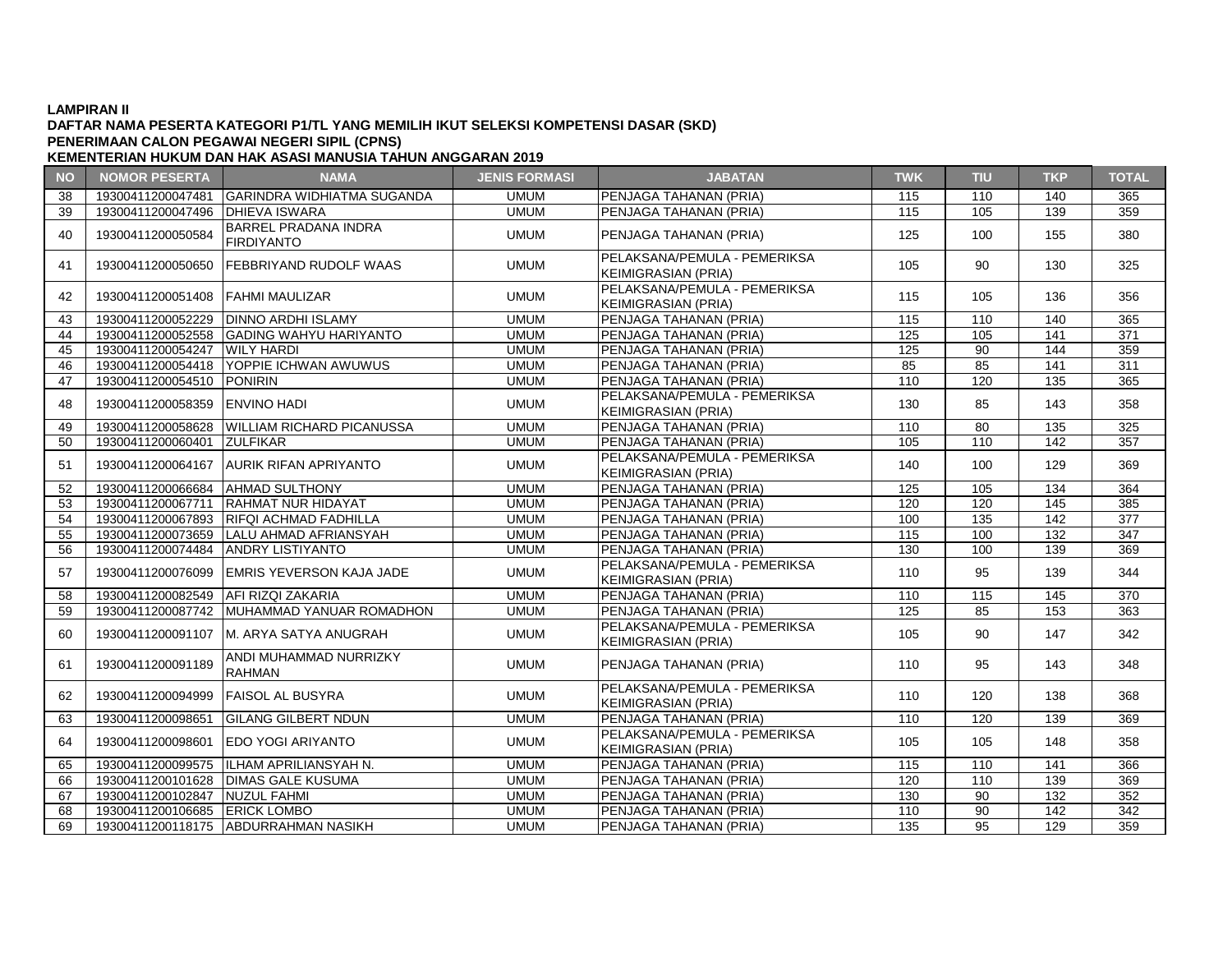### **DAFTAR NAMA PESERTA KATEGORI P1/TL YANG MEMILIH IKUT SELEKSI KOMPETENSI DASAR (SKD) KEMENTERIAN HUKUM DAN HAK ASASI MANUSIA TAHUN ANGGARAN 2019 PENERIMAAN CALON PEGAWAI NEGERI SIPIL (CPNS)**

**NO NOMOR PESERTA NAMA JENIS FORMASI JABATAN TWK TIU TKP TOTAL** 38 19300411200047481 GARINDRA WIDHIATMA SUGANDA UMUM PENJAGA TAHANAN (PRIA) 115 110 140 365 39 19300411200047496 DHIEVA ISWARA UMUM PENJAGA TAHANAN (PRIA) 115 105 139 359 <sup>40</sup> <sup>19300411200050584</sup> BARREL PRADANA INDRA UMUM PENJAGA TAHANAN (PRIA) | 125 | 100 | 155 | 380 41 19300411200050650 FEBBRIYAND RUDOLF WAAS UMUM PELAKSANA/PEMULA - PEMERIKSA KEIMIGRASIAN (PRIA) <sup>105</sup> <sup>90</sup> <sup>130</sup> <sup>325</sup> 42 19300411200051408 FAHMI MAULIZAR UMUM PELAKSANA/PEMULA - PEMERIKSA KEIMIGRASIAN (PRIA) <sup>115</sup> <sup>105</sup> <sup>136</sup> <sup>356</sup> 43 19300411200052229 DINNO ARDHI ISLAMY UMUM PENJAGA TAHANAN (PRIA) 115 110 140 365 44 19300411200052558 GADING WAHYU HARIYANTO UMUM PENJAGA TAHANAN (PRIA) 125 105 141 371 45 19300411200054247 WILY HARDI UMUM PENJAGA TAHANAN (PRIA) 125 90 144 359 46 19300411200054418 YOPPIE ICHWAN AWUWUS UMUM PENJAGA TAHANAN (PRIA) 85 85 141 311 47 19300411200054510 PONIRIN UMUM PENJAGA TAHANAN (PRIA) 110 120 135 365 48 19300411200058359 ENVINO HADI UMUM PELAKSANA/PEMULA - PEMERIKSA FLANSANAFLINDER FLINENINSA | 130 | 85 | 143 | 358<br>KEIMIGRASIAN (PRIA) 49 19300411200058628 WILLIAM RICHARD PICANUSSA UMUM PENJAGA TAHANAN (PRIA) 110 80 135 325 50 19300411200060401 ZULFIKAR UMUM PENJAGA TAHANAN (PRIA) 105 110 142 357 <sup>51</sup> <sup>19300411200064167</sup> AURIK RIFAN APRIYANTO UMUM PELAKSANA/PEMULA - PEMERIKSA KEIMIGRASIAN EMOER -1 EMERINGA<br>KEIMIGRASIAN (PRIA) 140 100 129 369<br>PENJAGA TAHANAN (PRIA) 125 105 134 364 52 19300411200066684 AHMAD SULTHONY UMUM PENJAGA TAHANAN (PRIA) 125 105 134 53 19300411200067711 RAHMAT NUR HIDAYAT UMUM PENJAGA TAHANAN (PRIA) 120 120 145 385 54 19300411200067893 RIFQI ACHMAD FADHILLA UMUM PENJAGA TAHANAN (PRIA) 100 135 142 377 55 19300411200073659 LALU AHMAD AFRIANSYAH UMUM PENJAGA TAHANAN (PRIA) 115 100 132 347 56 19300411200074484 ANDRY LISTIYANTO UMUM PENJAGA TAHANAN (PRIA) 130 100 139 369 57 19300411200076099 EMRIS YEVERSON KAJA JADE UMUM PELAKSANA/PEMULA - PEMERIKSA KEIMIGRASIAN (PRIA) <sup>110</sup> <sup>95</sup> <sup>139</sup> <sup>344</sup> 58 19300411200082549 AFI RIZQI ZAKARIA UMUM PENJAGA TAHANAN (PRIA) 110 115 145 370 59 | 19300411200087742 |MUHAMMAD YANUAR ROMADHON | UMUM PENJAGA TAHANAN (PRIA) | 125 | 85 | 153 | 363 <sup>60</sup> <sup>19300411200091107</sup> M. ARYA SATYA ANUGRAH UMUM PELAKSANA/PEMULA - PEMERIKSA PELANSANA/PEMULA PEMENINSA | 105 | 90 | 147 | 342<br>KEIMIGRASIAN (PRIA) 61 39300411200091189 ANDI MUHAMMAD NURRIZKY UMUM | PENJAGA TAHANAN (PRIA) | 110 | 95 | 143 | 348 62 19300411200094999 FAISOL AL BUSYRA UMUM PELAKSANA/PEMULA - PEMERIKSA FLANSANAFLINDER FLINENINSA | 110 | 120 | 138 | 368<br>KEIMIGRASIAN (PRIA) 63 19300411200098651 GILANG GILBERT NDUN UMUM PENJAGA TAHANAN (PRIA) 110 120 139 369 64 19300411200098601 EDO YOGI ARIYANTO UMUM UMUM PELAKSANA/PEMULA - PEMERIKSA KEIMIGRASIAN (PRIA) <sup>105</sup> <sup>105</sup> <sup>148</sup> <sup>358</sup> 65 19300411200099575 ILHAM APRILIANSYAH N. UMUM PENJAGA TAHANAN (PRIA) 115 110 141 366 66 19300411200101628 DIMAS GALE KUSUMA UMUM PENJAGA TAHANAN (PRIA) 120 110 139 369 67 19300411200102847 NUZUL FAHMI UMUM PENJAGA TAHANAN (PRIA) 130 90 132 352 68 19300411200106685 ERICK LOMBO UMUM PENJAGA TAHANAN (PRIA) 110 90 142 342 69 19300411200118175 ABDURRAHMAN NASIKH UMUM PENJAGA TAHANAN (PRIA) 135 95 129 359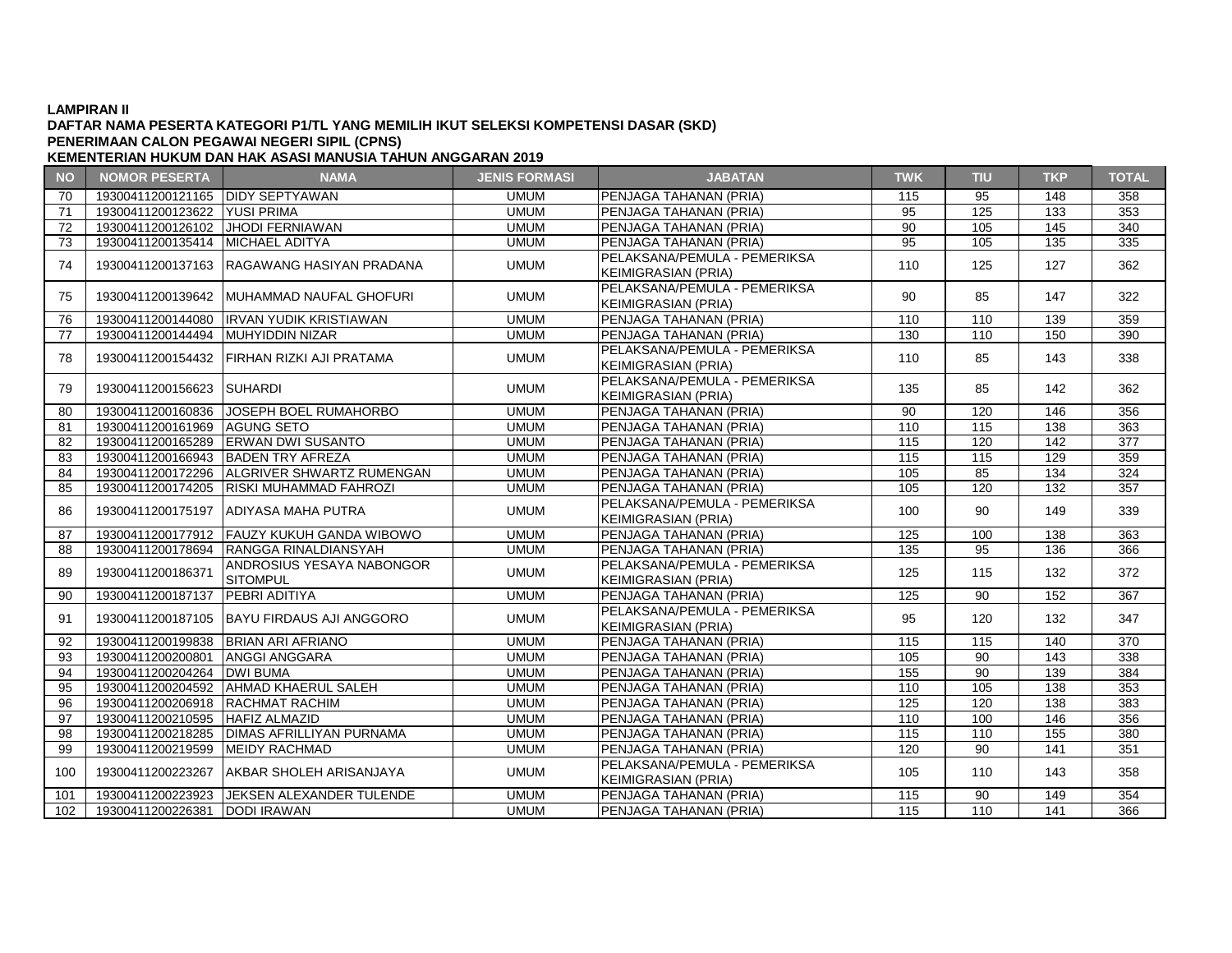# **DAFTAR NAMA PESERTA KATEGORI P1/TL YANG MEMILIH IKUT SELEKSI KOMPETENSI DASAR (SKD) PENERIMAAN CALON PEGAWAI NEGERI SIPIL (CPNS)**

### **NO NOMOR PESERTA NAMA JENIS FORMASI JABATAN TWK TIU TKP TOTAL KEMENTERIAN HUKUM DAN HAK ASASI MANUSIA TAHUN ANGGARAN 2019**

| <b>INC</b> | <b>INVINION LESENTA</b>            | $\mathbf{N}$                                 | JLINIJ I UNIMAJI | <b>UNDAIN</b>                  | <b>TANA A</b> | . . | <b>11 12 13 14 15</b> | $191 \text{A}$ |
|------------|------------------------------------|----------------------------------------------|------------------|--------------------------------|---------------|-----|-----------------------|----------------|
| 70         | 19300411200121165   DIDY SEPTYAWAN |                                              | <b>UMUM</b>      | PENJAGA TAHANAN (PRIA)         | 115           | 95  | 148                   | 358            |
| 71         | 19300411200123622 YUSI PRIMA       |                                              | <b>UMUM</b>      | PENJAGA TAHANAN (PRIA)         | 95            | 125 | 133                   | 353            |
| 72         | 19300411200126102 JHODI FERNIAWAN  |                                              | <b>UMUM</b>      | PENJAGA TAHANAN (PRIA)         | 90            | 105 | 145                   | 340            |
| 73         | 19300411200135414 MICHAEL ADITYA   |                                              | <b>UMUM</b>      | PENJAGA TAHANAN (PRIA)         | 95            | 105 | 135                   | 335            |
| 74         |                                    | 19300411200137163 RAGAWANG HASIYAN PRADANA   | <b>UMUM</b>      | PELAKSANA/PEMULA - PEMERIKSA   | 110           | 125 | 127                   | 362            |
|            |                                    |                                              |                  | <b>KEIMIGRASIAN (PRIA)</b>     |               |     |                       |                |
| 75         |                                    | 19300411200139642 MUHAMMAD NAUFAL GHOFURI    | <b>UMUM</b>      | PELAKSANA/PEMULA - PEMERIKSA   | 90            | 85  | 147                   | 322            |
|            |                                    |                                              |                  | <b>KEIMIGRASIAN (PRIA)</b>     |               |     |                       |                |
| 76         |                                    | 19300411200144080   IRVAN YUDIK KRISTIAWAN   | <b>UMUM</b>      | PENJAGA TAHANAN (PRIA)         | 110           | 110 | 139                   | 359            |
| 77         | 19300411200144494 MUHYIDDIN NIZAR  |                                              | <b>UMUM</b>      | PENJAGA TAHANAN (PRIA)         | 130           | 110 | 150                   | 390            |
| 78         |                                    | 19300411200154432 FIRHAN RIZKI AJI PRATAMA   | <b>UMUM</b>      | PELAKSANA/PEMULA - PEMERIKSA   | 110           | 85  | 143                   | 338            |
|            |                                    |                                              |                  | <b>KEIMIGRASIAN (PRIA)</b>     |               |     |                       |                |
| 79         | 19300411200156623 SUHARDI          |                                              | <b>UMUM</b>      | PELAKSANA/PEMULA - PEMERIKSA   | 135           | 85  | 142                   | 362            |
|            |                                    |                                              |                  | <b>KEIMIGRASIAN (PRIA)</b>     |               |     |                       |                |
| 80         |                                    | 19300411200160836 JJOSEPH BOEL RUMAHORBO     | <b>UMUM</b>      | PENJAGA TAHANAN (PRIA)         | 90            | 120 | 146                   | 356            |
| 81         | 19300411200161969 AGUNG SETO       |                                              | <b>UMUM</b>      | PENJAGA TAHANAN (PRIA)         | 110           | 115 | 138                   | 363            |
| 82         |                                    | 19300411200165289 ERWAN DWI SUSANTO          | <b>UMUM</b>      | PENJAGA TAHANAN (PRIA)         | 115           | 120 | 142                   | 377            |
| 83         |                                    | 19300411200166943 BADEN TRY AFREZA           | <b>UMUM</b>      | PENJAGA TAHANAN (PRIA)         | 115           | 115 | 129                   | 359            |
| 84         |                                    | 19300411200172296 ALGRIVER SHWARTZ RUMENGAN  | <b>UMUM</b>      | PENJAGA TAHANAN (PRIA)         | 105           | 85  | 134                   | 324            |
| 85         |                                    | 19300411200174205   RISKI MUHAMMAD FAHROZI   | <b>UMUM</b>      | PENJAGA TAHANAN (PRIA)         | 105           | 120 | 132                   | 357            |
| 86         |                                    | 19300411200175197 ADIYASA MAHA PUTRA         | <b>UMUM</b>      | PELAKSANA/PEMULA - PEMERIKSA   | 100           | 90  | 149                   | 339            |
|            |                                    |                                              |                  | <b>KEIMIGRASIAN (PRIA)</b>     |               |     |                       |                |
| 87         |                                    | 19300411200177912 FAUZY KUKUH GANDA WIBOWO   | <b>UMUM</b>      | <b>IPENJAGA TAHANAN (PRIA)</b> | 125           | 100 | 138                   | 363            |
| 88         |                                    | 19300411200178694 RANGGA RINALDIANSYAH       | <b>UMUM</b>      | PENJAGA TAHANAN (PRIA)         | 135           | 95  | 136                   | 366            |
| 89         | 19300411200186371                  | ANDROSIUS YESAYA NABONGOR                    | <b>UMUM</b>      | PELAKSANA/PEMULA - PEMERIKSA   | 125           | 115 | 132                   | 372            |
|            |                                    | <b>SITOMPUL</b>                              |                  | <b>KEIMIGRASIAN (PRIA)</b>     |               |     |                       |                |
| 90         | 19300411200187137 PEBRI ADITIYA    |                                              | <b>UMUM</b>      | PENJAGA TAHANAN (PRIA)         | 125           | 90  | 152                   | 367            |
| 91         |                                    | 19300411200187105 BAYU FIRDAUS AJI ANGGORO   | <b>UMUM</b>      | PELAKSANA/PEMULA - PEMERIKSA   | 95            | 120 | 132                   | 347            |
|            |                                    |                                              |                  | <b>KEIMIGRASIAN (PRIA)</b>     |               |     |                       |                |
| 92         |                                    | 19300411200199838 BRIAN ARI AFRIANO          | <b>UMUM</b>      | PENJAGA TAHANAN (PRIA)         | 115           | 115 | 140                   | 370            |
| 93         | 19300411200200801 ANGGI ANGGARA    |                                              | <b>UMUM</b>      | PENJAGA TAHANAN (PRIA)         | 105           | 90  | 143                   | 338            |
| 94         | 19300411200204264   DWI BUMA       |                                              | <b>UMUM</b>      | PENJAGA TAHANAN (PRIA)         | 155           | 90  | 139                   | 384            |
| 95         |                                    | 19300411200204592   AHMAD KHAERUL SALEH      | <b>UMUM</b>      | PENJAGA TAHANAN (PRIA)         | 110           | 105 | 138                   | 353            |
| 96         | 19300411200206918   RACHMAT RACHIM |                                              | <b>UMUM</b>      | PENJAGA TAHANAN (PRIA)         | 125           | 120 | 138                   | 383            |
| 97         | 19300411200210595   HAFIZ ALMAZID  |                                              | <b>UMUM</b>      | PENJAGA TAHANAN (PRIA)         | 110           | 100 | 146                   | 356            |
| 98         |                                    | 19300411200218285   DIMAS AFRILLIYAN PURNAMA | <b>UMUM</b>      | PENJAGA TAHANAN (PRIA)         | 115           | 110 | 155                   | 380            |
| 99         | 19300411200219599 MEIDY RACHMAD    |                                              | <b>UMUM</b>      | PENJAGA TAHANAN (PRIA)         | 120           | 90  | 141                   | 351            |
| 100        | 19300411200223267                  | <b>JAKBAR SHOLEH ARISANJAYA</b>              | <b>UMUM</b>      | PELAKSANA/PEMULA - PEMERIKSA   | 105           | 110 | 143                   | 358            |
|            |                                    |                                              |                  | <b>KEIMIGRASIAN (PRIA)</b>     |               |     |                       |                |
| 101        |                                    | 19300411200223923 JJEKSEN ALEXANDER TULENDE  | <b>UMUM</b>      | PENJAGA TAHANAN (PRIA)         | 115           | 90  | 149                   | 354            |
| 102        | 19300411200226381 DODI IRAWAN      |                                              | <b>UMUM</b>      | PENJAGA TAHANAN (PRIA)         | 115           | 110 | 141                   | 366            |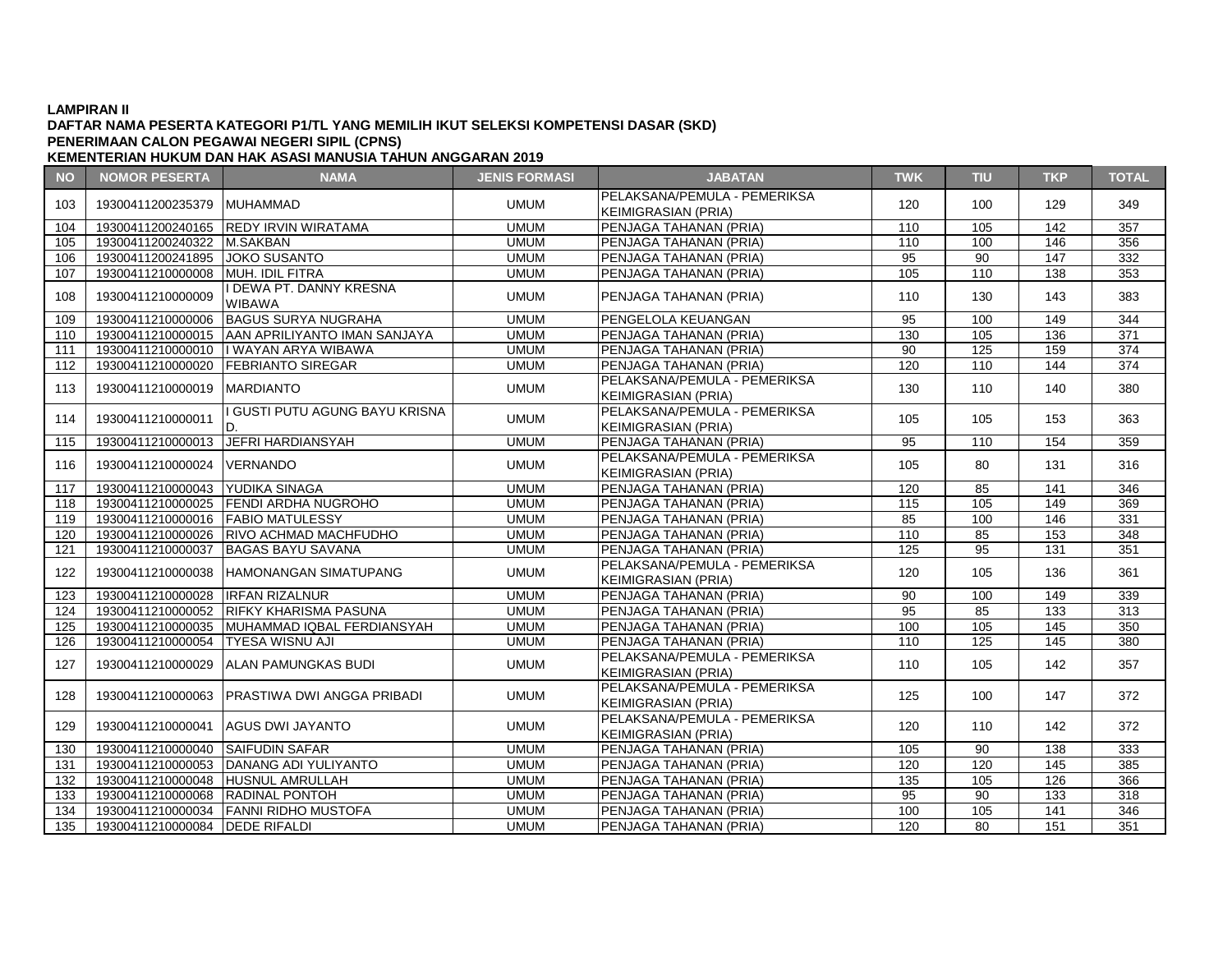### **DAFTAR NAMA PESERTA KATEGORI P1/TL YANG MEMILIH IKUT SELEKSI KOMPETENSI DASAR (SKD) KEMENTERIAN HUKUM DAN HAK ASASI MANUSIA TAHUN ANGGARAN 2019 PENERIMAAN CALON PEGAWAI NEGERI SIPIL (CPNS)**

**NO NOMOR PESERTA NAMA JENIS FORMASI JABATAN TWK TIU TKP TOTAL** <sup>103</sup> <sup>19300411200235379</sup> MUHAMMAD UMUM PELAKSANA/PEMULA - PEMERIKSA KEIMIGRASIAN (PRIA) <sup>120</sup> <sup>100</sup> <sup>129</sup> <sup>349</sup> 104 19300411200240165 REDY IRVIN WIRATAMA | UMUM PENJAGA TAHANAN (PRIA) 110 | 105 | 142 | 357 105 19300411200240322 M.SAKBAN UMUM PENJAGA TAHANAN (PRIA) 110 100 146 356 106 19300411200241895 JOKO SUSANTO UMUM PENJAGA TAHANAN (PRIA) 95 90 147 332 107 19300411210000008 MUH. IDIL FITRA UMUM PENJAGA TAHANAN (PRIA) 105 110 138 353 <sup>108</sup> <sup>19300411210000009</sup> I DEWA PT. DANNY KRESNA WIBAWA UMUM PENJAGA TAHANAN (PRIA) <sup>110</sup> <sup>130</sup> <sup>143</sup> <sup>383</sup> 109 19300411210000006 BAGUS SURYA NUGRAHA UMUM PENGELOLA KEUANGAN 95 100 149 344 110 | 19300411210000015 AAN APRILIYANTO IMAN SANJAYA XARUMUM PENJAGA TAHANAN (PRIA) 130 | 130 | 105 | 136 | 371 111 19300411210000010 I WAYAN ARYA WIBAWA UMUM PENJAGA TAHANAN (PRIA) 90 125 159 374 112 19300411210000020 FEBRIANTO SIREGAR UMUM PENJAGA TAHANAN (PRIA) 120 110 144 374 <sup>113</sup> <sup>19300411210000019</sup> MARDIANTO UMUM PELAKSANA/PEMULA - PEMERIKSA KEIMIGRASIAN (PRIA) <sup>130</sup> <sup>110</sup> <sup>140</sup> <sup>380</sup> <sup>114</sup> <sup>19300411210000011</sup> I GUSTI PUTU AGUNG BAYU KRISNA UMUM PELAKSANA/PEMULA - PEMERIKSA FLANSANA/FLMOLA FLMLNINSA | 105 | 105 | 153 | 363<br>KEIMIGRASIAN (PRIA) 115 | 19300411210000013 | JEFRI HARDIANSYAH | UMUM | PENJAGA TAHANAN (PRIA) | 95 | 110 | 154 | 359 <sup>116</sup> <sup>19300411210000024</sup> VERNANDO UMUM PELAKSANA/PEMULA - PEMERIKSA KEIMIGRASIAN EMOER -1 EMERINGRA<br>KEIMIGRASIAN (PRIA) 105 80 131 316<br>PENJAGA TAHANAN (PRIA) 120 85 141 346 117 19300411210000043 YUDIKA SINAGA UMUM PENJAGA TAHANAN (PRIA) 120 118 19300411210000025 FENDI ARDHA NUGROHO UMUM PENJAGA TAHANAN (PRIA) 115 105 149 369 119 19300411210000016 FABIO MATULESSY NEW YORUM PENJAGA TAHANAN (PRIA) 85 100 146 331 120 | 19300411210000026 RIVO ACHMAD MACHFUDHO | UMUM PENJAGA TAHANAN (PRIA) | 110 | 85 | 153 | 348 121 19300411210000037 BAGAS BAYU SAVANA UMUM PENJAGA TAHANAN (PRIA) 125 95 131 351 122 | 19300411210000038 HAMONANGAN SIMATUPANG UMUM KEIMIGRASIAN (PRIA) <sup>120</sup> <sup>105</sup> <sup>136</sup> <sup>361</sup> 123 19300411210000028 IRFAN RIZALNUR UMUM PENJAGA TAHANAN (PRIA) 90 100 149 339 124 | 19300411210000052 RIFKY KHARISMA PASUNA | UMUM PENJAGA TAHANAN (PRIA) 95 | 85 | 133 | 313 125 | 19300411210000035 | MUHAMMAD IQBAL FERDIANSYAH | UMUM | PENJAGA TAHANAN (PRIA) 100 | 100 | 105 | 145 | 350 126 19300411210000054 TYESA WISNU AJI UMUM PENJAGA TAHANAN (PRIA) 110 125 145 380 127 19300411210000029 ALAN PAMUNGKAS BUDI UMUM PELAKSANA/PEMULA - PEMERIKSA KEIMIGRASIAN (PRIA) – LIMENTINGA († 110 | 105 | 142 | 357<br>KEIMIGRASIAN (PRIA) <sup>128</sup> <sup>19300411210000063</sup> PRASTIWA DWI ANGGA PRIBADI UMUM PELAKSANA/PEMULA - PEMERIKSA KEIMIGRASIAN (PRIA) <sup>125</sup> <sup>100</sup> <sup>147</sup> <sup>372</sup> <sup>129</sup> <sup>19300411210000041</sup> AGUS DWI JAYANTO UMUM PELAKSANA/PEMULA - PEMERIKSA PELANSANA/PEMULA PEMENINSA | 120 | 110 | 142 | 372<br>KEIMIGRASIAN (PRIA) 130 19300411210000040 SAIFUDIN SAFAR UMUM PENJAGA TAHANAN (PRIA) 105 90 138 333 131 19300411210000053 DANANG ADI YULIYANTO UMUM PENJAGA TAHANAN (PRIA) 120 120 145 385 132 19300411210000048 HUSNUL AMRULLAH UMUM PENJAGA TAHANAN (PRIA) 135 105 126 366 133 19300411210000068 RADINAL PONTOH UMUM PENJAGA TAHANAN (PRIA) 95 90 133 318 134 | 19300411210000034 |FANNI RIDHO MUSTOFA | UMUM | PENJAGA TAHANAN (PRIA) | 100 | 105 | 141 | 346 135 19300411210000084 DEDE RIFALDI UMUM PENJAGA TAHANAN (PRIA) 120 80 151 351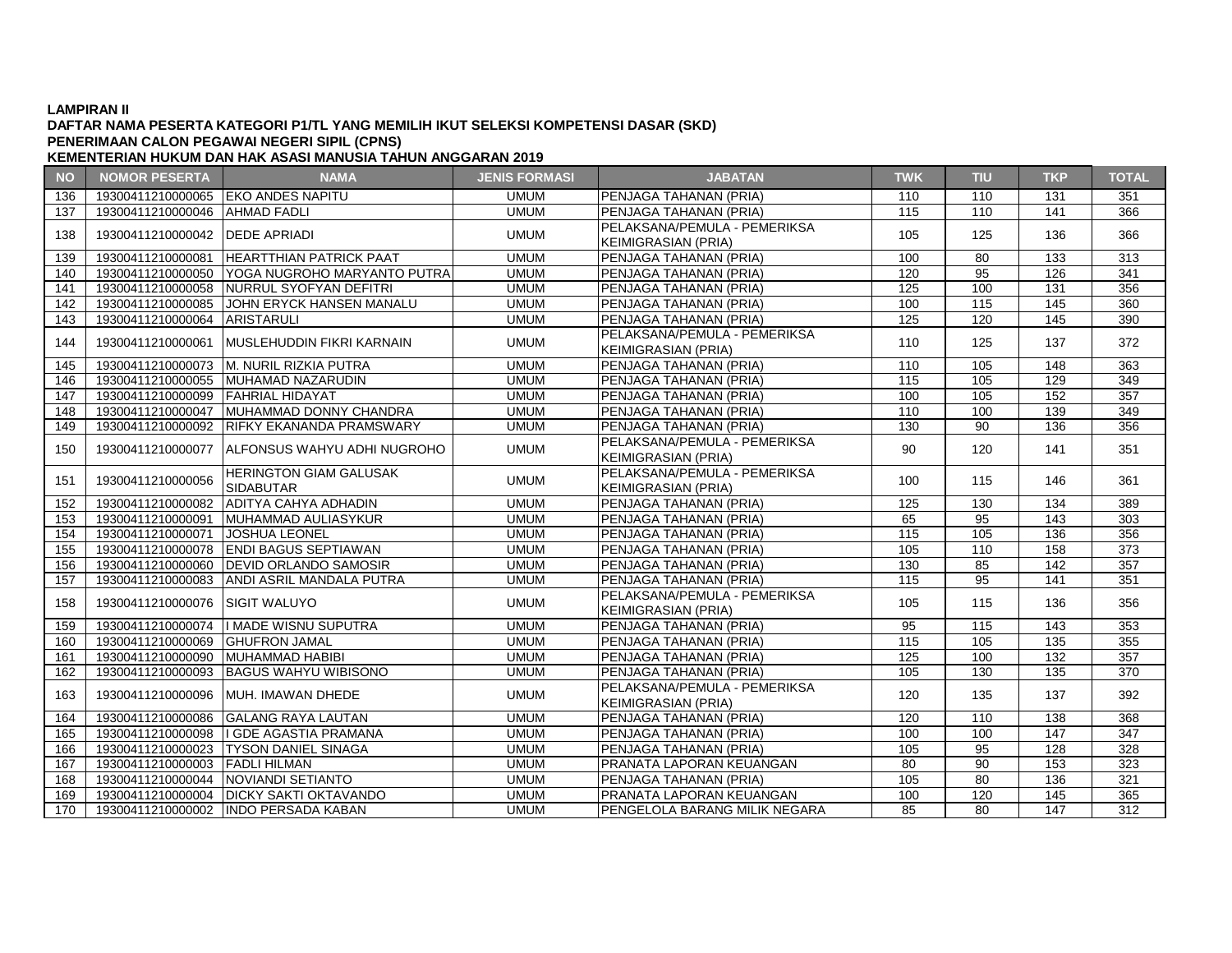# **DAFTAR NAMA PESERTA KATEGORI P1/TL YANG MEMILIH IKUT SELEKSI KOMPETENSI DASAR (SKD) PENERIMAAN CALON PEGAWAI NEGERI SIPIL (CPNS)**

| <b>NO</b> | <b>NOMOR PESERTA</b>              | <b>NAMA</b>                                       | <b>JENIS FORMASI</b> | <b>JABATAN</b>                                             | <b>TWK</b> | TIU             | <b>TKP</b> | <b>TOTAL</b>     |
|-----------|-----------------------------------|---------------------------------------------------|----------------------|------------------------------------------------------------|------------|-----------------|------------|------------------|
| 136       |                                   | 19300411210000065 EKO ANDES NAPITU                | <b>UMUM</b>          | PENJAGA TAHANAN (PRIA)                                     | 110        | 110             | 131        | 351              |
| 137       | 19300411210000046 AHMAD FADLI     |                                                   | <b>UMUM</b>          | PENJAGA TAHANAN (PRIA)                                     | 115        | 110             | 141        | 366              |
| 138       | 19300411210000042   DEDE APRIADI  |                                                   | <b>UMUM</b>          | PELAKSANA/PEMULA - PEMERIKSA<br><b>KEIMIGRASIAN (PRIA)</b> | 105        | 125             | 136        | 366              |
| 139       | 19300411210000081                 | <b>HEARTTHIAN PATRICK PAAT</b>                    | <b>UMUM</b>          | PENJAGA TAHANAN (PRIA)                                     | 100        | 80              | 133        | 313              |
| 140       |                                   | 19300411210000050 YOGA NUGROHO MARYANTO PUTRA     | <b>UMUM</b>          | PENJAGA TAHANAN (PRIA)                                     | 120        | 95              | 126        | 341              |
| 141       |                                   | 19300411210000058 NURRUL SYOFYAN DEFITRI          | <b>UMUM</b>          | PENJAGA TAHANAN (PRIA)                                     | 125        | 100             | 131        | 356              |
| 142       |                                   | 19300411210000085 JJOHN ERYCK HANSEN MANALU       | <b>UMUM</b>          | PENJAGA TAHANAN (PRIA)                                     | 100        | 115             | 145        | 360              |
| 143       | 19300411210000064 ARISTARULI      |                                                   | <b>UMUM</b>          | PENJAGA TAHANAN (PRIA)                                     | 125        | 120             | 145        | 390              |
| 144       | 19300411210000061                 | <b>MUSLEHUDDIN FIKRI KARNAIN</b>                  | <b>UMUM</b>          | PELAKSANA/PEMULA - PEMERIKSA<br><b>KEIMIGRASIAN (PRIA)</b> | 110        | 125             | 137        | 372              |
| 145       |                                   | 19300411210000073 M. NURIL RIZKIA PUTRA           | <b>UMUM</b>          | PENJAGA TAHANAN (PRIA)                                     | 110        | 105             | 148        | 363              |
| 146       |                                   | 19300411210000055 MUHAMAD NAZARUDIN               | <b>UMUM</b>          | PENJAGA TAHANAN (PRIA)                                     | 115        | 105             | 129        | 349              |
| 147       | 19300411210000099 FAHRIAL HIDAYAT |                                                   | <b>UMUM</b>          | PENJAGA TAHANAN (PRIA)                                     | 100        | 105             | 152        | 357              |
| 148       |                                   | 19300411210000047 MUHAMMAD DONNY CHANDRA          | <b>UMUM</b>          | PENJAGA TAHANAN (PRIA)                                     | 110        | 100             | 139        | 349              |
| 149       |                                   | 19300411210000092 RIFKY EKANANDA PRAMSWARY        | <b>UMUM</b>          | PENJAGA TAHANAN (PRIA)                                     | 130        | 90              | 136        | 356              |
| 150       |                                   | 19300411210000077 ALFONSUS WAHYU ADHI NUGROHO     | <b>UMUM</b>          | PELAKSANA/PEMULA - PEMERIKSA<br><b>KEIMIGRASIAN (PRIA)</b> | 90         | 120             | 141        | 351              |
| 151       | 19300411210000056                 | <b>HERINGTON GIAM GALUSAK</b><br><b>SIDABUTAR</b> | <b>UMUM</b>          | PELAKSANA/PEMULA - PEMERIKSA<br><b>KEIMIGRASIAN (PRIA)</b> | 100        | 115             | 146        | 361              |
| 152       |                                   | 19300411210000082 ADITYA CAHYA ADHADIN            | <b>UMUM</b>          | PENJAGA TAHANAN (PRIA)                                     | 125        | 130             | 134        | 389              |
| 153       | 19300411210000091                 | MUHAMMAD AULIASYKUR                               | <b>UMUM</b>          | PENJAGA TAHANAN (PRIA)                                     | 65         | 95              | 143        | 303              |
| 154       | 19300411210000071                 | JOSHUA LEONEL                                     | <b>UMUM</b>          | PENJAGA TAHANAN (PRIA)                                     | 115        | 105             | 136        | 356              |
| 155       |                                   | 19300411210000078 ENDI BAGUS SEPTIAWAN            | <b>UMUM</b>          | PENJAGA TAHANAN (PRIA)                                     | 105        | 110             | 158        | 373              |
| 156       |                                   | 19300411210000060 DEVID ORLANDO SAMOSIR           | <b>UMUM</b>          | PENJAGA TAHANAN (PRIA)                                     | 130        | 85              | 142        | 357              |
| 157       |                                   | 19300411210000083 ANDI ASRIL MANDALA PUTRA        | <b>UMUM</b>          | PENJAGA TAHANAN (PRIA)                                     | 115        | 95              | 141        | 351              |
| 158       | 19300411210000076                 | <b>ISIGIT WALUYO</b>                              | <b>UMUM</b>          | PELAKSANA/PEMULA - PEMERIKSA<br><b>KEIMIGRASIAN (PRIA)</b> | 105        | 115             | 136        | 356              |
| 159       |                                   | 19300411210000074  I MADE WISNU SUPUTRA           | <b>UMUM</b>          | PENJAGA TAHANAN (PRIA)                                     | 95         | 115             | 143        | 353              |
| 160       | 19300411210000069 GHUFRON JAMAL   |                                                   | <b>UMUM</b>          | PENJAGA TAHANAN (PRIA)                                     | 115        | 105             | 135        | 355              |
| 161       | 19300411210000090 MUHAMMAD HABIBI |                                                   | <b>UMUM</b>          | PENJAGA TAHANAN (PRIA)                                     | 125        | 100             | 132        | 357              |
| 162       | 19300411210000093                 | <b>BAGUS WAHYU WIBISONO</b>                       | <b>UMUM</b>          | PENJAGA TAHANAN (PRIA)                                     | 105        | 130             | 135        | 370              |
| 163       |                                   | 19300411210000096 MUH. IMAWAN DHEDE               | <b>UMUM</b>          | PELAKSANA/PEMULA - PEMERIKSA<br><b>KEIMIGRASIAN (PRIA)</b> | 120        | 135             | 137        | 392              |
| 164       |                                   | 19300411210000086 GALANG RAYA LAUTAN              | <b>UMUM</b>          | PENJAGA TAHANAN (PRIA)                                     | 120        | 110             | 138        | 368              |
| 165       |                                   | 19300411210000098   GDE AGASTIA PRAMANA           | <b>UMUM</b>          | PENJAGA TAHANAN (PRIA)                                     | 100        | 100             | 147        | 347              |
| 166       |                                   | 19300411210000023   TYSON DANIEL SINAGA           | <b>UMUM</b>          | PENJAGA TAHANAN (PRIA)                                     | 105        | 95              | 128        | 328              |
| 167       | 19300411210000003 FADLI HILMAN    |                                                   | <b>UMUM</b>          | PRANATA LAPORAN KEUANGAN                                   | 80         | 90              | 153        | 323              |
| 168       |                                   | 19300411210000044 NOVIANDI SETIANTO               | <b>UMUM</b>          | PENJAGA TAHANAN (PRIA)                                     | 105        | 80              | 136        | 321              |
| 169       |                                   | 19300411210000004   DICKY SAKTI OKTAVANDO         | <b>UMUM</b>          | PRANATA LAPORAN KEUANGAN                                   | 100        | 120             | 145        | 365              |
| 170       |                                   | 19300411210000002 INDO PERSADA KABAN              | <b>UMUM</b>          | <b>PENGELOLA BARANG MILIK NEGARA</b>                       | 85         | $\overline{80}$ | 147        | $\overline{312}$ |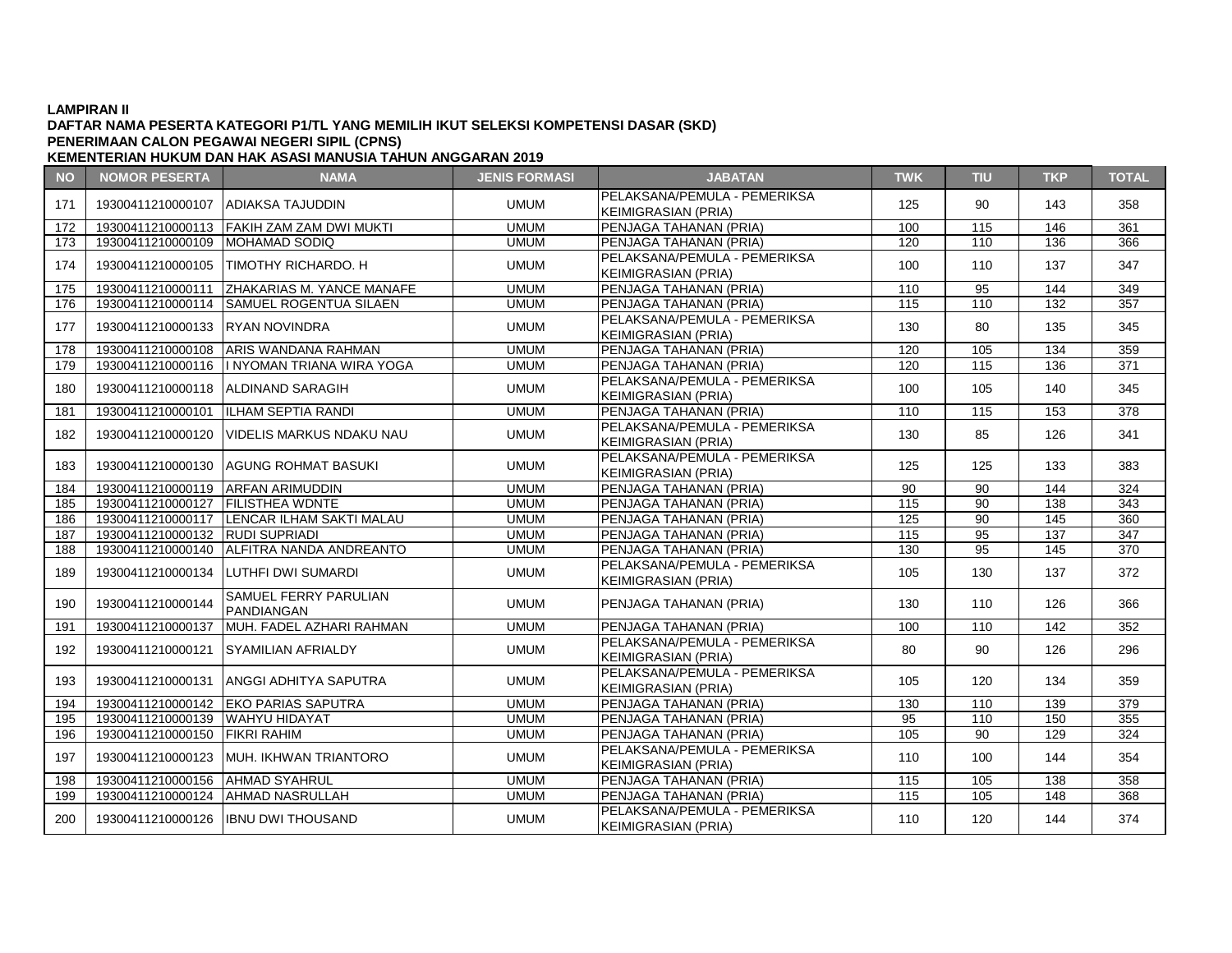# **DAFTAR NAMA PESERTA KATEGORI P1/TL YANG MEMILIH IKUT SELEKSI KOMPETENSI DASAR (SKD) PENERIMAAN CALON PEGAWAI NEGERI SIPIL (CPNS)**

**NO NOMOR PESERTA NAMA JENIS FORMASI JABATAN TWK TIU TKP TOTAL KEMENTERIAN HUKUM DAN HAK ASASI MANUSIA TAHUN ANGGARAN 2019** 171 19300411210000107 ADIAKSA TAJUDDIN UMUM PELAKSANA/PEMULA - PEMERIKSA FLANSANAFLINDER FLINENINSA | 125 | 90 | 143 | 358<br>KEIMIGRASIAN (PRIA) 172 | 19300411210000113 | FAKIH ZAM ZAM DWI MUKTI | | UMUM | | PENJAGA TAHANAN (PRIA) | 100 | 115 | 146 | 361 173 19300411210000109 MOHAMAD SODIQ UMUM PENJAGA TAHANAN (PRIA) 120 110 136 366 174 19300411210000105 TIMOTHY RICHARDO. H UMUM PELAKSANA/PEMULA - PEMERIKSA 1 LEANSANAN EMBERT EMENTISA | 100 | 110 | 137 | 347<br>KEIMIGRASIAN (PRIA) 175 19300411210000111 ZHAKARIAS M. YANCE MANAFE UMUM PENJAGA TAHANAN (PRIA) 110 95 144 349 176 | 19300411210000114 | SAMUEL ROGENTUA SILAEN | UMUM | PENJAGA TAHANAN (PRIA) | 115 | 110 | 132 | 357 177 19300411210000133 RYAN NOVINDRA UMUM PELAKSANA/PEMULA - PEMERIKSA FLANSANAFLINDER FLINENINSA | 130 | 80 | 135 | 345<br>KEIMIGRASIAN (PRIA) 178 19300411210000108 ARIS WANDANA RAHMAN UMUM PENJAGA TAHANAN (PRIA) 120 105 134 359 179 19300411210000116 I NYOMAN TRIANA WIRA YOGA UMUM PENJAGA TAHANAN (PRIA) 120 115 136 371 180 | 19300411210000118 |ALDINAND SARAGIH UMUM KEIMIGRASIAN (PRIA) <sup>100</sup> <sup>105</sup> <sup>140</sup> <sup>345</sup> 181 19300411210000101 ILHAM SEPTIA RANDI UMUM PENJAGA TAHANAN (PRIA) 110 115 153 378 <sup>182</sup> <sup>19300411210000120</sup> VIDELIS MARKUS NDAKU NAU UMUM PELAKSANA/PEMULA - PEMERIKSA KEIMIGRASIAN (PRIA) <sup>130</sup> <sup>85</sup> <sup>126</sup> <sup>341</sup> <sup>183</sup> <sup>19300411210000130</sup> AGUNG ROHMAT BASUKI UMUM PELAKSANA/PEMULA - PEMERIKSA 1 LEANSANAN EMBERT EMENTISA | 125 | 125 | 133 | 383<br>KEIMIGRASIAN (PRIA) 184 19300411210000119 ARFAN ARIMUDDIN UMUM PENJAGA TAHANAN (PRIA) 90 90 144 324 185 19300411210000127 FILISTHEA WDNTE UMUM PENJAGA TAHANAN (PRIA) 115 90 138 343 186 19300411210000117 LENCAR ILHAM SAKTI MALAU | UMUM PENJAGA TAHANAN (PRIA) | 125 | 90 | 145 | 360 187 19300411210000132 RUDI SUPRIADI UMUM PENJAGA TAHANAN (PRIA) 115 95 137 347 188 19300411210000140 ALFITRA NANDA ANDREANTO UMUM PENJAGA TAHANAN (PRIA) 130 95 145 370 <sup>189</sup> <sup>19300411210000134</sup> LUTHFI DWI SUMARDI UMUM PELAKSANA/PEMULA - PEMERIKSA KEIMIGRASIAN (PRIA) <sup>105</sup> <sup>130</sup> <sup>137</sup> <sup>372</sup> <sup>190</sup> <sup>19300411210000144</sup> SAMUEL FERRY PARULIAN PANDIANGAN | INCENTRY | UMUM | PENJAGA TAHANAN (PRIA) | 130 | 110 | 126 | 366<br>PANDIANGAN 191 19300411210000137 MUH. FADEL AZHARI RAHMAN UMUM PENJAGA TAHANAN (PRIA) 100 110 142 352 <sup>192</sup> <sup>19300411210000121</sup> SYAMILIAN AFRIALDY UMUM PELAKSANA/PEMULA - PEMERIKSA KEIMIGRASIAN (PRIA) <sup>80</sup> <sup>90</sup> <sup>126</sup> <sup>296</sup>

194 19300411210000142 EKO PARIAS SAPUTRA UMUM PENJAGA TAHANAN (PRIA) 130 110 139 379 195 19300411210000139 WAHYU HIDAYAT UMUM PENJAGA TAHANAN (PRIA) 95 110 150 355 196 19300411210000150 FIKRI RAHIM UMUM PENJAGA TAHANAN (PRIA) 105 90 129 324

198 19300411210000156 AHMAD SYAHRUL UMUM PENJAGA TAHANAN (PRIA) 115 105 138 358 199 19300411210000124 AHMAD NASRULLAH UMUM PENJAGA TAHANAN (PRIA) 115 105 148 368

FLANSANAFLINDER FLINENINSA | 105 | 120 | 134 | 359<br>KEIMIGRASIAN (PRIA)

KEIMIGRASIAN (PRIA)<br>KEIMIGRASIAN (PRIA) | 110 | 100 | 144 | 354

KEIMIGRASIAN (PRIA) 110 | 120 | 144 | 374

<sup>193</sup> <sup>19300411210000131</sup> ANGGI ADHITYA SAPUTRA UMUM PELAKSANA/PEMULA - PEMERIKSA

<sup>197</sup> <sup>19300411210000123</sup> MUH. IKHWAN TRIANTORO UMUM PELAKSANA/PEMULA - PEMERIKSA

200 19300411210000126 IBNU DWI THOUSAND UMUM UMUM PELAKSANA/PEMULA - PEMERIKSA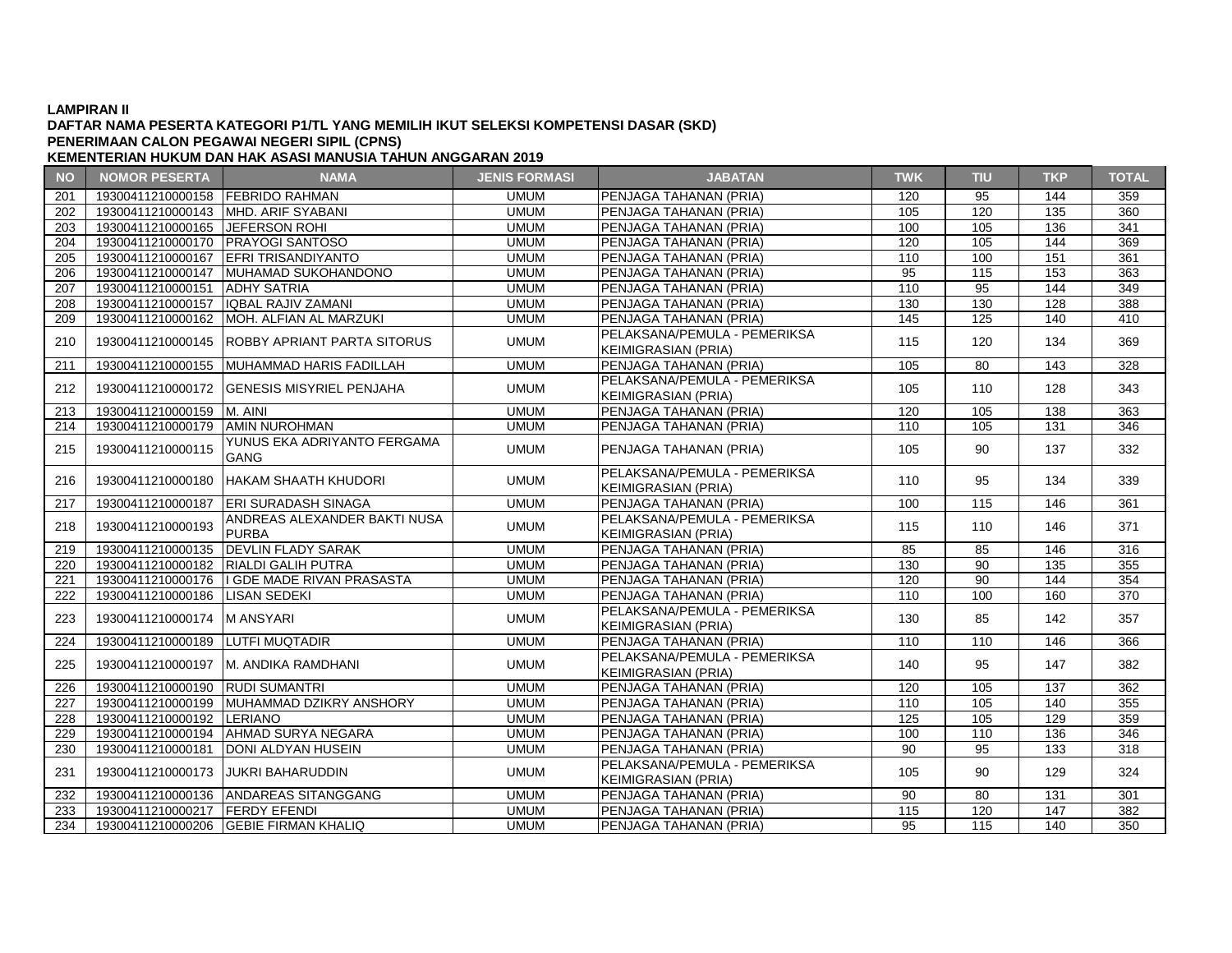### **DAFTAR NAMA PESERTA KATEGORI P1/TL YANG MEMILIH IKUT SELEKSI KOMPETENSI DASAR (SKD) PENERIMAAN CALON PEGAWAI NEGERI SIPIL (CPNS)**

| <b>NO</b>                              | <b>NOMOR PESERTA</b>             | <b>NAMA</b>                                                                                             | <b>JENIS FORMASI</b>       | <b>JABATAN</b>                                   | <b>TWK</b>        | <b>TIU</b>      | <b>TKP</b>        | <b>TOTAL</b>      |
|----------------------------------------|----------------------------------|---------------------------------------------------------------------------------------------------------|----------------------------|--------------------------------------------------|-------------------|-----------------|-------------------|-------------------|
| 201                                    | 19300411210000158 FEBRIDO RAHMAN |                                                                                                         | <b>UMUM</b>                | PENJAGA TAHANAN (PRIA)                           | 120               | 95              | 144               | 359               |
| 202                                    |                                  | 19300411210000143  MHD. ARIF SYABANI                                                                    | <b>UMUM</b>                | PENJAGA TAHANAN (PRIA)                           | 105               | 120             | 135               | 360               |
| 203                                    | 19300411210000165 JEFERSON ROHI  |                                                                                                         | <b>UMUM</b>                | <b>PENJAGA TAHANAN (PRIA)</b>                    | 100               | 105             | 136               | 341               |
| 204                                    |                                  | 19300411210000170   PRAYOGI SANTOSO                                                                     | <b>UMUM</b>                | PENJAGA TAHANAN (PRIA)                           | 120               | 105             | 144               | 369               |
| 205                                    | 19300411210000167                | <b>EFRI TRISANDIYANTO</b>                                                                               | <b>UMUM</b>                | PENJAGA TAHANAN (PRIA)                           | 110               | 100             | 151               | 361               |
| 206                                    | 19300411210000147                | <b>IMUHAMAD SUKOHANDONO</b>                                                                             | <b>UMUM</b>                | PENJAGA TAHANAN (PRIA)                           | 95                | 115             | 153               | 363               |
| 207                                    | 19300411210000151                | <b>ADHY SATRIA</b>                                                                                      | <b>UMUM</b>                | PENJAGA TAHANAN (PRIA)                           | 110               | 95              | 144               | 349               |
| 208                                    | 19300411210000157                | <b>IQBAL RAJIV ZAMANI</b>                                                                               | <b>UMUM</b>                | PENJAGA TAHANAN (PRIA)                           | 130               | 130             | $\overline{128}$  | 388               |
| 209                                    | 19300411210000162                | MOH. ALFIAN AL MARZUKI                                                                                  | <b>UMUM</b>                | IPENJAGA TAHANAN (PRIA)                          | 145               | 125             | 140               | 410               |
|                                        |                                  |                                                                                                         |                            | PELAKSANA/PEMULA - PEMERIKSA                     |                   |                 |                   |                   |
| 210                                    |                                  | 19300411210000145 ROBBY APRIANT PARTA SITORUS                                                           | <b>UMUM</b>                | <b>KEIMIGRASIAN (PRIA)</b>                       | 115               | 120             | 134               | 369               |
| 211                                    | 19300411210000155                | MUHAMMAD HARIS FADILLAH                                                                                 | <b>UMUM</b>                | PENJAGA TAHANAN (PRIA)                           | 105               | 80              | 143               | 328               |
|                                        |                                  |                                                                                                         |                            | PELAKSANA/PEMULA - PEMERIKSA                     |                   |                 |                   |                   |
| 212                                    |                                  | 19300411210000172 GENESIS MISYRIEL PENJAHA                                                              | <b>UMUM</b>                | <b>KEIMIGRASIAN (PRIA)</b>                       | 105               | 110             | 128               | 343               |
| 213                                    | 19300411210000159 M. AINI        |                                                                                                         | <b>UMUM</b>                | PENJAGA TAHANAN (PRIA)                           | 120               | 105             | 138               | 363               |
| 214                                    | 19300411210000179                | <b>AMIN NUROHMAN</b>                                                                                    | <b>UMUM</b>                | PENJAGA TAHANAN (PRIA)                           | 110               | 105             | 131               | 346               |
|                                        |                                  | YUNUS EKA ADRIYANTO FERGAMA                                                                             |                            |                                                  |                   |                 |                   |                   |
| 215                                    | 19300411210000115                | <b>GANG</b>                                                                                             | <b>UMUM</b>                | PENJAGA TAHANAN (PRIA)                           | 105               | 90              | 137               | 332               |
|                                        |                                  |                                                                                                         |                            | PELAKSANA/PEMULA - PEMERIKSA                     |                   |                 |                   |                   |
| 216                                    |                                  | 19300411210000180   HAKAM SHAATH KHUDORI                                                                | <b>UMUM</b>                | <b>KEIMIGRASIAN (PRIA)</b>                       | 110               | 95              | 134               | 339               |
| 217                                    | 19300411210000187                | <b>ERI SURADASH SINAGA</b>                                                                              | <b>UMUM</b>                | <b>PENJAGA TAHANAN (PRIA)</b>                    | 100               | 115             | 146               | 361               |
|                                        |                                  | ANDREAS ALEXANDER BAKTI NUSA                                                                            |                            | PELAKSANA/PEMULA - PEMERIKSA                     |                   |                 |                   |                   |
| 218                                    | 19300411210000193                | <b>PURBA</b>                                                                                            | <b>UMUM</b>                | <b>KEIMIGRASIAN (PRIA)</b>                       | 115               | 110             | 146               | 371               |
| 219                                    |                                  | 19300411210000135 DEVLIN FLADY SARAK                                                                    | <b>UMUM</b>                | PENJAGA TAHANAN (PRIA)                           | 85                | 85              | 146               | 316               |
| 220                                    | 19300411210000182                | RIALDI GALIH PUTRA                                                                                      | <b>UMUM</b>                | PENJAGA TAHANAN (PRIA)                           | 130               | 90              | 135               | 355               |
| 221                                    |                                  | 19300411210000176   GDE MADE RIVAN PRASASTA                                                             | <b>UMUM</b>                | PENJAGA TAHANAN (PRIA)                           | 120               | 90              | 144               | 354               |
| 222                                    | 19300411210000186                | <b>LISAN SEDEKI</b>                                                                                     | <b>UMUM</b>                | PENJAGA TAHANAN (PRIA)                           | 110               | 100             | 160               | 370               |
|                                        |                                  |                                                                                                         |                            | PELAKSANA/PEMULA - PEMERIKSA                     |                   |                 |                   |                   |
| 223                                    | 19300411210000174                | <b>MANSYARI</b>                                                                                         | <b>UMUM</b>                | KEIMIGRASIAN (PRIA)                              | 130               | 85              | 142               | 357               |
| 224                                    | 19300411210000189                | <b>LUTFI MUQTADIR</b>                                                                                   | <b>UMUM</b>                | PENJAGA TAHANAN (PRIA)                           | 110               | 110             | 146               | 366               |
|                                        |                                  |                                                                                                         |                            | PELAKSANA/PEMULA - PEMERIKSA                     |                   |                 |                   |                   |
|                                        |                                  |                                                                                                         |                            | <b>KEIMIGRASIAN (PRIA)</b>                       |                   |                 |                   |                   |
|                                        | 19300411210000190                | <b>RUDI SUMANTRI</b>                                                                                    | <b>UMUM</b>                | PENJAGA TAHANAN (PRIA)                           | 120               | 105             | 137               | 362               |
|                                        | 19300411210000199                | MUHAMMAD DZIKRY ANSHORY                                                                                 | <b>UMUM</b>                |                                                  | 110               | 105             | 140               | 355               |
| 228                                    | 19300411210000192 LERIANO        |                                                                                                         | <b>UMUM</b>                | PENJAGA TAHANAN (PRIA)                           | 125               | 105             | 129               | 359               |
|                                        | 19300411210000194                |                                                                                                         | <b>UMUM</b>                | PENJAGA TAHANAN (PRIA)                           | 100               | 110             |                   |                   |
| 230                                    |                                  | <b>DONI ALDYAN HUSEIN</b>                                                                               | <b>UMUM</b>                |                                                  | 90                | 95              | 133               | 318               |
|                                        |                                  |                                                                                                         |                            | PELAKSANA/PEMULA - PEMERIKSA                     |                   |                 |                   |                   |
|                                        |                                  |                                                                                                         |                            | KEIMIGRASIAN (PRIA)                              |                   |                 |                   |                   |
|                                        | 19300411210000136                | <b>ANDAREAS SITANGGANG</b>                                                                              | <b>UMUM</b>                | PENJAGA TAHANAN (PRIA)                           | 90                | 80              | 131               | 301               |
| 233                                    | 19300411210000217                | <b>FERDY EFENDI</b>                                                                                     | <b>UMUM</b>                | PENJAGA TAHANAN (PRIA)                           |                   |                 | 147               | 382               |
| 234                                    |                                  | 19300411210000206 GEBIE FIRMAN KHALIQ                                                                   | <b>UMUM</b>                | PENJAGA TAHANAN (PRIA)                           | 95                | 115             | 140               | 350               |
| 225<br>226<br>227<br>229<br>231<br>232 | 19300411210000181                | 19300411210000197 M. ANDIKA RAMDHANI<br><b>AHMAD SURYA NEGARA</b><br>19300411210000173 JUKRI BAHARUDDIN | <b>UMUM</b><br><b>UMUM</b> | PENJAGA TAHANAN (PRIA)<br>PENJAGA TAHANAN (PRIA) | 140<br>105<br>115 | 95<br>90<br>120 | 147<br>136<br>129 | 382<br>346<br>324 |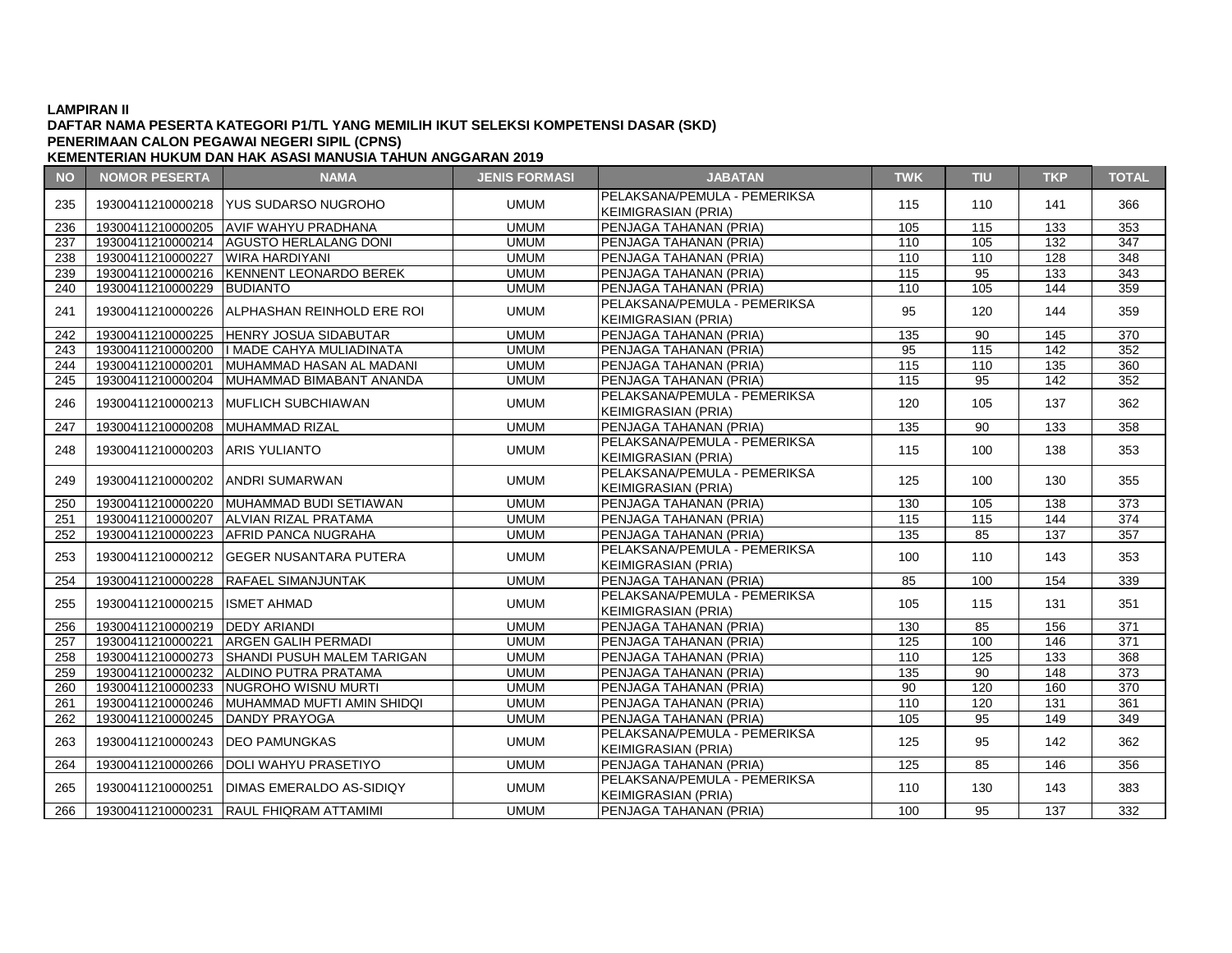### **DAFTAR NAMA PESERTA KATEGORI P1/TL YANG MEMILIH IKUT SELEKSI KOMPETENSI DASAR (SKD) KEMENTERIAN HUKUM DAN HAK ASASI MANUSIA TAHUN ANGGARAN 2019 PENERIMAAN CALON PEGAWAI NEGERI SIPIL (CPNS)**

**NO NOMOR PESERTA NAMA JENIS FORMASI JABATAN TWK TIU TKP TOTAL** <sup>235</sup> <sup>19300411210000218</sup> YUS SUDARSO NUGROHO UMUM PELAKSANA/PEMULA - PEMERIKSA KEIMIGRASIAN (PRIA) <sup>115</sup> <sup>110</sup> <sup>141</sup> <sup>366</sup> 236 | 19300411210000205 AVIF WAHYU PRADHANA | UMUM PENJAGA TAHANAN (PRIA) | 105 | 115 | 133 | 353 237 19300411210000214 AGUSTO HERLALANG DONI (WIMUM PENJAGA TAHANAN (PRIA) 110 105 132 347 238 19300411210000227 WIRA HARDIYANI UMUM PENJAGA TAHANAN (PRIA) 110 110 128 348 239 19300411210000216 KENNENT LEONARDO BEREK I UMUM PENJAGA TAHANAN (PRIA) 115 115 95 133 343 240 19300411210000229 BUDIANTO UMUM PENJAGA TAHANAN (PRIA) 110 105 144 359 241 19300411210000226 ALPHASHAN REINHOLD ERE ROI UMUM PELAKSANA/PEMULA - PEMERIKSA KEIMIGRASIAN (PRIA) <sup>95</sup> <sup>120</sup> <sup>144</sup> <sup>359</sup> 242 19300411210000225 HENRY JOSUA SIDABUTAR NEW UMUM PENJAGA TAHANAN (PRIA) 135 135 130 145 370 243 19300411210000200 I MADE CAHYA MULIADINATA UMUM PENJAGA TAHANAN (PRIA) 95 115 142 352 244 19300411210000201 MUHAMMAD HASAN AL MADANI UMUM PENJAGA TAHANAN (PRIA) 115 110 135 360 245 19300411210000204 MUHAMMAD BIMABANT ANANDA UMUM PENJAGA TAHANAN (PRIA) 115 95 142 352 246 | 19300411210000213 MUFLICH SUBCHIAWAN UMUM KEIMIGRASIAN (PRIA) <sup>120</sup> <sup>105</sup> <sup>137</sup> <sup>362</sup> 247 19300411210000208 MUHAMMAD RIZAL UMUM PENJAGA TAHANAN (PRIA) 135 90 133 358 <sup>248</sup> <sup>19300411210000203</sup> ARIS YULIANTO UMUM PELAKSANA/PEMULA - PEMERIKSA PELANSANA/PEMULA PEMENINSA | 115 | 100 | 138 | 353<br>KEIMIGRASIAN (PRIA) <sup>249</sup> <sup>19300411210000202</sup> ANDRI SUMARWAN UMUM PELAKSANA/PEMULA - PEMERIKSA KEIMIGRASIAN (PRIA) – LIMENTROA († 125 | 100 | 130 | 355 | KEIMIGRASIAN (PRIA) 250 | 19300411210000220 |MUHAMMAD BUDI SETIAWAN | UMUM | PENJAGA TAHANAN (PRIA) | 130 | 105 | 138 | 373 251 19300411210000207 ALVIAN RIZAL PRATAMA UMUM PENJAGA TAHANAN (PRIA) 115 115 144 374 252 19300411210000223 AFRID PANCA NUGRAHA | UMUM PENJAGA TAHANAN (PRIA) 135 | 85 | 137 | 357 253 19300411210000212 GEGER NUSANTARA PUTERA UMUM PELAKSANA/PEMULA - PEMERIKSA KEIMIGRASIAN (PRIA) 100 | 110 | 143 | 353<br>KEIMIGRASIAN (PRIA) 254 19300411210000228 RAFAEL SIMANJUNTAK UMUM PENJAGA TAHANAN (PRIA) 85 100 154 339 255 19300411210000215 ISMET AHMAD UMUM PELAKSANA/PEMULA - PEMERIKSA PELANSANA/PEMULA PEMENINSA | 105 | 115 | 131 | 351<br>KEIMIGRASIAN (PRIA) 256 19300411210000219 DEDY ARIANDI UMUM PENJAGA TAHANAN (PRIA) 130 85 156 371 257 19300411210000221 ARGEN GALIH PERMADI UMUM PENJAGA TAHANAN (PRIA) 125 100 146 371 258 | 19300411210000273 | SHANDI PUSUH MALEM TARIGAN | UMUM PENJAGA TAHANAN (PRIA) 110 | 110 | 125 | 133 | 368 259 19300411210000232 ALDINO PUTRA PRATAMA UMUM PENJAGA TAHANAN (PRIA) 135 90 148 373 260 19300411210000233 NUGROHO WISNU MURTI UMUM PENJAGA TAHANAN (PRIA) 90 120 160 370 261 19300411210000246 MUHAMMAD MUFTI AMIN SHIDQI UMUM PENJAGA TAHANAN (PRIA) 110 120 131 361 262 19300411210000245 DANDY PRAYOGA UMUM PENJAGA TAHANAN (PRIA) 105 95 149 349 263 19300411210000243 DEO PAMUNGKAS UMUM PELAKSANA/PEMULA - PEMERIKSA PELANSANA/PEMULA PEMENINSA | 125 | 95 | 142 | 362<br>KEIMIGRASIAN (PRIA) 264 19300411210000266 DOLI WAHYU PRASETIYO UMUM PENJAGA TAHANAN (PRIA) 125 85 146 356 <sup>265</sup> <sup>19300411210000251</sup> DIMAS EMERALDO AS-SIDIQY UMUM PELAKSANA/PEMULA - PEMERIKSA KEIMIGRASIAN (PRIA) <sup>110</sup> <sup>130</sup> <sup>143</sup> <sup>383</sup>

266 19300411210000231 RAUL FHIQRAM ATTAMIMI UMUM PENJAGA TAHANAN (PRIA) 100 95 137 332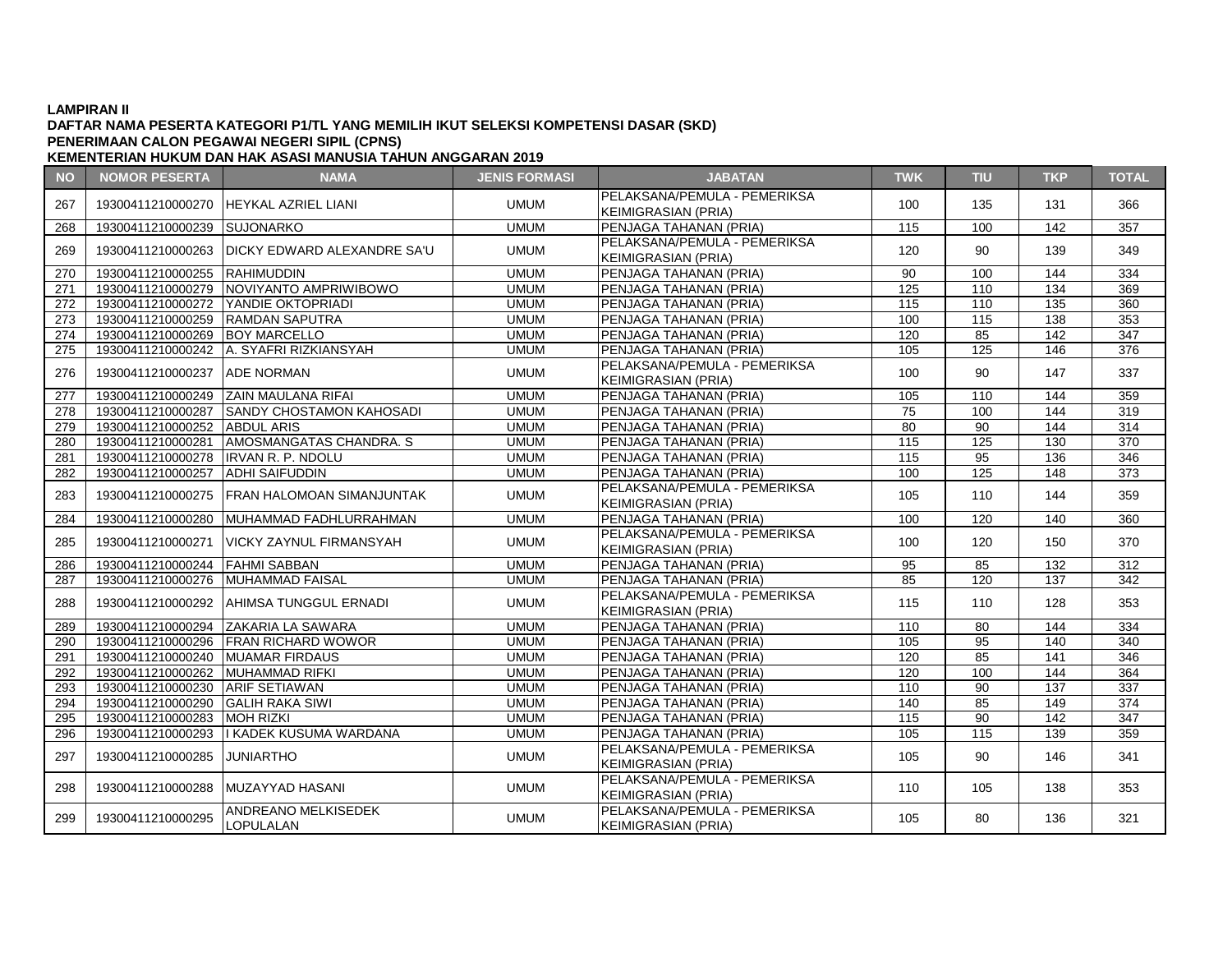# **DAFTAR NAMA PESERTA KATEGORI P1/TL YANG MEMILIH IKUT SELEKSI KOMPETENSI DASAR (SKD) PENERIMAAN CALON PEGAWAI NEGERI SIPIL (CPNS)**

| <b>NO</b> | <b>NOMOR PESERTA</b>                  | <b>NAMA</b>                                    | <b>JENIS FORMASI</b> | <b>JABATAN</b>                                             | <b>TWK</b>      | <b>TIU</b> | <b>TKP</b>       | <b>TOTAL</b>     |
|-----------|---------------------------------------|------------------------------------------------|----------------------|------------------------------------------------------------|-----------------|------------|------------------|------------------|
| 267       |                                       | 19300411210000270 HEYKAL AZRIEL LIANI          | <b>UMUM</b>          | PELAKSANA/PEMULA - PEMERIKSA<br><b>KEIMIGRASIAN (PRIA)</b> | 100             | 135        | 131              | 366              |
| 268       | 19300411210000239 SUJONARKO           |                                                | <b>UMUM</b>          | PENJAGA TAHANAN (PRIA)                                     | 115             | 100        | $\overline{142}$ | 357              |
| 269       |                                       | 19300411210000263 IDICKY EDWARD ALEXANDRE SA'U | <b>UMUM</b>          | PELAKSANA/PEMULA - PEMERIKSA<br><b>KEIMIGRASIAN (PRIA)</b> | 120             | 90         | 139              | 349              |
| 270       | 19300411210000255 RAHIMUDDIN          |                                                | <b>UMUM</b>          | PENJAGA TAHANAN (PRIA)                                     | 90              | 100        | 144              | 334              |
| 271       |                                       | 19300411210000279 NOVIYANTO AMPRIWIBOWO        | <b>UMUM</b>          | PENJAGA TAHANAN (PRIA)                                     | 125             | 110        | 134              | 369              |
| 272       |                                       | 19300411210000272 YANDIE OKTOPRIADI            | <b>UMUM</b>          | PENJAGA TAHANAN (PRIA)                                     | 115             | 110        | 135              | 360              |
| 273       | 19300411210000259 RAMDAN SAPUTRA      |                                                | <b>UMUM</b>          | PENJAGA TAHANAN (PRIA)                                     | 100             | 115        | 138              | 353              |
| 274       | 19300411210000269 BOY MARCELLO        |                                                | <b>UMUM</b>          | PENJAGA TAHANAN (PRIA)                                     | 120             | 85         | 142              | 347              |
| 275       |                                       | 19300411210000242 A. SYAFRI RIZKIANSYAH        | <b>UMUM</b>          | PENJAGA TAHANAN (PRIA)                                     | 105             | 125        | 146              | 376              |
| 276       | 19300411210000237 ADE NORMAN          |                                                | <b>UMUM</b>          | PELAKSANA/PEMULA - PEMERIKSA<br><b>KEIMIGRASIAN (PRIA)</b> | 100             | 90         | 147              | 337              |
| 277       |                                       | 19300411210000249 ZAIN MAULANA RIFAI           | <b>UMUM</b>          | PENJAGA TAHANAN (PRIA)                                     | 105             | 110        | 144              | 359              |
| 278       |                                       | 19300411210000287 SANDY CHOSTAMON KAHOSADI     | <b>UMUM</b>          | PENJAGA TAHANAN (PRIA)                                     | 75              | 100        | 144              | 319              |
| 279       | 19300411210000252 ABDUL ARIS          |                                                | <b>UMUM</b>          | PENJAGA TAHANAN (PRIA)                                     | $\overline{80}$ | 90         | 144              | $\overline{314}$ |
| 280       |                                       | 19300411210000281 AMOSMANGATAS CHANDRA. S      | <b>UMUM</b>          | PENJAGA TAHANAN (PRIA)                                     | 115             | 125        | 130              | 370              |
| 281       | 19300411210000278   IRVAN R. P. NDOLU |                                                | <b>UMUM</b>          | PENJAGA TAHANAN (PRIA)                                     | 115             | 95         | 136              | 346              |
| 282       | 19300411210000257 ADHI SAIFUDDIN      |                                                | <b>UMUM</b>          | PENJAGA TAHANAN (PRIA)                                     | 100             | 125        | 148              | 373              |
| 283       | 19300411210000275                     | FRAN HALOMOAN SIMANJUNTAK                      | <b>UMUM</b>          | PELAKSANA/PEMULA - PEMERIKSA<br><b>KEIMIGRASIAN (PRIA)</b> | 105             | 110        | 144              | 359              |
| 284       | 19300411210000280                     | IMUHAMMAD FADHLURRAHMAN                        | <b>UMUM</b>          | PENJAGA TAHANAN (PRIA)                                     | 100             | 120        | 140              | 360              |
| 285       |                                       | 19300411210000271   VICKY ZAYNUL FIRMANSYAH    | <b>UMUM</b>          | PELAKSANA/PEMULA - PEMERIKSA<br><b>KEIMIGRASIAN (PRIA)</b> | 100             | 120        | 150              | 370              |
| 286       | 19300411210000244 FAHMI SABBAN        |                                                | <b>UMUM</b>          | PENJAGA TAHANAN (PRIA)                                     | 95              | 85         | 132              | 312              |
| 287       | 19300411210000276                     | <b>MUHAMMAD FAISAL</b>                         | <b>UMUM</b>          | PENJAGA TAHANAN (PRIA)                                     | 85              | 120        | 137              | $\overline{342}$ |
| 288       |                                       | 19300411210000292 AHIMSA TUNGGUL ERNADI        | <b>UMUM</b>          | PELAKSANA/PEMULA - PEMERIKSA<br><b>KEIMIGRASIAN (PRIA)</b> | 115             | 110        | 128              | 353              |
| 289       |                                       | 19300411210000294 ZAKARIA LA SAWARA            | <b>UMUM</b>          | PENJAGA TAHANAN (PRIA)                                     | 110             | 80         | 144              | 334              |
| 290       |                                       | 19300411210000296 FRAN RICHARD WOWOR           | <b>UMUM</b>          | PENJAGA TAHANAN (PRIA)                                     | 105             | 95         | 140              | 340              |
| 291       | 19300411210000240 MUAMAR FIRDAUS      |                                                | <b>UMUM</b>          | PENJAGA TAHANAN (PRIA)                                     | 120             | 85         | 141              | 346              |
| 292       | 19300411210000262 MUHAMMAD RIFKI      |                                                | <b>UMUM</b>          | PENJAGA TAHANAN (PRIA)                                     | 120             | 100        | 144              | 364              |
| 293       | 19300411210000230 ARIF SETIAWAN       |                                                | <b>UMUM</b>          | PENJAGA TAHANAN (PRIA)                                     | 110             | 90         | 137              | 337              |
| 294       | 19300411210000290 GALIH RAKA SIWI     |                                                | <b>UMUM</b>          | PENJAGA TAHANAN (PRIA)                                     | 140             | 85         | 149              | $\overline{374}$ |
| 295       | 19300411210000283 MOH RIZKI           |                                                | <b>UMUM</b>          | PENJAGA TAHANAN (PRIA)                                     | 115             | 90         | 142              | 347              |
| 296       |                                       | 19300411210000293   KADEK KUSUMA WARDANA       | <b>UMUM</b>          | PENJAGA TAHANAN (PRIA)                                     | 105             | 115        | 139              | 359              |
| 297       | 19300411210000285                     | <b>JUNIARTHO</b>                               | <b>UMUM</b>          | PELAKSANA/PEMULA - PEMERIKSA<br><b>KEIMIGRASIAN (PRIA)</b> | 105             | 90         | 146              | 341              |
| 298       |                                       | 19300411210000288 MUZAYYAD HASANI              | <b>UMUM</b>          | PELAKSANA/PEMULA - PEMERIKSA<br><b>KEIMIGRASIAN (PRIA)</b> | 110             | 105        | 138              | 353              |
| 299       | 19300411210000295                     | <b>ANDREANO MELKISEDEK</b><br>LOPULALAN        | <b>UMUM</b>          | PELAKSANA/PEMULA - PEMERIKSA<br><b>KEIMIGRASIAN (PRIA)</b> | 105             | 80         | 136              | 321              |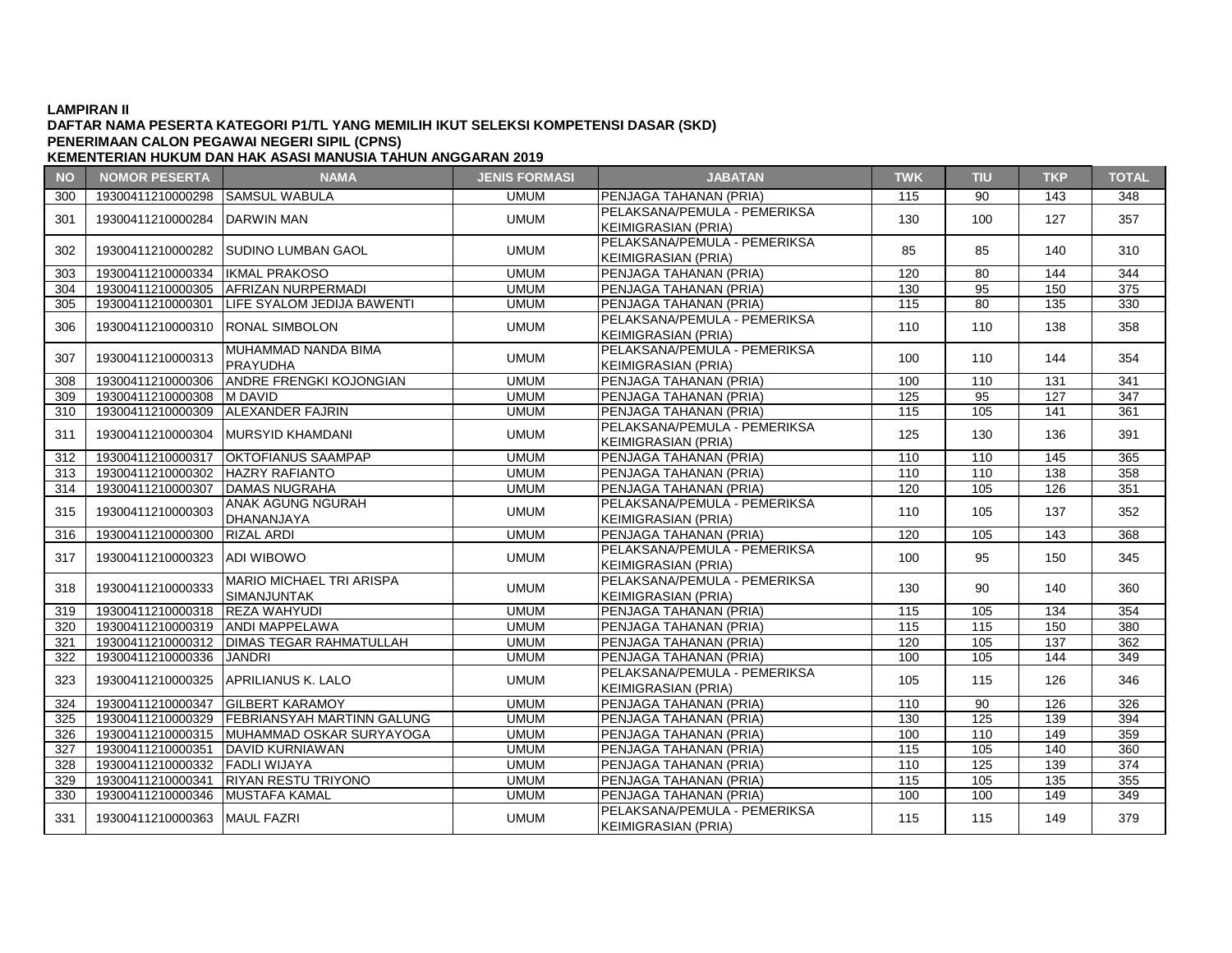# **DAFTAR NAMA PESERTA KATEGORI P1/TL YANG MEMILIH IKUT SELEKSI KOMPETENSI DASAR (SKD) PENERIMAAN CALON PEGAWAI NEGERI SIPIL (CPNS)**

| <b>NO</b> | <b>NOMOR PESERTA</b>              | <b>NAMA</b>                                           | <b>JENIS FORMASI</b> | <b>JABATAN</b>                                             | <b>TWK</b> | <b>TIU</b> | <b>TKP</b> | <b>TOTAL</b>     |
|-----------|-----------------------------------|-------------------------------------------------------|----------------------|------------------------------------------------------------|------------|------------|------------|------------------|
| 300       | 19300411210000298 SAMSUL WABULA   |                                                       | <b>UMUM</b>          | PENJAGA TAHANAN (PRIA)                                     | 115        | 90         | 143        | 348              |
| 301       | 19300411210000284 DARWIN MAN      |                                                       | <b>UMUM</b>          | PELAKSANA/PEMULA - PEMERIKSA<br><b>KEIMIGRASIAN (PRIA)</b> | 130        | 100        | 127        | 357              |
| 302       |                                   | 19300411210000282 SUDINO LUMBAN GAOL                  | <b>UMUM</b>          | PELAKSANA/PEMULA - PEMERIKSA<br><b>KEIMIGRASIAN (PRIA)</b> | 85         | 85         | 140        | 310              |
| 303       | 19300411210000334   IKMAL PRAKOSO |                                                       | <b>UMUM</b>          | PENJAGA TAHANAN (PRIA)                                     | 120        | 80         | 144        | 344              |
| 304       |                                   | 19300411210000305 AFRIZAN NURPERMADI                  | <b>UMUM</b>          | PENJAGA TAHANAN (PRIA)                                     | 130        | 95         | 150        | 375              |
| 305       | 19300411210000301                 | LIFE SYALOM JEDIJA BAWENTI                            | <b>UMUM</b>          | PENJAGA TAHANAN (PRIA)                                     | 115        | 80         | 135        | 330              |
| 306       | 19300411210000310 RONAL SIMBOLON  |                                                       | <b>UMUM</b>          | PELAKSANA/PEMULA - PEMERIKSA<br><b>KEIMIGRASIAN (PRIA)</b> | 110        | 110        | 138        | 358              |
| 307       | 19300411210000313                 | MUHAMMAD NANDA BIMA<br>PRAYUDHA                       | <b>UMUM</b>          | PELAKSANA/PEMULA - PEMERIKSA<br><b>KEIMIGRASIAN (PRIA)</b> | 100        | 110        | 144        | 354              |
| 308       | 19300411210000306                 | <b>ANDRE FRENGKI KOJONGIAN</b>                        | <b>UMUM</b>          | PENJAGA TAHANAN (PRIA)                                     | 100        | 110        | 131        | 341              |
| 309       | 19300411210000308 M DAVID         |                                                       | <b>UMUM</b>          | PENJAGA TAHANAN (PRIA)                                     | 125        | 95         | 127        | 347              |
| 310       | 19300411210000309                 | <b>ALEXANDER FAJRIN</b>                               | <b>UMUM</b>          | PENJAGA TAHANAN (PRIA)                                     | 115        | 105        | 141        | $\overline{361}$ |
| 311       | 19300411210000304                 | MURSYID KHAMDANI                                      | <b>UMUM</b>          | PELAKSANA/PEMULA - PEMERIKSA<br><b>KEIMIGRASIAN (PRIA)</b> | 125        | 130        | 136        | 391              |
| 312       | 19300411210000317                 | <b>OKTOFIANUS SAAMPAP</b>                             | <b>UMUM</b>          | PENJAGA TAHANAN (PRIA)                                     | 110        | 110        | 145        | 365              |
| 313       | 19300411210000302 HAZRY RAFIANTO  |                                                       | <b>UMUM</b>          | PENJAGA TAHANAN (PRIA)                                     | 110        | 110        | 138        | 358              |
| 314       | 19300411210000307                 | <b>DAMAS NUGRAHA</b>                                  | <b>UMUM</b>          | PENJAGA TAHANAN (PRIA)                                     | 120        | 105        | 126        | 351              |
| 315       | 19300411210000303                 | ANAK AGUNG NGURAH<br>DHANANJAYA                       | <b>UMUM</b>          | PELAKSANA/PEMULA - PEMERIKSA<br><b>KEIMIGRASIAN (PRIA)</b> | 110        | 105        | 137        | 352              |
| 316       | 19300411210000300                 | <b>RIZAL ARDI</b>                                     | <b>UMUM</b>          | PENJAGA TAHANAN (PRIA)                                     | 120        | 105        | 143        | 368              |
| 317       | 19300411210000323 ADI WIBOWO      |                                                       | <b>UMUM</b>          | PELAKSANA/PEMULA - PEMERIKSA<br><b>KEIMIGRASIAN (PRIA)</b> | 100        | 95         | 150        | 345              |
| 318       | 19300411210000333                 | <b>MARIO MICHAEL TRI ARISPA</b><br><b>SIMANJUNTAK</b> | <b>UMUM</b>          | PELAKSANA/PEMULA - PEMERIKSA<br><b>KEIMIGRASIAN (PRIA)</b> | 130        | 90         | 140        | 360              |
| 319       | 19300411210000318 REZA WAHYUDI    |                                                       | <b>UMUM</b>          | PENJAGA TAHANAN (PRIA)                                     | 115        | 105        | 134        | 354              |
| 320       | 19300411210000319 ANDI MAPPELAWA  |                                                       | <b>UMUM</b>          | PENJAGA TAHANAN (PRIA)                                     | 115        | 115        | 150        | 380              |
| 321       |                                   | 19300411210000312   DIMAS TEGAR RAHMATULLAH           | <b>UMUM</b>          | PENJAGA TAHANAN (PRIA)                                     | 120        | 105        | 137        | 362              |
| 322       | 19300411210000336                 | <b>JANDRI</b>                                         | <b>UMUM</b>          | PENJAGA TAHANAN (PRIA)                                     | 100        | 105        | 144        | 349              |
| 323       |                                   | 19300411210000325 APRILIANUS K. LALO                  | <b>UMUM</b>          | PELAKSANA/PEMULA - PEMERIKSA<br><b>KEIMIGRASIAN (PRIA)</b> | 105        | 115        | 126        | 346              |
| 324       |                                   | 19300411210000347 GILBERT KARAMOY                     | <b>UMUM</b>          | PENJAGA TAHANAN (PRIA)                                     | 110        | 90         | 126        | 326              |
| 325       |                                   | 19300411210000329   FEBRIANSYAH MARTINN GALUNG        | <b>UMUM</b>          | PENJAGA TAHANAN (PRIA)                                     | 130        | 125        | 139        | 394              |
| 326       |                                   | 19300411210000315 MUHAMMAD OSKAR SURYAYOGA            | <b>UMUM</b>          | PENJAGA TAHANAN (PRIA)                                     | 100        | 110        | 149        | 359              |
| 327       | 19300411210000351                 | DAVID KURNIAWAN                                       | <b>UMUM</b>          | PENJAGA TAHANAN (PRIA)                                     | 115        | 105        | 140        | 360              |
| 328       | 19300411210000332 FADLI WIJAYA    |                                                       | <b>UMUM</b>          | PENJAGA TAHANAN (PRIA)                                     | 110        | 125        | 139        | $\overline{374}$ |
| 329       | 19300411210000341                 | <b>RIYAN RESTU TRIYONO</b>                            | <b>UMUM</b>          | PENJAGA TAHANAN (PRIA)                                     | 115        | 105        | 135        | 355              |
| 330       | 19300411210000346                 | MUSTAFA KAMAL                                         | <b>UMUM</b>          | PENJAGA TAHANAN (PRIA)                                     | 100        | 100        | 149        | 349              |
| 331       | 19300411210000363 MAUL FAZRI      |                                                       | <b>UMUM</b>          | PELAKSANA/PEMULA - PEMERIKSA<br><b>KEIMIGRASIAN (PRIA)</b> | 115        | 115        | 149        | 379              |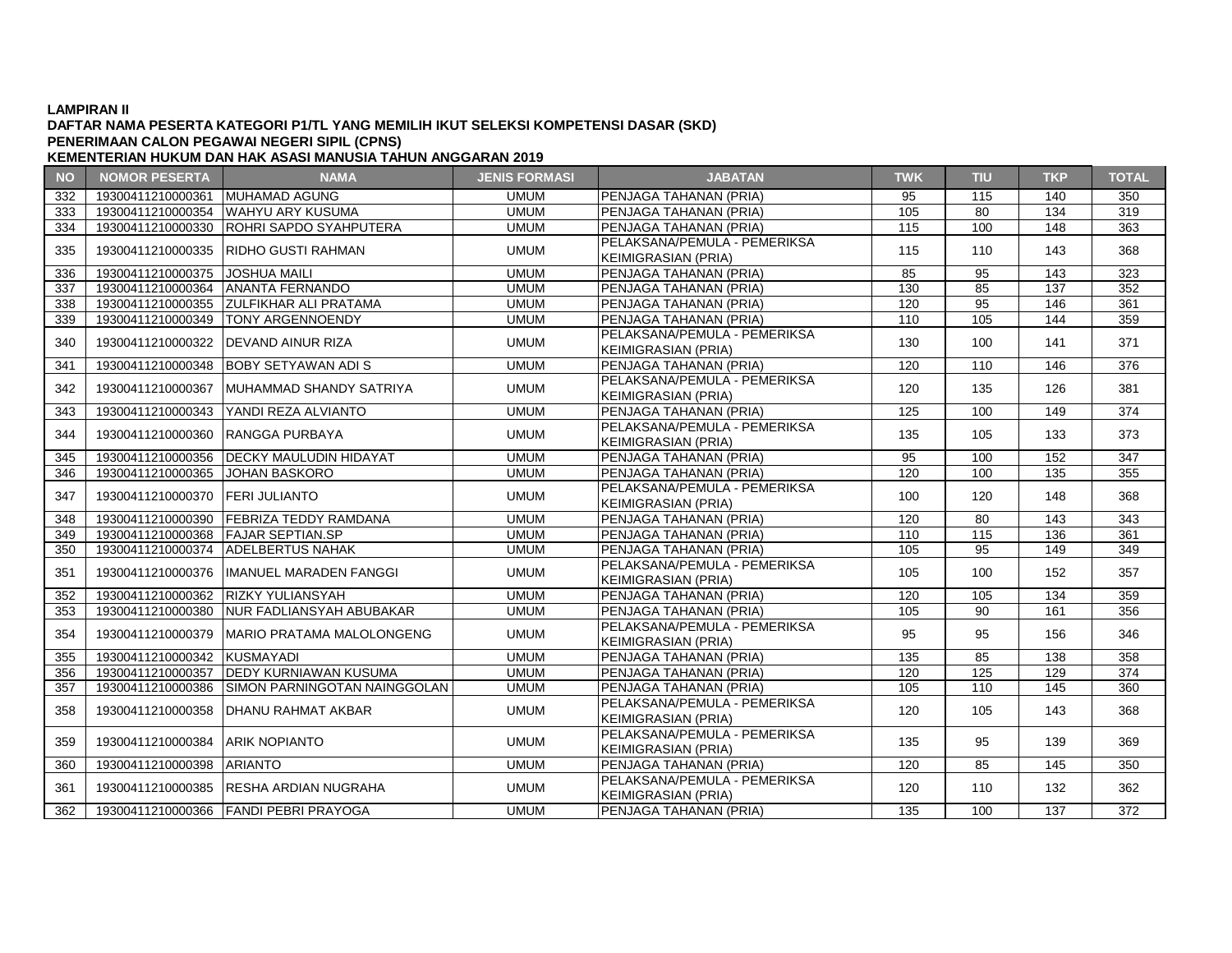### **DAFTAR NAMA PESERTA KATEGORI P1/TL YANG MEMILIH IKUT SELEKSI KOMPETENSI DASAR (SKD) PENERIMAAN CALON PEGAWAI NEGERI SIPIL (CPNS)**

| <b>NO</b> | <b>NOMOR PESERTA</b>               | <b>NAMA</b>                                    | <b>JENIS FORMASI</b> | <b>JABATAN</b>                                             | <b>TWK</b> | <b>TIU</b> | <b>TKP</b> | <b>TOTAL</b>     |
|-----------|------------------------------------|------------------------------------------------|----------------------|------------------------------------------------------------|------------|------------|------------|------------------|
| 332       | 19300411210000361                  | <b>MUHAMAD AGUNG</b>                           | <b>UMUM</b>          | PENJAGA TAHANAN (PRIA)                                     | 95         | 115        | 140        | 350              |
| 333       |                                    | 19300411210000354 WAHYU ARY KUSUMA             | <b>UMUM</b>          | PENJAGA TAHANAN (PRIA)                                     | 105        | 80         | 134        | 319              |
| 334       |                                    | 19300411210000330 ROHRI SAPDO SYAHPUTERA       | <b>UMUM</b>          | PENJAGA TAHANAN (PRIA)                                     | 115        | 100        | 148        | 363              |
| 335       |                                    | 19300411210000335 RIDHO GUSTI RAHMAN           | <b>UMUM</b>          | PELAKSANA/PEMULA - PEMERIKSA<br><b>KEIMIGRASIAN (PRIA)</b> | 115        | 110        | 143        | 368              |
| 336       | 19300411210000375 JOSHUA MAILI     |                                                | <b>UMUM</b>          | PENJAGA TAHANAN (PRIA)                                     | 85         | 95         | 143        | 323              |
| 337       |                                    | 19300411210000364 ANANTA FERNANDO              | <b>UMUM</b>          | PENJAGA TAHANAN (PRIA)                                     | 130        | 85         | 137        | 352              |
| 338       |                                    | 19300411210000355 ZULFIKHAR ALI PRATAMA        | <b>UMUM</b>          | PENJAGA TAHANAN (PRIA)                                     | 120        | 95         | 146        | 361              |
| 339       |                                    | 19300411210000349   TONY ARGENNOENDY           | <b>UMUM</b>          | PENJAGA TAHANAN (PRIA)                                     | 110        | 105        | 144        | 359              |
| 340       |                                    | 19300411210000322 DEVAND AINUR RIZA            | <b>UMUM</b>          | PELAKSANA/PEMULA - PEMERIKSA<br><b>KEIMIGRASIAN (PRIA)</b> | 130        | 100        | 141        | 371              |
| 341       |                                    | 19300411210000348 BOBY SETYAWAN ADI S          | <b>UMUM</b>          | <b>IPENJAGA TAHANAN (PRIA)</b>                             | 120        | 110        | 146        | 376              |
| 342       | 19300411210000367                  | IMUHAMMAD SHANDY SATRIYA                       | <b>UMUM</b>          | PELAKSANA/PEMULA - PEMERIKSA<br><b>KEIMIGRASIAN (PRIA)</b> | 120        | 135        | 126        | 381              |
| 343       |                                    | 19300411210000343   YANDI REZA ALVIANTO        | <b>UMUM</b>          | PENJAGA TAHANAN (PRIA)                                     | 125        | 100        | 149        | 374              |
| 344       |                                    | 19300411210000360 RANGGA PURBAYA               | <b>UMUM</b>          | PELAKSANA/PEMULA - PEMERIKSA<br><b>KEIMIGRASIAN (PRIA)</b> | 135        | 105        | 133        | 373              |
| 345       |                                    | 19300411210000356   DECKY MAULUDIN HIDAYAT     | <b>UMUM</b>          | PENJAGA TAHANAN (PRIA)                                     | 95         | 100        | 152        | 347              |
| 346       | 19300411210000365 JOHAN BASKORO    |                                                | <b>UMUM</b>          | PENJAGA TAHANAN (PRIA)                                     | 120        | 100        | 135        | 355              |
| 347       | 19300411210000370 FERI JULIANTO    |                                                | <b>UMUM</b>          | PELAKSANA/PEMULA - PEMERIKSA<br><b>KEIMIGRASIAN (PRIA)</b> | 100        | 120        | 148        | 368              |
| 348       |                                    | 19300411210000390 FEBRIZA TEDDY RAMDANA        | <b>UMUM</b>          | PENJAGA TAHANAN (PRIA)                                     | 120        | 80         | 143        | $\overline{343}$ |
| 349       | 19300411210000368 FAJAR SEPTIAN.SP |                                                | <b>UMUM</b>          | PENJAGA TAHANAN (PRIA)                                     | 110        | 115        | 136        | 361              |
| 350       |                                    | 19300411210000374 ADELBERTUS NAHAK             | <b>UMUM</b>          | PENJAGA TAHANAN (PRIA)                                     | 105        | 95         | 149        | 349              |
| 351       | 19300411210000376                  | <b>IMANUEL MARADEN FANGGI</b>                  | <b>UMUM</b>          | PELAKSANA/PEMULA - PEMERIKSA<br><b>KEIMIGRASIAN (PRIA)</b> | 105        | 100        | 152        | 357              |
| 352       |                                    | 19300411210000362 RIZKY YULIANSYAH             | <b>UMUM</b>          | PENJAGA TAHANAN (PRIA)                                     | 120        | 105        | 134        | 359              |
| 353       |                                    | 19300411210000380 NUR FADLIANSYAH ABUBAKAR     | <b>UMUM</b>          | PENJAGA TAHANAN (PRIA)                                     | 105        | 90         | 161        | 356              |
| 354       |                                    | 19300411210000379   MARIO PRATAMA MALOLONGENG  | <b>UMUM</b>          | PELAKSANA/PEMULA - PEMERIKSA<br><b>KEIMIGRASIAN (PRIA)</b> | 95         | 95         | 156        | 346              |
| 355       | 19300411210000342 KUSMAYADI        |                                                | <b>UMUM</b>          | PENJAGA TAHANAN (PRIA)                                     | 135        | 85         | 138        | 358              |
| 356       |                                    | 19300411210000357 DEDY KURNIAWAN KUSUMA        | <b>UMUM</b>          | PENJAGA TAHANAN (PRIA)                                     | 120        | 125        | 129        | 374              |
| 357       |                                    | 19300411210000386 SIMON PARNINGOTAN NAINGGOLAN | <b>UMUM</b>          | PENJAGA TAHANAN (PRIA)                                     | 105        | 110        | 145        | 360              |
| 358       | 19300411210000358                  | <b>IDHANU RAHMAT AKBAR</b>                     | <b>UMUM</b>          | PELAKSANA/PEMULA - PEMERIKSA<br><b>KEIMIGRASIAN (PRIA)</b> | 120        | 105        | 143        | 368              |
| 359       | 19300411210000384                  | <b>JARIK NOPIANTO</b>                          | <b>UMUM</b>          | PELAKSANA/PEMULA - PEMERIKSA<br><b>KEIMIGRASIAN (PRIA)</b> | 135        | 95         | 139        | 369              |
| 360       | 19300411210000398                  | <b>ARIANTO</b>                                 | <b>UMUM</b>          | PENJAGA TAHANAN (PRIA)                                     | 120        | 85         | 145        | 350              |
| 361       |                                    | 19300411210000385 RESHA ARDIAN NUGRAHA         | <b>UMUM</b>          | PELAKSANA/PEMULA - PEMERIKSA<br><b>KEIMIGRASIAN (PRIA)</b> | 120        | 110        | 132        | 362              |
| 362       |                                    | 19300411210000366 FANDI PEBRI PRAYOGA          | <b>UMUM</b>          | PENJAGA TAHANAN (PRIA)                                     | 135        | 100        | 137        | 372              |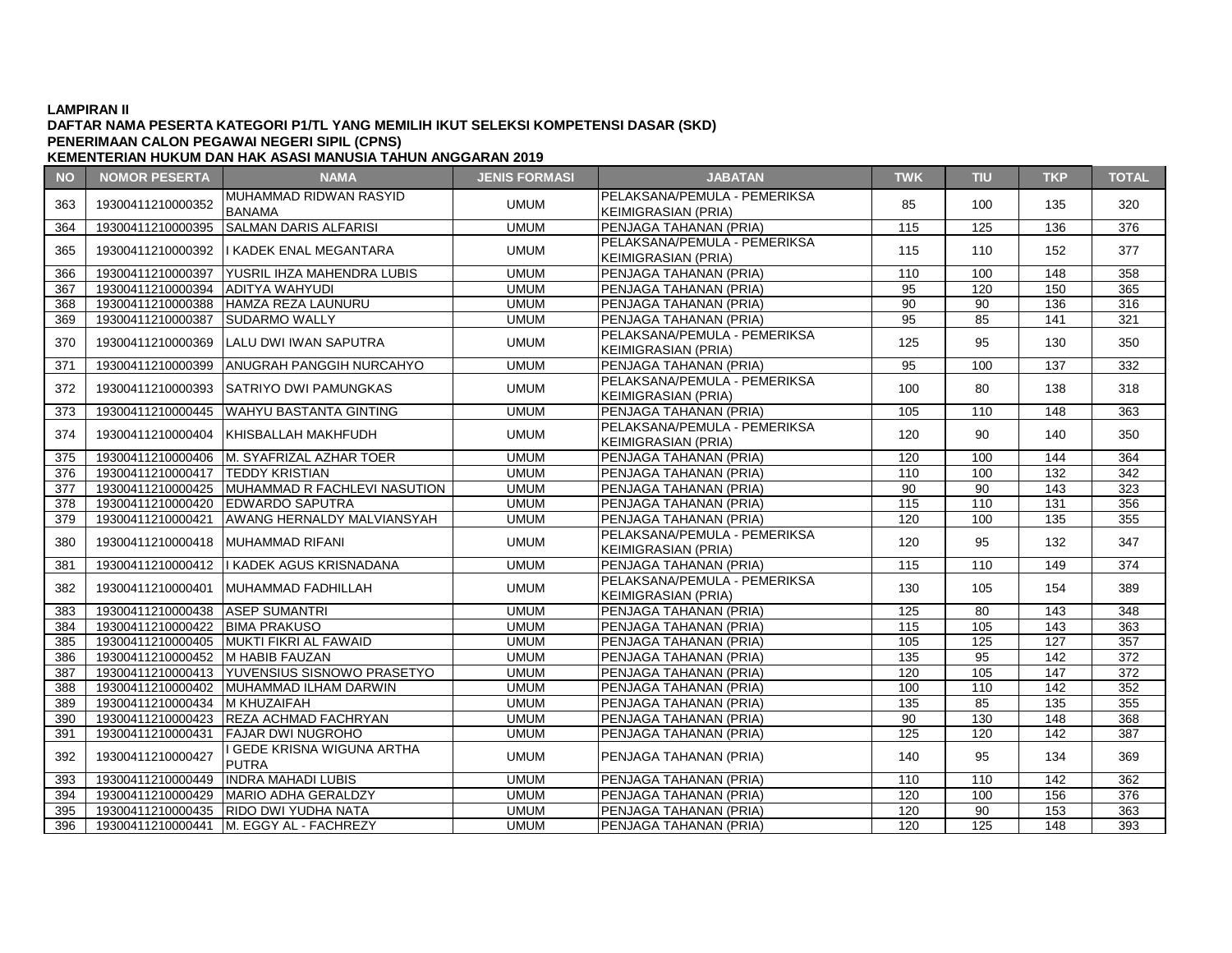# **DAFTAR NAMA PESERTA KATEGORI P1/TL YANG MEMILIH IKUT SELEKSI KOMPETENSI DASAR (SKD) PENERIMAAN CALON PEGAWAI NEGERI SIPIL (CPNS)**

| <b>NO</b> | <b>NOMOR PESERTA</b>                | <b>NAMA</b>                                    | <b>JENIS FORMASI</b> | <b>JABATAN</b>               | <b>TWK</b>       | <b>TIU</b> | <b>TKP</b>       | <b>TOTAL</b> |
|-----------|-------------------------------------|------------------------------------------------|----------------------|------------------------------|------------------|------------|------------------|--------------|
| 363       |                                     | IMUHAMMAD RIDWAN RASYID                        |                      | PELAKSANA/PEMULA - PEMERIKSA | 85               | 100        | 135              | 320          |
|           | 19300411210000352                   | <b>BANAMA</b>                                  | <b>UMUM</b>          | KEIMIGRASIAN (PRIA)          |                  |            |                  |              |
| 364       | 19300411210000395                   | <b>SALMAN DARIS ALFARISI</b>                   | <b>UMUM</b>          | PENJAGA TAHANAN (PRIA)       | 115              | 125        | 136              | 376          |
| 365       |                                     | 19300411210000392   KADEK ENAL MEGANTARA       | <b>UMUM</b>          | PELAKSANA/PEMULA - PEMERIKSA | 115              | 110        | 152              | 377          |
|           |                                     |                                                |                      | <b>KEIMIGRASIAN (PRIA)</b>   |                  |            |                  |              |
| 366       | 19300411210000397                   | YUSRIL IHZA MAHENDRA LUBIS                     | <b>UMUM</b>          | PENJAGA TAHANAN (PRIA)       | 110              | 100        | 148              | 358          |
| 367       | 19300411210000394 ADITYA WAHYUDI    |                                                | <b>UMUM</b>          | PENJAGA TAHANAN (PRIA)       | 95               | 120        | 150              | 365          |
| 368       |                                     | 19300411210000388 HAMZA REZA LAUNURU           | <b>UMUM</b>          | PENJAGA TAHANAN (PRIA)       | 90               | 90         | 136              | 316          |
| 369       | 19300411210000387                   | <b>SUDARMO WALLY</b>                           | <b>UMUM</b>          | PENJAGA TAHANAN (PRIA)       | 95               | 85         | 141              | 321          |
| 370       | 19300411210000369                   | LALU DWI IWAN SAPUTRA                          | <b>UMUM</b>          | PELAKSANA/PEMULA - PEMERIKSA | 125              | 95         | 130              | 350          |
|           |                                     |                                                |                      | <b>KEIMIGRASIAN (PRIA)</b>   |                  |            |                  |              |
| 371       |                                     | 19300411210000399 ANUGRAH PANGGIH NURCAHYO     | <b>UMUM</b>          | PENJAGA TAHANAN (PRIA)       | 95               | 100        | $\overline{137}$ | 332          |
| 372       |                                     | 19300411210000393 SATRIYO DWI PAMUNGKAS        | <b>UMUM</b>          | PELAKSANA/PEMULA - PEMERIKSA | 100              | 80         | 138              | 318          |
|           |                                     |                                                |                      | <b>KEIMIGRASIAN (PRIA)</b>   |                  |            |                  |              |
| 373       |                                     | 19300411210000445 WAHYU BASTANTA GINTING       | <b>UMUM</b>          | PENJAGA TAHANAN (PRIA)       | $\overline{105}$ | 110        | $\overline{148}$ | 363          |
| 374       |                                     | 19300411210000404 KHISBALLAH MAKHFUDH          | <b>UMUM</b>          | PELAKSANA/PEMULA - PEMERIKSA | 120              | 90         | 140              | 350          |
|           |                                     |                                                |                      | <b>KEIMIGRASIAN (PRIA)</b>   |                  |            |                  |              |
| 375       |                                     | 19300411210000406   M. SYAFRIZAL AZHAR TOER    | <b>UMUM</b>          | PENJAGA TAHANAN (PRIA)       | 120              | 100        | 144              | 364          |
| 376       | 19300411210000417 TEDDY KRISTIAN    |                                                | <b>UMUM</b>          | PENJAGA TAHANAN (PRIA)       | 110              | 100        | 132              | 342          |
| 377       |                                     | 19300411210000425 MUHAMMAD R FACHLEVI NASUTION | <b>UMUM</b>          | PENJAGA TAHANAN (PRIA)       | $\overline{90}$  | 90         | 143              | 323          |
| 378       |                                     | 19300411210000420 EDWARDO SAPUTRA              | <b>UMUM</b>          | PENJAGA TAHANAN (PRIA)       | 115              | 110        | 131              | 356          |
| 379       | 19300411210000421                   | AWANG HERNALDY MALVIANSYAH                     | <b>UMUM</b>          | PENJAGA TAHANAN (PRIA)       | 120              | 100        | 135              | 355          |
| 380       | 19300411210000418   MUHAMMAD RIFANI |                                                | <b>UMUM</b>          | PELAKSANA/PEMULA - PEMERIKSA | 120              | 95         | 132              | 347          |
|           |                                     |                                                |                      | <b>KEIMIGRASIAN (PRIA)</b>   |                  |            |                  |              |
| 381       |                                     | 19300411210000412   KADEK AGUS KRISNADANA      | <b>UMUM</b>          | PENJAGA TAHANAN (PRIA)       | 115              | 110        | 149              | 374          |
| 382       |                                     | 19300411210000401 MUHAMMAD FADHILLAH           | <b>UMUM</b>          | PELAKSANA/PEMULA - PEMERIKSA | 130              | 105        | 154              | 389          |
|           |                                     |                                                |                      | <b>KEIMIGRASIAN (PRIA)</b>   |                  |            |                  |              |
| 383       | 19300411210000438 ASEP SUMANTRI     |                                                | <b>UMUM</b>          | PENJAGA TAHANAN (PRIA)       | 125              | 80         | 143              | 348          |
| 384       | 19300411210000422 BIMA PRAKUSO      |                                                | <b>UMUM</b>          | PENJAGA TAHANAN (PRIA)       | 115              | 105        | 143              | 363          |
| 385       |                                     | 19300411210000405 MUKTI FIKRI AL FAWAID        | <b>UMUM</b>          | PENJAGA TAHANAN (PRIA)       | 105              | 125        | 127              | 357          |
| 386       | 19300411210000452 M HABIB FAUZAN    |                                                | <b>UMUM</b>          | PENJAGA TAHANAN (PRIA)       | 135              | 95         | 142              | 372          |
| 387       |                                     | 19300411210000413   YUVENSIUS SISNOWO PRASETYO | <b>UMUM</b>          | PENJAGA TAHANAN (PRIA)       | 120              | 105        | 147              | 372          |
| 388       |                                     | 19300411210000402 MUHAMMAD ILHAM DARWIN        | <b>UMUM</b>          | PENJAGA TAHANAN (PRIA)       | 100              | 110        | 142              | 352          |
| 389       | 19300411210000434 M KHUZAIFAH       |                                                | <b>UMUM</b>          | PENJAGA TAHANAN (PRIA)       | 135              | 85         | $\overline{135}$ | 355          |
| 390       |                                     | 19300411210000423 REZA ACHMAD FACHRYAN         | <b>UMUM</b>          | PENJAGA TAHANAN (PRIA)       | 90               | 130        | 148              | 368          |
| 391       |                                     | 19300411210000431   FAJAR DWI NUGROHO          | <b>UMUM</b>          | PENJAGA TAHANAN (PRIA)       | 125              | 120        | 142              | 387          |
| 392       | 19300411210000427                   | GEDE KRISNA WIGUNA ARTHA<br><b>PUTRA</b>       | <b>UMUM</b>          | PENJAGA TAHANAN (PRIA)       | 140              | 95         | 134              | 369          |
| 393       | 19300411210000449                   | <b>INDRA MAHADI LUBIS</b>                      | <b>UMUM</b>          | PENJAGA TAHANAN (PRIA)       | 110              | 110        | 142              | 362          |
| 394       |                                     | 19300411210000429   MARIO ADHA GERALDZY        | <b>UMUM</b>          | PENJAGA TAHANAN (PRIA)       | 120              | 100        | 156              | 376          |
| 395       |                                     | 19300411210000435 RIDO DWI YUDHA NATA          | <b>UMUM</b>          | PENJAGA TAHANAN (PRIA)       | 120              | 90         | 153              | 363          |
| 396       |                                     | 19300411210000441   M. EGGY AL - FACHREZY      | <b>UMUM</b>          | PENJAGA TAHANAN (PRIA)       | 120              | 125        | 148              | 393          |
|           |                                     |                                                |                      |                              |                  |            |                  |              |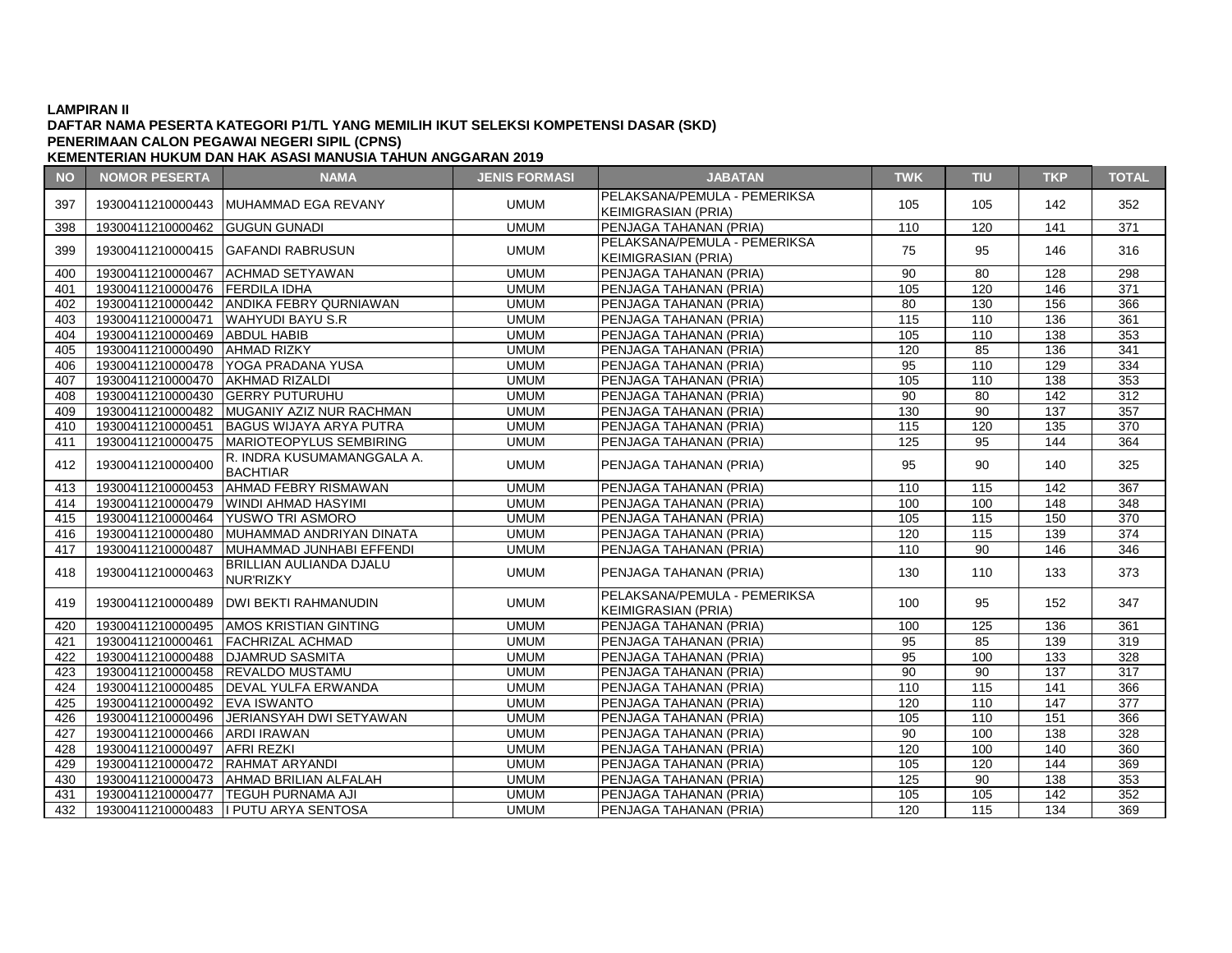# **DAFTAR NAMA PESERTA KATEGORI P1/TL YANG MEMILIH IKUT SELEKSI KOMPETENSI DASAR (SKD) PENERIMAAN CALON PEGAWAI NEGERI SIPIL (CPNS)**

| <b>NO</b> | <b>NOMOR PESERTA</b>             | <b>NAMA</b>                                   | <b>JENIS FORMASI</b> | <b>JABATAN</b>                                             | <b>TWK</b>      | <b>TIU</b>        | <b>TKP</b>       | <b>TOTAL</b>     |
|-----------|----------------------------------|-----------------------------------------------|----------------------|------------------------------------------------------------|-----------------|-------------------|------------------|------------------|
| 397       | 19300411210000443                | MUHAMMAD EGA REVANY                           | <b>UMUM</b>          | PELAKSANA/PEMULA - PEMERIKSA<br><b>KEIMIGRASIAN (PRIA)</b> | 105             | 105               | 142              | 352              |
| 398       | 19300411210000462 GUGUN GUNADI   |                                               | <b>UMUM</b>          | PENJAGA TAHANAN (PRIA)                                     | 110             | 120               | $\overline{141}$ | $\overline{371}$ |
| 399       |                                  | 19300411210000415 GAFANDI RABRUSUN            | <b>UMUM</b>          | PELAKSANA/PEMULA - PEMERIKSA<br><b>KEIMIGRASIAN (PRIA)</b> | 75              | 95                | 146              | 316              |
| 400       | 19300411210000467                | <b>ACHMAD SETYAWAN</b>                        | <b>UMUM</b>          | PENJAGA TAHANAN (PRIA)                                     | 90              | 80                | 128              | 298              |
| 401       | 19300411210000476 FERDILA IDHA   |                                               | <b>UMUM</b>          | PENJAGA TAHANAN (PRIA)                                     | 105             | 120               | 146              | 371              |
| 402       |                                  | 19300411210000442 ANDIKA FEBRY QURNIAWAN      | <b>UMUM</b>          | PENJAGA TAHANAN (PRIA)                                     | 80              | 130               | 156              | 366              |
| 403       | 19300411210000471                | <b>WAHYUDI BAYU S.R</b>                       | <b>UMUM</b>          | PENJAGA TAHANAN (PRIA)                                     | 115             | 110               | 136              | 361              |
| 404       | 19300411210000469 ABDUL HABIB    |                                               | <b>UMUM</b>          | PENJAGA TAHANAN (PRIA)                                     | 105             | 110               | 138              | 353              |
| 405       | 19300411210000490                | <b>AHMAD RIZKY</b>                            | <b>UMUM</b>          | PENJAGA TAHANAN (PRIA)                                     | 120             | 85                | 136              | 341              |
| 406       |                                  | 19300411210000478 YOGA PRADANA YUSA           | <b>UMUM</b>          | PENJAGA TAHANAN (PRIA)                                     | 95              | 110               | 129              | 334              |
| 407       | 19300411210000470                | AKHMAD RIZALDI                                | <b>UMUM</b>          | PENJAGA TAHANAN (PRIA)                                     | 105             | 110               | 138              | 353              |
| 408       | 19300411210000430 GERRY PUTURUHU |                                               | <b>UMUM</b>          | PENJAGA TAHANAN (PRIA)                                     | $\overline{90}$ | 80                | 142              | 312              |
| 409       |                                  | 19300411210000482 MUGANIY AZIZ NUR RACHMAN    | <b>UMUM</b>          | PENJAGA TAHANAN (PRIA)                                     | 130             | $\overline{90}$   | 137              | 357              |
| 410       | 19300411210000451                | <b>BAGUS WIJAYA ARYA PUTRA</b>                | <b>UMUM</b>          | PENJAGA TAHANAN (PRIA)                                     | 115             | 120               | 135              | 370              |
| 411       | 19300411210000475                | <b>MARIOTEOPYLUS SEMBIRING</b>                | <b>UMUM</b>          | PENJAGA TAHANAN (PRIA)                                     | 125             | 95                | 144              | 364              |
| 412       | 19300411210000400                | R. INDRA KUSUMAMANGGALA A.<br><b>BACHTIAR</b> | <b>UMUM</b>          | PENJAGA TAHANAN (PRIA)                                     | 95              | 90                | 140              | 325              |
| 413       | 19300411210000453                | AHMAD FEBRY RISMAWAN                          | <b>UMUM</b>          | PENJAGA TAHANAN (PRIA)                                     | 110             | 115               | 142              | 367              |
| 414       |                                  | 19300411210000479 WINDI AHMAD HASYIMI         | <b>UMUM</b>          | PENJAGA TAHANAN (PRIA)                                     | 100             | 100               | 148              | 348              |
| 415       |                                  | 19300411210000464 YUSWO TRI ASMORO            | <b>UMUM</b>          | PENJAGA TAHANAN (PRIA)                                     | 105             | $\frac{115}{115}$ | 150              | 370              |
| 416       | 19300411210000480                | MUHAMMAD ANDRIYAN DINATA                      | <b>UMUM</b>          | PENJAGA TAHANAN (PRIA)                                     | 120             | 115               | 139              | 374              |
| 417       | 19300411210000487                | MUHAMMAD JUNHABI EFFENDI                      | <b>UMUM</b>          | PENJAGA TAHANAN (PRIA)                                     | 110             | $\overline{90}$   | 146              | 346              |
| 418       | 19300411210000463                | <b>BRILLIAN AULIANDA DJALU</b><br>NUR'RIZKY   | <b>UMUM</b>          | PENJAGA TAHANAN (PRIA)                                     | 130             | 110               | 133              | 373              |
| 419       | 19300411210000489                | <b>DWI BEKTI RAHMANUDIN</b>                   | <b>UMUM</b>          | PELAKSANA/PEMULA - PEMERIKSA<br><b>KEIMIGRASIAN (PRIA)</b> | 100             | 95                | 152              | 347              |
| 420       |                                  | 19300411210000495 AMOS KRISTIAN GINTING       | <b>UMUM</b>          | PENJAGA TAHANAN (PRIA)                                     | 100             | 125               | 136              | 361              |
| 421       | 19300411210000461                | <b>FACHRIZAL ACHMAD</b>                       | <b>UMUM</b>          | PENJAGA TAHANAN (PRIA)                                     | 95              | 85                | 139              | 319              |
| 422       | 19300411210000488                | <b>DJAMRUD SASMITA</b>                        | <b>UMUM</b>          | PENJAGA TAHANAN (PRIA)                                     | 95              | 100               | 133              | 328              |
| 423       | 19300411210000458                | REVALDO MUSTAMU                               | <b>UMUM</b>          | PENJAGA TAHANAN (PRIA)                                     | 90              | 90                | 137              | 317              |
| 424       |                                  | 19300411210000485   DEVAL YULFA ERWANDA       | <b>UMUM</b>          | PENJAGA TAHANAN (PRIA)                                     | 110             | 115               | 141              | 366              |
| 425       | 19300411210000492 EVA ISWANTO    |                                               | <b>UMUM</b>          | PENJAGA TAHANAN (PRIA)                                     | 120             | 110               | 147              | 377              |
| 426       |                                  | 19300411210000496 JERIANSYAH DWI SETYAWAN     | <b>UMUM</b>          | PENJAGA TAHANAN (PRIA)                                     | 105             | 110               | 151              | 366              |
| 427       | 19300411210000466 ARDI IRAWAN    |                                               | <b>UMUM</b>          | PENJAGA TAHANAN (PRIA)                                     | 90              | 100               | 138              | 328              |
| 428       | 19300411210000497                | <b>AFRI REZKI</b>                             | <b>UMUM</b>          | PENJAGA TAHANAN (PRIA)                                     | 120             | 100               | 140              | 360              |
| 429       | 19300411210000472                | <b>RAHMAT ARYANDI</b>                         | <b>UMUM</b>          | PENJAGA TAHANAN (PRIA)                                     | 105             | 120               | 144              | 369              |
| 430       | 19300411210000473                | <b>AHMAD BRILIAN ALFALAH</b>                  | <b>UMUM</b>          | PENJAGA TAHANAN (PRIA)                                     | 125             | 90                | 138              | 353              |
| 431       | 19300411210000477                | <b>TEGUH PURNAMA AJI</b>                      | <b>UMUM</b>          | PENJAGA TAHANAN (PRIA)                                     | 105             | 105               | 142              | 352              |
| 432       |                                  | 19300411210000483 I PUTU ARYA SENTOSA         | <b>UMUM</b>          | <b>IPENJAGA TAHANAN (PRIA)</b>                             | 120             | 115               | 134              | 369              |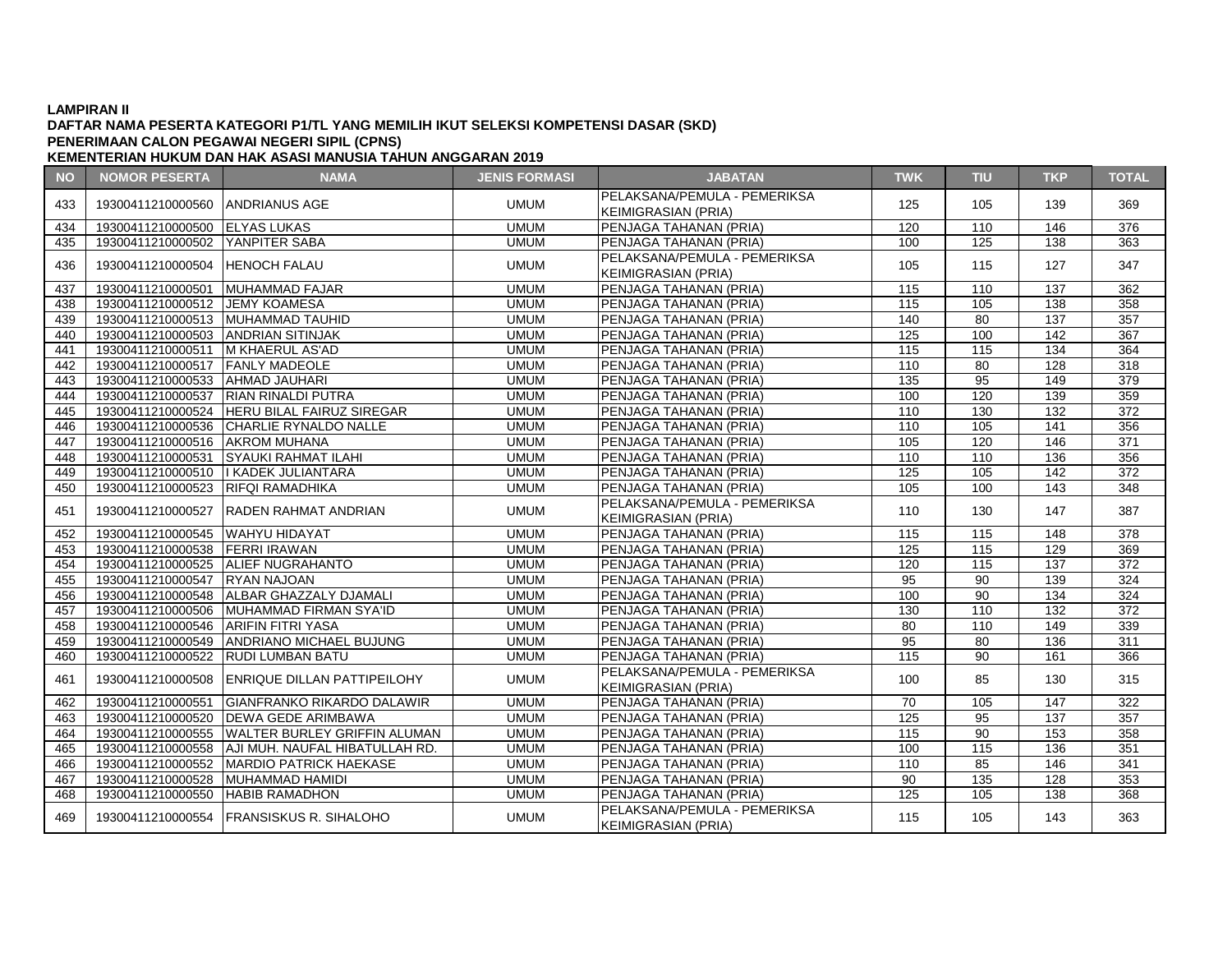# **DAFTAR NAMA PESERTA KATEGORI P1/TL YANG MEMILIH IKUT SELEKSI KOMPETENSI DASAR (SKD) PENERIMAAN CALON PEGAWAI NEGERI SIPIL (CPNS)**

| <b>NO</b> | <b>NOMOR PESERTA</b>                | <b>NAMA</b>                                      | <b>JENIS FORMASI</b> | <b>JABATAN</b>                                             | <b>TWK</b> | TIU              | <b>TKP</b>       | <b>TOTAL</b>     |
|-----------|-------------------------------------|--------------------------------------------------|----------------------|------------------------------------------------------------|------------|------------------|------------------|------------------|
| 433       | 19300411210000560 ANDRIANUS AGE     |                                                  | <b>UMUM</b>          | PELAKSANA/PEMULA - PEMERIKSA<br><b>KEIMIGRASIAN (PRIA)</b> | 125        | 105              | 139              | 369              |
| 434       | 19300411210000500 ELYAS LUKAS       |                                                  | <b>UMUM</b>          | PENJAGA TAHANAN (PRIA)                                     | 120        | 110              | 146              | 376              |
| 435       | 19300411210000502 YANPITER SABA     |                                                  | <b>UMUM</b>          | PENJAGA TAHANAN (PRIA)                                     | 100        | 125              | 138              | 363              |
| 436       | 19300411210000504 HENOCH FALAU      |                                                  | <b>UMUM</b>          | PELAKSANA/PEMULA - PEMERIKSA<br><b>KEIMIGRASIAN (PRIA)</b> | 105        | 115              | 127              | 347              |
| 437       | 19300411210000501 MUHAMMAD FAJAR    |                                                  | <b>UMUM</b>          | PENJAGA TAHANAN (PRIA)                                     | 115        | 110              | 137              | 362              |
| 438       | 19300411210000512 JEMY KOAMESA      |                                                  | <b>UMUM</b>          | PENJAGA TAHANAN (PRIA)                                     | 115        | 105              | 138              | 358              |
| 439       |                                     | 19300411210000513 MUHAMMAD TAUHID                | <b>UMUM</b>          | PENJAGA TAHANAN (PRIA)                                     | 140        | 80               | 137              | 357              |
| 440       | 19300411210000503 ANDRIAN SITINJAK  |                                                  | <b>UMUM</b>          | PENJAGA TAHANAN (PRIA)                                     | 125        | 100              | 142              | 367              |
| 441       | 19300411210000511   M KHAERUL AS'AD |                                                  | <b>UMUM</b>          | PENJAGA TAHANAN (PRIA)                                     | 115        | 115              | 134              | 364              |
| 442       | 19300411210000517 FANLY MADEOLE     |                                                  | <b>UMUM</b>          | PENJAGA TAHANAN (PRIA)                                     | 110        | 80               | 128              | 318              |
| 443       | 19300411210000533 AHMAD JAUHARI     |                                                  | <b>UMUM</b>          | PENJAGA TAHANAN (PRIA)                                     | 135        | 95               | 149              | 379              |
| 444       |                                     | 19300411210000537  RIAN RINALDI PUTRA            | <b>UMUM</b>          | PENJAGA TAHANAN (PRIA)                                     | 100        | 120              | 139              | 359              |
| 445       |                                     | 19300411210000524 HERU BILAL FAIRUZ SIREGAR      | <b>UMUM</b>          | PENJAGA TAHANAN (PRIA)                                     | 110        | 130              | 132              | 372              |
| 446       |                                     | 19300411210000536 CHARLIE RYNALDO NALLE          | <b>UMUM</b>          | PENJAGA TAHANAN (PRIA)                                     | 110        | 105              | 141              | 356              |
| 447       | 19300411210000516 AKROM MUHANA      |                                                  | <b>UMUM</b>          | PENJAGA TAHANAN (PRIA)                                     | 105        | 120              | 146              | 371              |
| 448       |                                     | 19300411210000531 SYAUKI RAHMAT ILAHI            | <b>UMUM</b>          | PENJAGA TAHANAN (PRIA)                                     | 110        | 110              | 136              | 356              |
| 449       |                                     | 19300411210000510   KADEK JULIANTARA             | <b>UMUM</b>          | PENJAGA TAHANAN (PRIA)                                     | 125        | 105              | 142              | 372              |
| 450       | 19300411210000523 RIFQI RAMADHIKA   |                                                  | <b>UMUM</b>          | PENJAGA TAHANAN (PRIA)                                     | 105        | 100              | 143              | 348              |
|           |                                     |                                                  |                      | PELAKSANA/PEMULA - PEMERIKSA                               | 110        |                  | 147              |                  |
| 451       | 19300411210000527                   | <b>RADEN RAHMAT ANDRIAN</b>                      | <b>UMUM</b>          | <b>KEIMIGRASIAN (PRIA)</b>                                 |            | 130              |                  | 387              |
| 452       | 19300411210000545 WAHYU HIDAYAT     |                                                  | <b>UMUM</b>          | PENJAGA TAHANAN (PRIA)                                     | 115        | 115              | 148              | 378              |
| 453       | 19300411210000538 FERRI IRAWAN      |                                                  | <b>UMUM</b>          | PENJAGA TAHANAN (PRIA)                                     | 125        | 115              | 129              | 369              |
| 454       |                                     | 19300411210000525 ALIEF NUGRAHANTO               | <b>UMUM</b>          | PENJAGA TAHANAN (PRIA)                                     | 120        | 115              | 137              | 372              |
| 455       | 19300411210000547 RYAN NAJOAN       |                                                  | <b>UMUM</b>          | PENJAGA TAHANAN (PRIA)                                     | 95         | 90               | 139              | 324              |
| 456       |                                     | 19300411210000548   ALBAR GHAZZALY DJAMALI       | <b>UMUM</b>          | PENJAGA TAHANAN (PRIA)                                     | 100        | 90               | 134              | 324              |
| 457       |                                     | 19300411210000506 MUHAMMAD FIRMAN SYA'ID         | <b>UMUM</b>          | PENJAGA TAHANAN (PRIA)                                     | 130        | 110              | 132              | $\overline{372}$ |
| 458       | 19300411210000546 ARIFIN FITRI YASA |                                                  | <b>UMUM</b>          | PENJAGA TAHANAN (PRIA)                                     | 80         | 110              | 149              | 339              |
| 459       |                                     | 19300411210000549 ANDRIANO MICHAEL BUJUNG        | <b>UMUM</b>          | PENJAGA TAHANAN (PRIA)                                     | 95         | 80               | 136              | 311              |
| 460       |                                     | 19300411210000522 RUDI LUMBAN BATU               | <b>UMUM</b>          | PENJAGA TAHANAN (PRIA)                                     | 115        | 90               | 161              | 366              |
| 461       |                                     | 19300411210000508 ENRIQUE DILLAN PATTIPEILOHY    | <b>UMUM</b>          | PELAKSANA/PEMULA - PEMERIKSA<br><b>KEIMIGRASIAN (PRIA)</b> | 100        | 85               | 130              | 315              |
| 462       |                                     | 19300411210000551 GIANFRANKO RIKARDO DALAWIR     | <b>UMUM</b>          | PENJAGA TAHANAN (PRIA)                                     | 70         | 105              | 147              | 322              |
| 463       |                                     | 19300411210000520 DEWA GEDE ARIMBAWA             | <b>UMUM</b>          | PENJAGA TAHANAN (PRIA)                                     | 125        | 95               | $\overline{137}$ | 357              |
| 464       |                                     | 19300411210000555 WALTER BURLEY GRIFFIN ALUMAN   | <b>UMUM</b>          | PENJAGA TAHANAN (PRIA)                                     | 115        | 90               | 153              | 358              |
| 465       |                                     | 19300411210000558 AJI MUH. NAUFAL HIBATULLAH RD. | <b>UMUM</b>          | PENJAGA TAHANAN (PRIA)                                     | 100        | 115              | 136              | 351              |
| 466       |                                     | 19300411210000552   MARDIO PATRICK HAEKASE       | <b>UMUM</b>          | PENJAGA TAHANAN (PRIA)                                     | 110        | 85               | 146              | 341              |
| 467       |                                     | 19300411210000528 MUHAMMAD HAMIDI                | <b>UMUM</b>          | PENJAGA TAHANAN (PRIA)                                     | 90         | $\overline{135}$ | 128              | 353              |
| 468       | 19300411210000550 HABIB RAMADHON    |                                                  | <b>UMUM</b>          | PENJAGA TAHANAN (PRIA)                                     | 125        | 105              | 138              | 368              |
| 469       |                                     | 19300411210000554 FRANSISKUS R. SIHALOHO         | <b>UMUM</b>          | PELAKSANA/PEMULA - PEMERIKSA<br>KEIMIGRASIAN (PRIA)        | 115        | 105              | 143              | 363              |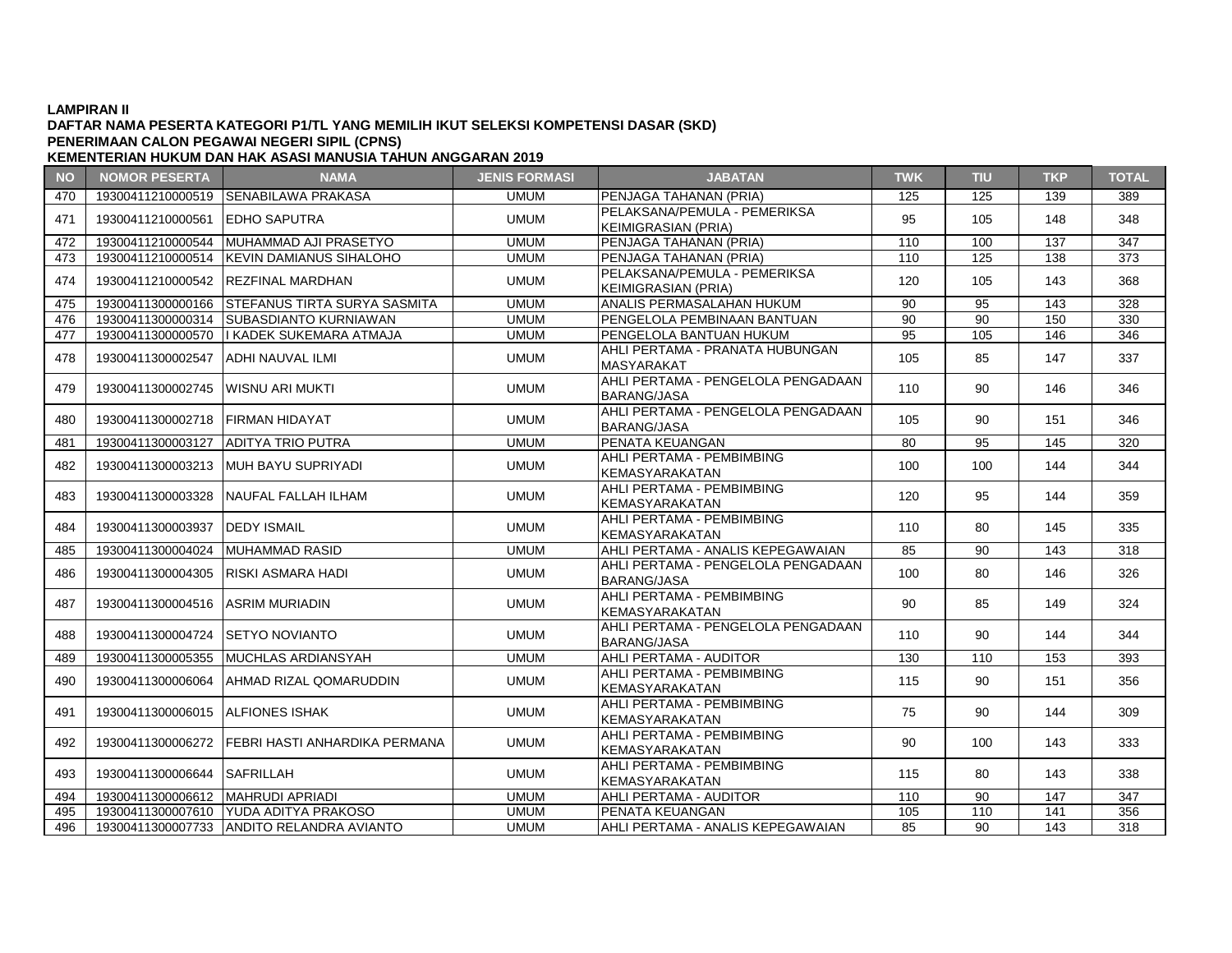# **DAFTAR NAMA PESERTA KATEGORI P1/TL YANG MEMILIH IKUT SELEKSI KOMPETENSI DASAR (SKD) PENERIMAAN CALON PEGAWAI NEGERI SIPIL (CPNS)**

| <b>NO</b> | <b>NOMOR PESERTA</b>              | <b>NAMA</b>                                    | <b>JENIS FORMASI</b> | <b>JABATAN</b>                                             | <b>TWK</b> | <b>TIU</b> | <b>TKP</b> | <b>TOTAL</b> |
|-----------|-----------------------------------|------------------------------------------------|----------------------|------------------------------------------------------------|------------|------------|------------|--------------|
| 470       |                                   | 19300411210000519 SENABILAWA PRAKASA           | <b>UMUM</b>          | PENJAGA TAHANAN (PRIA)                                     | 125        | 125        | 139        | 389          |
| 471       | 19300411210000561 EDHO SAPUTRA    |                                                | <b>UMUM</b>          | PELAKSANA/PEMULA - PEMERIKSA<br><b>KEIMIGRASIAN (PRIA)</b> | 95         | 105        | 148        | 348          |
| 472       | 19300411210000544                 | MUHAMMAD AJI PRASETYO                          | <b>UMUM</b>          | PENJAGA TAHANAN (PRIA)                                     | 110        | 100        | 137        | 347          |
| 473       | 19300411210000514                 | <b>KEVIN DAMIANUS SIHALOHO</b>                 | <b>UMUM</b>          | PENJAGA TAHANAN (PRIA)                                     | 110        | 125        | 138        | 373          |
| 474       |                                   | 19300411210000542 REZFINAL MARDHAN             | <b>UMUM</b>          | PELAKSANA/PEMULA - PEMERIKSA<br><b>KEIMIGRASIAN (PRIA)</b> | 120        | 105        | 143        | 368          |
| 475       |                                   | 19300411300000166 STEFANUS TIRTA SURYA SASMITA | <b>UMUM</b>          | ANALIS PERMASALAHAN HUKUM                                  | 90         | 95         | 143        | 328          |
| 476       | 19300411300000314                 | <b>SUBASDIANTO KURNIAWAN</b>                   | <b>UMUM</b>          | PENGELOLA PEMBINAAN BANTUAN                                | 90         | 90         | 150        | 330          |
| 477       |                                   | 19300411300000570   KADEK SUKEMARA ATMAJA      | <b>UMUM</b>          | PENGELOLA BANTUAN HUKUM                                    | 95         | 105        | 146        | 346          |
| 478       | 19300411300002547                 | <b>JADHI NAUVAL ILMI</b>                       | <b>UMUM</b>          | AHLI PERTAMA - PRANATA HUBUNGAN<br><b>MASYARAKAT</b>       | 105        | 85         | 147        | 337          |
| 479       | 19300411300002745                 | IWISNU ARI MUKTI                               | <b>UMUM</b>          | AHLI PERTAMA - PENGELOLA PENGADAAN<br><b>BARANG/JASA</b>   | 110        | 90         | 146        | 346          |
| 480       | 19300411300002718                 | <b>IFIRMAN HIDAYAT</b>                         | <b>UMUM</b>          | AHLI PERTAMA - PENGELOLA PENGADAAN<br><b>BARANG/JASA</b>   | 105        | 90         | 151        | 346          |
| 481       | 19300411300003127                 | <b>LADITYA TRIO PUTRA</b>                      | <b>UMUM</b>          | PENATA KEUANGAN                                            | 80         | 95         | 145        | 320          |
| 482       |                                   | 19300411300003213 IMUH BAYU SUPRIYADI          | <b>UMUM</b>          | AHLI PERTAMA - PEMBIMBING<br>KEMASYARAKATAN                | 100        | 100        | 144        | 344          |
| 483       |                                   | 19300411300003328 NAUFAL FALLAH ILHAM          | <b>UMUM</b>          | AHLI PERTAMA - PEMBIMBING<br><b>KEMASYARAKATAN</b>         | 120        | 95         | 144        | 359          |
| 484       | 19300411300003937                 | <b>DEDY ISMAIL</b>                             | <b>UMUM</b>          | AHLI PERTAMA - PEMBIMBING<br>KEMASYARAKATAN                | 110        | 80         | 145        | 335          |
| 485       | 19300411300004024 MUHAMMAD RASID  |                                                | <b>UMUM</b>          | AHLI PERTAMA - ANALIS KEPEGAWAIAN                          | 85         | 90         | 143        | 318          |
| 486       | 19300411300004305                 | <b>IRISKI ASMARA HADI</b>                      | <b>UMUM</b>          | AHLI PERTAMA - PENGELOLA PENGADAAN<br><b>BARANG/JASA</b>   | 100        | 80         | 146        | 326          |
| 487       | 19300411300004516 ASRIM MURIADIN  |                                                | <b>UMUM</b>          | AHLI PERTAMA - PEMBIMBING<br>KEMASYARAKATAN                | 90         | 85         | 149        | 324          |
| 488       | 19300411300004724                 | <b>ISETYO NOVIANTO</b>                         | <b>UMUM</b>          | AHLI PERTAMA - PENGELOLA PENGADAAN<br><b>BARANG/JASA</b>   | 110        | 90         | 144        | 344          |
| 489       |                                   | 19300411300005355 MUCHLAS ARDIANSYAH           | <b>UMUM</b>          | AHLI PERTAMA - AUDITOR                                     | 130        | 110        | 153        | 393          |
| 490       | 19300411300006064                 | IAHMAD RIZAL QOMARUDDIN                        | <b>UMUM</b>          | AHLI PERTAMA - PEMBIMBING<br>KEMASYARAKATAN                | 115        | 90         | 151        | 356          |
| 491       | 19300411300006015 ALFIONES ISHAK  |                                                | <b>UMUM</b>          | AHLI PERTAMA - PEMBIMBING<br>KEMASYARAKATAN                | 75         | 90         | 144        | 309          |
| 492       | 19300411300006272                 | <b>IFEBRI HASTI ANHARDIKA PERMANA</b>          | <b>UMUM</b>          | AHLI PERTAMA - PEMBIMBING<br>KEMASYARAKATAN                | 90         | 100        | 143        | 333          |
| 493       | 19300411300006644 SAFRILLAH       |                                                | <b>UMUM</b>          | AHLI PERTAMA - PEMBIMBING<br><b>KEMASYARAKATAN</b>         | 115        | 80         | 143        | 338          |
| 494       | 19300411300006612 MAHRUDI APRIADI |                                                | <b>UMUM</b>          | AHLI PERTAMA - AUDITOR                                     | 110        | 90         | 147        | 347          |
| 495       |                                   | 19300411300007610 YUDA ADITYA PRAKOSO          | <b>UMUM</b>          | PENATA KEUANGAN                                            | 105        | 110        | 141        | 356          |
| 496       |                                   | 19300411300007733 ANDITO RELANDRA AVIANTO      | <b>UMUM</b>          | AHLI PERTAMA - ANALIS KEPEGAWAIAN                          | 85         | 90         | 143        | 318          |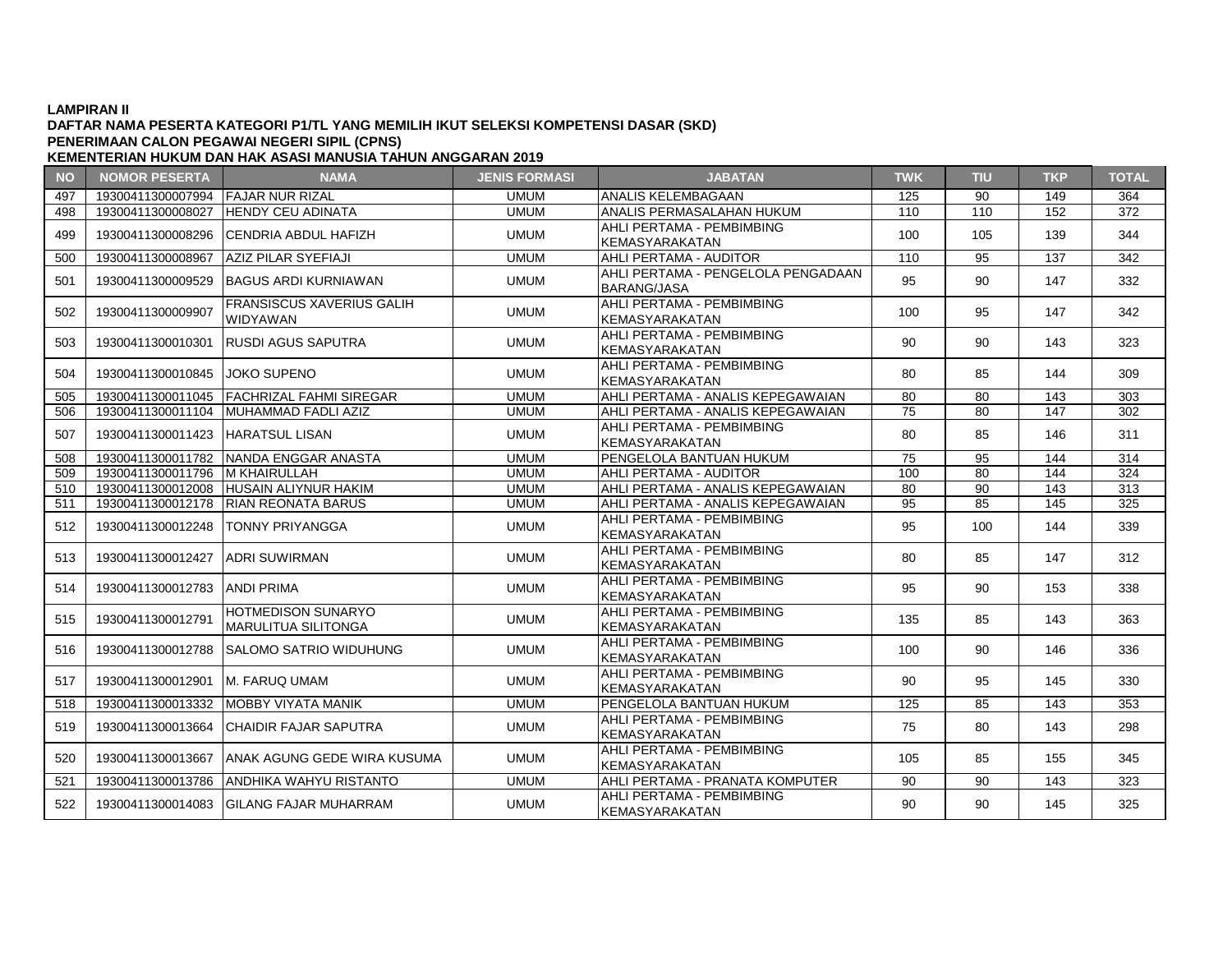### **DAFTAR NAMA PESERTA KATEGORI P1/TL YANG MEMILIH IKUT SELEKSI KOMPETENSI DASAR (SKD) KEMENTERIAN HUKUM DAN HAK ASASI MANUSIA TAHUN ANGGARAN 2019 PENERIMAAN CALON PEGAWAI NEGERI SIPIL (CPNS)**

**NO NOMOR PESERTA NAMA JENIS FORMASI JABATAN TWK TIU TKP TOTAL** 497 19300411300007994 FAJAR NUR RIZAL UMUM ANALIS KELEMBAGAAN 125 90 149 364 498 19300411300008027 HENDY CEU ADINATA UMUM ANALIS PERMASALAHAN HUKUM 110 110 152 372 499 19300411300008296 CENDRIA ABDUL HAFIZH UMUM UMUM AHLI PERTAMA - PEMBIMBING ATILI PERTAMA PEMBIMBING | 100 | 105 | 139 | 344<br>KEMASYARAKATAN 500 19300411300008967 AZIZ PILAR SYEFIAJI UMUM AHLI PERTAMA - AUDITOR 110 95 137 342 501 | 19300411300009529 |BAGUS ARDI KURNIAWAN | UMUM | PERTAMA BARANG/JASA AHLI LINTAWA LANGLEGEAT ENGADAAN | 95 | 90 | 147 | 332<br>BARANG/JASA 502 | 19300411300009907 | FRANSISCUS XAVERIUS GALIH | UMUM | AHLI PERTAMA - PEMBIMBING<br>|- KEMASYARAKATAN AHLI PERTAMA - PEMBIMBING<br>KEMASYARAKATAN 100 35 147 342 503 19300411300010301 RUSDI AGUS SAPUTRA UMUM UMUM AHLI PERTAMA - PEMBIMBING AHLIT LINTANIA PEMBINIBING KEMASYARAKATAN KEMASYARAKATAN PERDANG KEMASYARAKATAN MELANDARKATAN KEMASYARAKATAN M<br>KEMASYARAKATAN <sup>504</sup> <sup>19300411300010845</sup> JOKO SUPENO UMUM AHLI PERTAMA - PEMBIMBING KEMASYARAKATAN **KEMASYARAKATAN 1999 | 80 | 85 | 144 | 309** 505 19300411300011045 FACHRIZAL FAHMI SIREGAR UMUM AHLI PERTAMA - ANALIS KEPEGAWAIAN 80 80 143 303 506 19300411300011104 MUHAMMAD FADLI AZIZ UMUM AHLI PERTAMA - ANALIS KEPEGAWAIAN 75 80 147 302 507 19300411300011423 HARATSUL LISAN UMUM UMUM AHLI PERTAMA - PEMBIMBING KEMASYARAKATAN 20 80 85 146 311<br>PENGELOLA BANTUAN HUKUM 75 95 144 314 508 19300411300011782 NANDA ENGGAR ANASTA PENGELOLA BANTUAN HUKUM PENGELOLA BANTUAN PENGELOLA BANTUAN HUKUM 7 509 19300411300011796 M KHAIRULLAH UMUM AHLI PERTAMA - AUDITOR 100 80 144 324 510 19300411300012008 HUSAIN ALIYNUR HAKIM UMUM AHLI PERTAMA - ANALIS KEPEGAWAIAN 80 90 143 313 511 19300411300012178 RIAN REONATA BARUS UMUM AHLI PERTAMA - ANALIS KEPEGAWAIAN 95 85 145 325 512 19300411300012248 TONNY PRIYANGGA UMUM MUM AHLI PERTAMA - PEMBIMBING AHLI PERTAMA PEMBIMBING | 95 | 100 | 144 | 339<br>KEMASYARAKATAN 513 19300411300012427 ADRI SUWIRMAN UMUM UMUM AHLI PERTAMA - PEMBIMBING ANLI PERTAMA PEMBIMBING | 80 | 85 | 147 | 312<br>KEMASYARAKATAN 514 19300411300012783 ANDI PRIMA UMUM UMUM AHLI PERTAMA - PEMBIMBING ATLEFERTAMA PEMBIMBING | 95 | 90 | 153 | 338<br>KEMASYARAKATAN <sup>515</sup> <sup>19300411300012791</sup> HOTMEDISON SUNARYO UMUM AHLI PERTAMA - PEMBIMBING KEMASYARAKATAN | 135 | 85 | 143 | 363<br>KEMASYARAKATAN 516 19300411300012788 SALOMO SATRIO WIDUHUNG UMUM HAHLI PERTAMA - PEMBIMBING KEMASYARAKATAN 100 | 90 | 146 | 336 517 19300411300012901 M. FARUQ UMAM UMUM UMUM AHLI PERTAMA - PEMBIMBING AHLI PERTAMA PEMBIMBING | 90 | 95 | 145 | 330<br>KEMASYARAKATAN 518 19300411300013332 MOBBY VIYATA MANIK UMUM PENGELOLA BANTUAN HUKUM 125 85 143 353 <sup>519</sup> <sup>19300411300013664</sup> CHAIDIR FAJAR SAPUTRA UMUM AHLI PERTAMA - PEMBIMBING ATILI PERTAMA PEMBIMBING | 75 | 80 | 143 | 298<br>KEMASYARAKATAN 520 19300411300013667 ANAK AGUNG GEDE WIRA KUSUMA UMUM AHLI PERTAMA - PEMBIMBING AHLI LINTAMA PEMBIMBING | 105 | 85 | 155 | 345<br>KEMASYARAKATAN 521 19300411300013786 ANDHIKA WAHYU RISTANTO UMUM AHLI PERTAMA - PRANATA KOMPUTER 90 90 143 323 522 19300411300014083 GILANG FAJAR MUHARRAM UMUM UMUM AHLI PERTAMA - PEMBIMBING ANLI PERTAMA PEMBIMBING | 90 | 90 | 145 | 325<br>KEMASYARAKATAN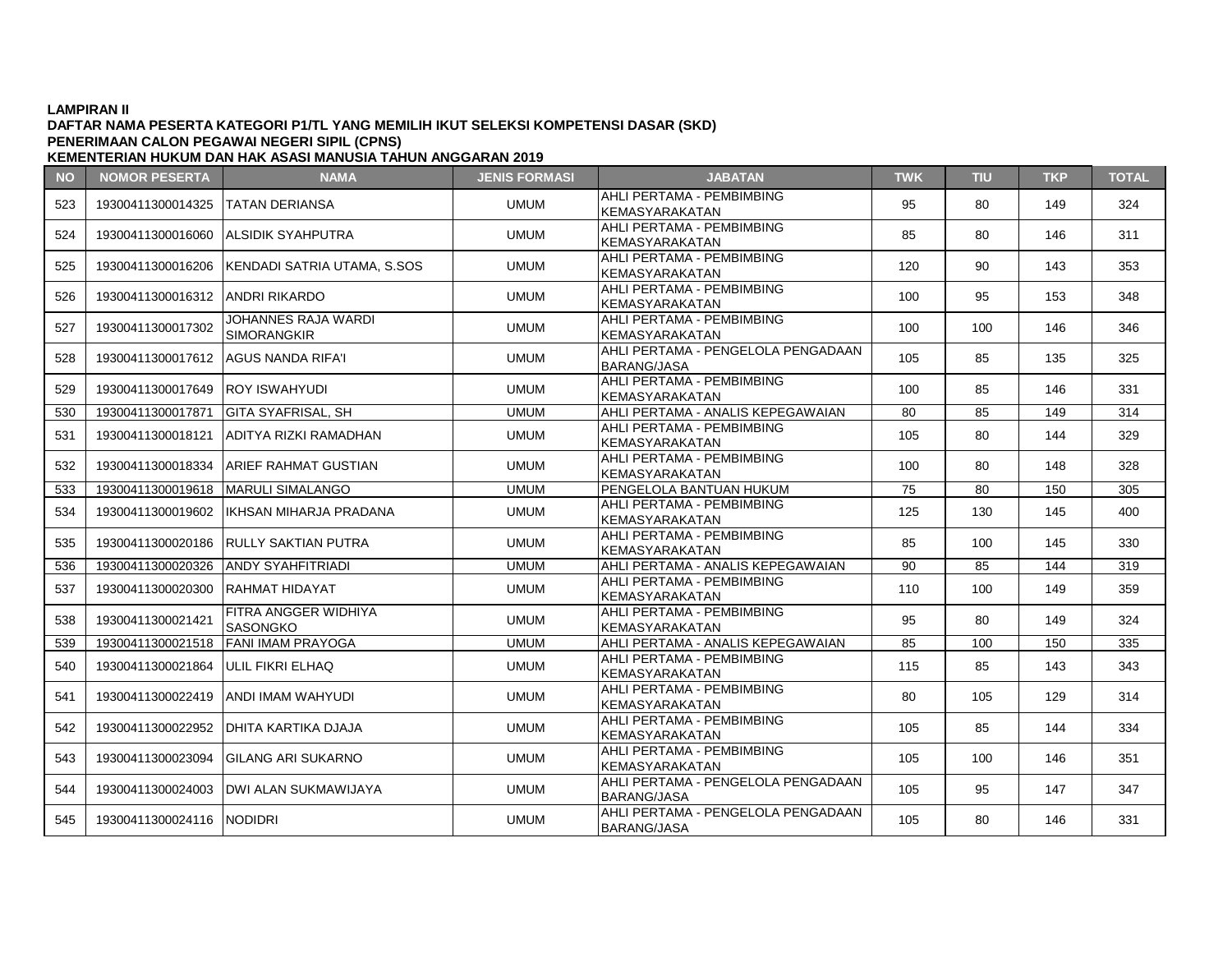### **DAFTAR NAMA PESERTA KATEGORI P1/TL YANG MEMILIH IKUT SELEKSI KOMPETENSI DASAR (SKD) KEMENTERIAN HUKUM DAN HAK ASASI MANUSIA TAHUN ANGGARAN 2019 PENERIMAAN CALON PEGAWAI NEGERI SIPIL (CPNS)**

**NO NOMOR PESERTA NAMA JENIS FORMASI JABATAN TWK TIU TKP TOTAL** 523 19300411300014325 TATAN DERIANSA UMUM UMUM AHLI PERTAMA - PEMBIMBING ANLI PERTAMA PEMBIMBING | 95 | 80 | 149 | 324<br>KEMASYARAKATAN 524 19300411300016060 ALSIDIK SYAHPUTRA UMUM HAHLI PERTAMA - PEMBIMBING ANLI PERTAMA PEMBIMBING | 85 | 80 | 146 | 311<br>KEMASYARAKATAN 525 19300411300016206 KENDADI SATRIA UTAMA, S.SOS UMUM AHLI PERTAMA - PEMBIMBING KEMASYARAKATAN | 120 | 90 | 143 | 353 <sup>526</sup> <sup>19300411300016312</sup> ANDRI RIKARDO UMUM AHLI PERTAMA - PEMBIMBING AHLI PENTAMA PEMBIMBING | 100 | 95 | 153 | 348<br>KEMASYARAKATAN <sup>527</sup> <sup>19300411300017302</sup> JOHANNES RAJA WARDI UMUM AHLI PERTAMA - PEMBIMBING<br>KEMASYARAKATAN<br>Willi PERTAMA - PENGELOLA PENGADAAN KEMASYARAKATAN | 100 | 100 | 146 | 346 <sup>528</sup> <sup>19300411300017612</sup> AGUS NANDA RIFA'I UMUM AHLI PERTAMA - PENGELOLA PENGADAAN ATLET ENTAMA TENOELOLAT ENOADAAN | 105 | 85 | 135 | 325 529 19300411300017649 ROY ISWAHYUDI UMUM UMUM AHLI PERTAMA - PEMBIMBING AHLI PERTAMA PEMBIMBING | 100 | 85 | 146 | 331<br>KEMASYARAKATAN 530 19300411300017871 GITA SYAFRISAL, SH UMUM AHLI PERTAMA - ANALIS KEPEGAWAIAN 80 85 149 314 <sup>531</sup> <sup>19300411300018121</sup> ADITYA RIZKI RAMADHAN UMUM AHLI PERTAMA - PEMBIMBING KEMASYARAKATAN 105 | 80 | 144 | 329 532 19300411300018334 ARIEF RAHMAT GUSTIAN UMUM AHLI PERTAMA - PEMBIMBING AHLI PENTAMA PEMBIMBING | 100 | 80 | 148 | 328<br>KEMASYARAKATAN 533 19300411300019618 MARULI SIMALANGO UMUM PENGELOLA BANTUAN HUKUM 75 80 150 305 534 19300411300019602 IKHSAN MIHARJA PRADANA UMUM AHLI PERTAMA - PEMBIMBING KEMASYARAKATAN 125 | 130 | 145 | 400 535 19300411300020186 RULLY SAKTIAN PUTRA UMUM AHLI PERTAMA - PEMBIMBING AHLI PENTAMA PEMBIMBING | 85 | 100 | 145 | 330<br>KEMASYARAKATAN 536 19300411300020326 ANDY SYAHFITRIADI UMUM AHLI PERTAMA - ANALIS KEPEGAWAIAN 90 85 144 319 537 19300411300020300 RAHMAT HIDAYAT JUMUM MUM AHLI PERTAMA - PEMBIMBING KEMASYARAKATAN | 110 | 100 | 149 | 359 538 | 19300411300021421 | FITRA ANGGER WIDHIYA UMUM AHLI PERTAMA - PEMBIMBING KEMASYARAKATAN | 95 | 80 | 149 | 324 539 | 19300411300021518 |FANI IMAM PRAYOGA | UMUM | AHLI PERTAMA - ANALIS KEPEGAWAIAN | 85 | 100 | 150 | 335 540 19300411300021864 ULIL FIKRI ELHAQ UMUM UMUM AHLI PERTAMA - PEMBIMBING KEMASYARAKATAN | 115 | 85 | 143 | 343<br>KEMASYARAKATAN 541 19300411300022419 ANDI IMAM WAHYUDI UMUM UMUM AHLI PERTAMA - PEMBIMBING AHLI PENTAWA PEMBIMBING | 80 | 105 | 129 | 314<br>KEMASYARAKATAN <sup>542</sup> <sup>19300411300022952</sup> DHITA KARTIKA DJAJA UMUM AHLI PERTAMA - PEMBIMBING AHLI PERTAMA - PEMBIMBING 105 85 144 334<br>KEMASYARAKATAN 105 85 144 334<br>AHLI PERTAMA - PEMBIMBING 1000 1000 1000 1000 1000 1000 1000 <sup>543</sup> <sup>19300411300023094</sup> GILANG ARI SUKARNO UMUM AHLI PERTAMA - PEMBIMBING KEMASYARAKATAN | 105 | 100 | 146 | 351 <sup>544</sup> <sup>19300411300024003</sup> DWI ALAN SUKMAWIJAYA UMUM AHLI PERTAMA - PENGELOLA PENGADAAN RHELLENT MM LENGELOLY LNONDRUN | 105 | 95 | 147 | 347 <sup>545</sup> <sup>19300411300024116</sup> NODIDRI UMUM AHLI PERTAMA - PENGELOLA PENGADAAN  $BARANG/JASA$   $105$   $80$   $146$   $331$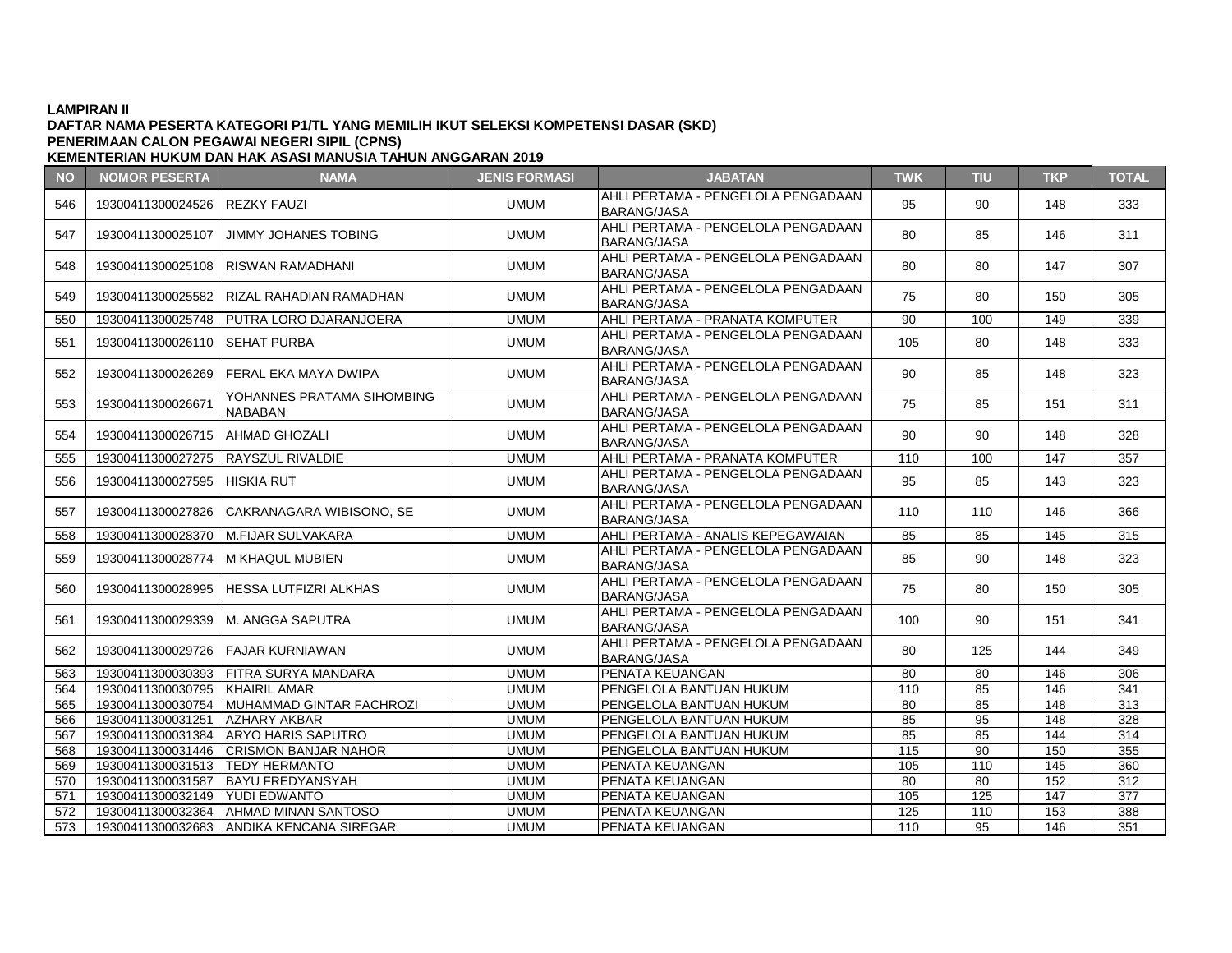### **DAFTAR NAMA PESERTA KATEGORI P1/TL YANG MEMILIH IKUT SELEKSI KOMPETENSI DASAR (SKD) KEMENTERIAN HUKUM DAN HAK ASASI MANUSIA TAHUN ANGGARAN 2019 PENERIMAAN CALON PEGAWAI NEGERI SIPIL (CPNS)**

**NO NOMOR PESERTA NAMA JENIS FORMASI JABATAN TWK TIU TKP TOTAL** 546 19300411300024526 REZKY FAUZI UMUM AHLI PERTAMA - PENGELOLA PENGADAAN AHLI LINTAWA LANGLEGEAT ENGADAAN | 95 | 90 | 148 | 333<br>BARANG/JASA 547 19300411300025107 JIMMY JOHANES TOBING MELLI PERTAMA - PENGELOLA PENGADAAN  $BRANG/JASA$   $\left| 80 \right| 85$   $| 146$   $| 311$ 548 19300411300025108 RISWAN RAMADHANI UMUM AHLI PERTAMA - PENGELOLA PENGADAAN  $BARANG/JASA$   $\left.\begin{array}{ccc} 1 & 30 \\ 2 & 0 \\ 0 & 0 \end{array}\right|$   $\left.\begin{array}{ccc} 80 & 80 \\ 147 & 307 \\ 0 & 0 \end{array}\right|$ 549 19300411300025582 RIZAL RAHADIAN RAMADHAN UMUM AHLI PERTAMA - PENGELOLA PENGADAAN ATLET ENTAMA TENOELOLAT ENOADAAN | 75 | 80 | 150 | 305 550 19300411300025748 PUTRA LORO DJARANJOERA UMUM AHLI PERTAMA - PRANATA KOMPUTER 90 100 149 339 551 19300411300026110 SEHAT PURBA UMUM AHLI PERTAMA - PENGELOLA PENGADAAN ATLET ENTAMA TENOELOLAT ENOADAAN | 105 | 80 | 148 | 333 <sup>552</sup> <sup>19300411300026269</sup> FERAL EKA MAYA DWIPA UMUM AHLI PERTAMA - PENGELOLA PENGADAAN ANLI PERTAMA PERBELOLA PERBADAAN | 90 | 85 | 148 | 323<br>BARANG/JASA <sup>553</sup> <sup>19300411300026671</sup> YOHANNES PRATAMA SIHOMBING UMUM AHLI PERTAMA - PENGELOLA PENGADAAN<br>BARANG/JASA<br>WAHLI PERTAMA - PENGELOLA PENGADAAN ATLET ENTAMA TENOELOLAT ENOADAAN | 75 | 85 | 151 | 311 554 19300411300026715 AHMAD GHOZALI UMUM AHLI PERTAMA - PERTAMA - PERTAMA - PERTAMA - PERTAMA - PERTAMA - PENG ATLET ENTAMA FENOLLOLAT ENOADAAN | 90 | 90 | 148 | 328 555 19300411300027275 RAYSZUL RIVALDIE UMUM AHLI PERTAMA - PRANATA KOMPUTER 110 100 147 357 556 19300411300027595 HISKIA RUT HISKIA RUT UMUM AHLI PERTAMA - PENGELOLA PENGADAAN AHLI LINTAWA LANGLEGEAT ENGADAAN | 95 | 85 | 143 | 323<br>BARANG/JASA <sup>557</sup> <sup>19300411300027826</sup> CAKRANAGARA WIBISONO, SE UMUM AHLI PERTAMA - PENGELOLA PENGADAAN AND PERTAMA PERSECULA PERSADAAN | 110 | 110 | 146 | 366 558 19300411300028370 M.FIJAR SULVAKARA NE SUMUM AHLI PERTAMA - ANALIS KEPEGAWAIAN 85 85 145 145 315 559 19300411300028774 M KHAQUL MUBIEN UMUM AHLI PERTAMA - PENGELOLA PENGADAAN AHLI LINTAWA LANGLEGEAT ENGADAAN | 85 | 90 | 148 | 323<br>BARANG/JASA 560 19300411300028995 HESSA LUTFIZRI ALKHAS UMUM AHLI PERTAMA - PENGELOLA PENGADAAN BARANG/JASA <sup>75</sup> <sup>80</sup> <sup>150</sup> <sup>305</sup> 561 19300411300029339 M. ANGGA SAPUTRA UMUM AHLI PERTAMA - PENGELOLA PENGADAAN ATLET ENTAMA TENOELOLAT ENOADAAN | 100 | 90 | 151 | 341 562 19300411300029726 FAJAR KURNIAWAN JUMUM UMUM AHLI PERTAMA - PENGELOLA PENGADAAN ATLET ENTAMA FENOLLOLAT ENOADAAN | 80 | 125 | 144 | 349 563 19300411300030393 FITRA SURYA MANDARA UMUM PENATA KEUANGAN 80 80 146 306 564 19300411300030795 KHAIRIL AMAR UMUM PENGELOLA BANTUAN HUKUM 110 85 146 341 565 | 19300411300030754 |MUHAMMAD GINTAR FACHROZI | UMUM | PENGELOLA BANTUAN HUKUM | 80 | 85 | 148 | 313 566 19300411300031251 AZHARY AKBAR UMUM PENGELOLA BANTUAN HUKUM 85 95 148 328 567 | 19300411300031384 | ARYO HARIS SAPUTRO | UMUM PENGELOLA BANTUAN HUKUM | 85 | 85 | 144 | 314 568 19300411300031446 CRISMON BANJAR NAHOR UMUM PENGELOLA BANTUAN HUKUM 115 90 150 355 569 19300411300031513 TEDY HERMANTO UMUM PENATA KEUANGAN 105 110 145 360 570 19300411300031587 BAYU FREDYANSYAH UMUM PENATA KEUANGAN 80 80 152 312 571 19300411300032149 YUDI EDWANTO UMUM PENATA KEUANGAN 105 125 147 377 572 19300411300032364 AHMAD MINAN SANTOSO I UMUM PENATA KEUANGAN 125 125 110 153 388 573 19300411300032683 ANDIKA KENCANA SIREGAR. UMUM PENATA KEUANGAN 110 95 146 351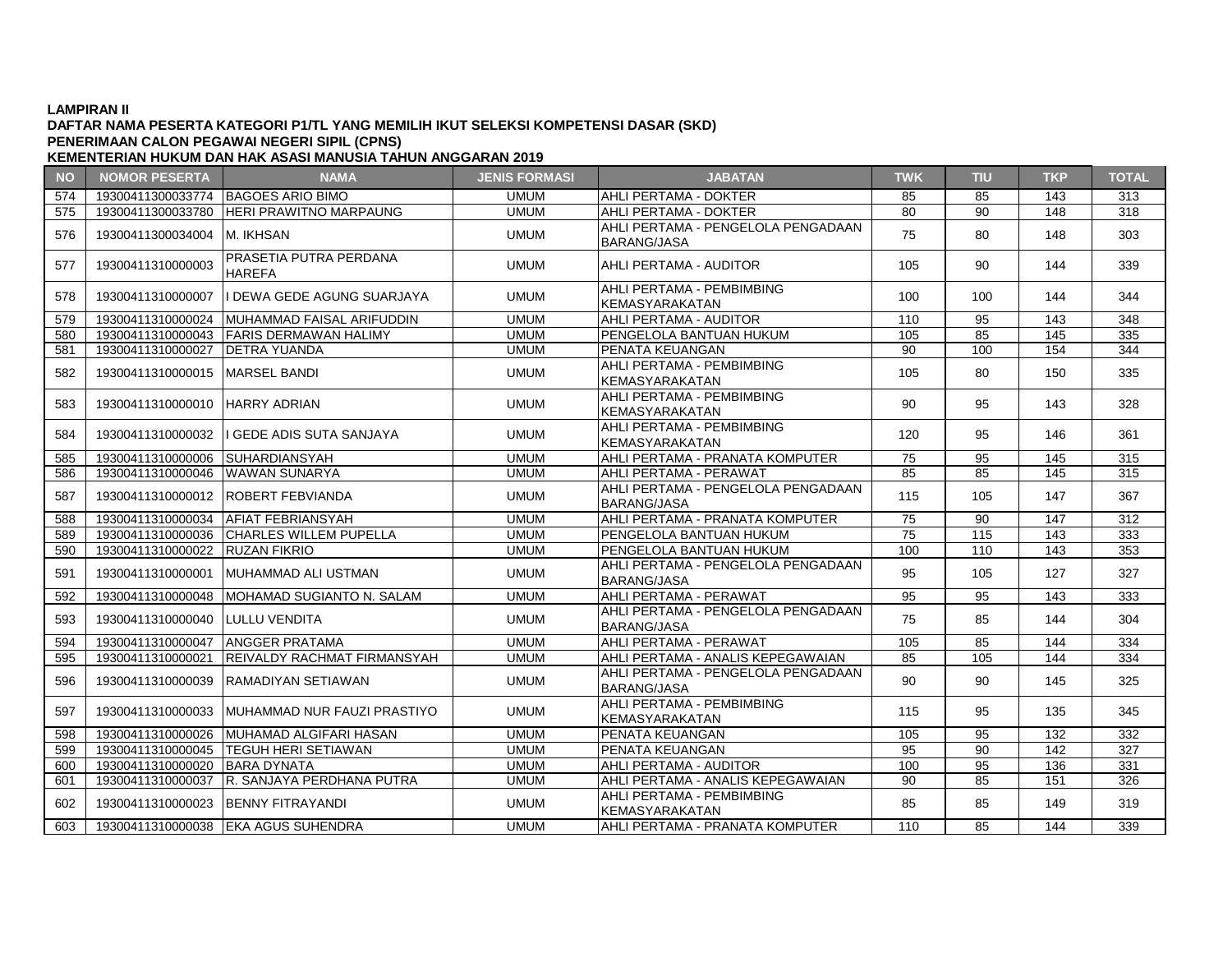### **DAFTAR NAMA PESERTA KATEGORI P1/TL YANG MEMILIH IKUT SELEKSI KOMPETENSI DASAR (SKD) KEMENTERIAN HUKUM DAN HAK ASASI MANUSIA TAHUN ANGGARAN 2019 PENERIMAAN CALON PEGAWAI NEGERI SIPIL (CPNS)**

### **NO NOMOR PESERTA NAMA JENIS FORMASI JABATAN TWK TIU TKP TOTAL** 574 19300411300033774 BAGOES ARIO BIMO UMUM AHLI PERTAMA - DOKTER 85 85 143 313 575 19300411300033780 HERI PRAWITNO MARPAUNG UMUM AHLI PERTAMA - DOKTER 80 90 148 318 576 19300411300034004 M. IKHSAN UMUM AHLI PERTAMA - PENGELOLA PENGADAAN AHLI PERTAMA - PENGELOLA PENGADAAN ATLET ENTAMA TENOELOLAT ENOADAAN | 75 | 80 | 148 | 303<br>BARANG/JASA <sup>577</sup> <sup>19300411310000003</sup> PRASETIA PUTRA PERDANA HAREFA UMUM AHLI PERTAMA - AUDITOR <sup>105</sup> <sup>90</sup> <sup>144</sup> <sup>339</sup> <sup>578</sup> <sup>19300411310000007</sup> I DEWA GEDE AGUNG SUARJAYA UMUM AHLI PERTAMA - PEMBIMBING KEMASYARAKATAN 100 | 100 | 144 | 344 579 19300411310000024 MUHAMMAD FAISAL ARIFUDDIN UMUM AHLI PERTAMA - AUDITOR 110 95 143 348 580 19300411310000043 FARIS DERMAWAN HALIMY UMUM PENGELOLA BANTUAN HUKUM 105 85 145 335 581 19300411310000027 DETRA YUANDA UMUM PENATA KEUANGAN 90 100 154 344 582 19300411310000015 MARSEL BANDI UMUM UMUM AHLI PERTAMA - PEMBIMBING KEMASYARAKATAN | 105 | 80 | 150 | 335 <sup>583</sup> <sup>19300411310000010</sup> HARRY ADRIAN UMUM AHLI PERTAMA - PEMBIMBING KEMASYARAKATAN <sup>90</sup> <sup>95</sup> <sup>143</sup> <sup>328</sup> 584 | 19300411310000032 II GEDE ADIS SUTA SANJAYA - PERTAMA - PEMBIMBING PERTAMA - PERTAMA - PERTAMA - PERTAMA - PE KEMASYARAKATAN 120 120 95 146 361<br>KEMASYARAKATAN 120 95 146 361<br>AHIIPERTAMA PRANATA KOMPUTER 75 95 145 315 585 19300411310000006 SUHARDIANSYAH UMUM AHLI PERTAMA - PRANATA KOMPUTER 75 95 145 315 586 19300411310000046 WAWAN SUNARYA UMUM AHLI PERTAMA - PERAWAT 85 85 145 315 587 19300411310000012 ROBERT FEBVIANDA UMUM UMUM AHLI PERTAMA - PENGELOLA PENGADAAN ANELI ENTAMA 1 ENGELGENT ENGABRANG | 115 | 105 | 147 | 367<br>BARANG/JASA 588 19300411310000034 AFIAT FEBRIANSYAH UMUM AHLI PERTAMA - PRANATA KOMPUTER 75 90 147 312 589 19300411310000036 CHARLES WILLEM PUPELLA UMUM PENGELOLA BANTUAN HUKUM 75 115 143 333 590 19300411310000022 RUZAN FIKRIO UMUM PENGELOLA BANTUAN HUKUM 100 110 143 353 591 | 19300411310000001 | MUHAMMAD ALI USTMAN | UMUM | PERTAMA BARANG/JASA ATLET ENTAMA TENOELOLAT ENOADAAN | 95 | 105 | 127 | 327 592 19300411310000048 MOHAMAD SUGIANTO N. SALAM UMUM AHLI PERTAMA - PERAWAT 95 95 143 333 593 19300411310000040 LULLU VENDITA UMUM AHLI PERTAMA - PENGELOLA PENGADAAN ATLET ENTAMA TENOELOLAT ENOADAAN | 75 | 85 | 144 | 304 594 19300411310000047 ANGGER PRATAMA UMUM AHLI PERTAMA - PERAWAT 105 85 144 334 595 19300411310000021 REIVALDY RACHMAT FIRMANSYAH UMUM AHLI PERTAMA - ANALIS KEPEGAWAIAN 85 105 144 334 596 19300411310000039 RAMADIYAN SETIAWAN UMUM AHLI PERTAMA - PENGELOLA PENGADAAN ATLET ENTAMA TENOELOLAT ENOADAAN | 90 | 90 | 145 | 325 <sup>597</sup> <sup>19300411310000033</sup> MUHAMMAD NUR FAUZI PRASTIYO UMUM AHLI PERTAMA - PEMBIMBING KEMASYARAKATAN | 115 | 95 | 135 | 345 598 19300411310000026 MUHAMAD ALGIFARI HASAN UMUM PENATA KEUANGAN 105 95 132 332 599 19300411310000045 TEGUH HERI SETIAWAN UMUM PENATA KEUANGAN 95 90 142 327 600 19300411310000020 BARA DYNATA UMUM AHLI PERTAMA - AUDITOR 100 95 136 331 601 19300411310000037 R. SANJAYA PERDHANA PUTRA UMUM AHLI PERTAMA - ANALIS KEPEGAWAIAN 90 85 151 326 <sup>602</sup> <sup>19300411310000023</sup> BENNY FITRAYANDI UMUM AHLI PERTAMA - PEMBIMBING AHLI PERTAMA PEMBIMBING | 85 | 85 | 149 | 319<br>KEMASYARAKATAN 603 19300411310000038 EKA AGUS SUHENDRA UMUM AHLI PERTAMA - PRANATA KOMPUTER 110 85 144 339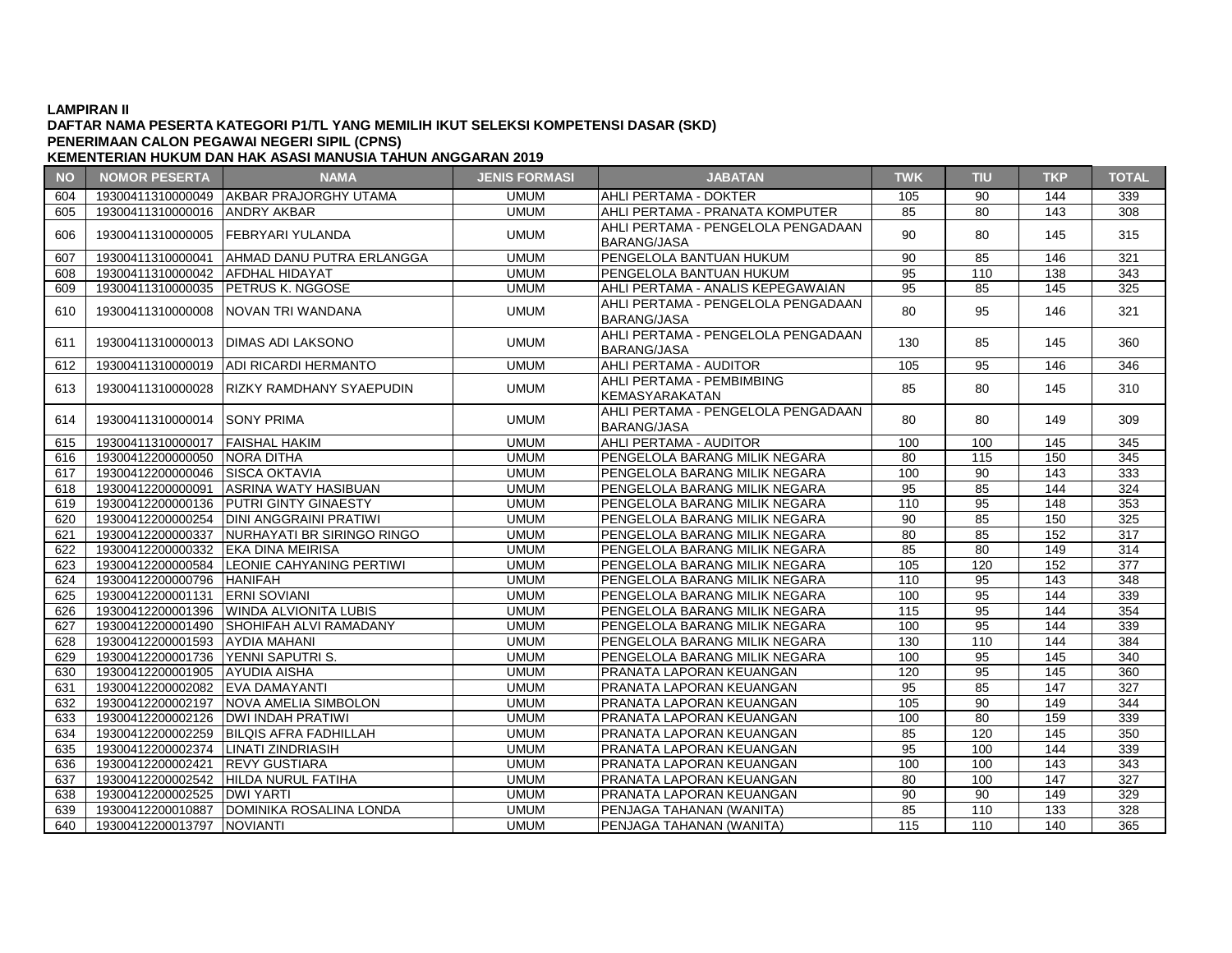### **DAFTAR NAMA PESERTA KATEGORI P1/TL YANG MEMILIH IKUT SELEKSI KOMPETENSI DASAR (SKD) KEMENTERIAN HUKUM DAN HAK ASASI MANUSIA TAHUN ANGGARAN 2019 PENERIMAAN CALON PEGAWAI NEGERI SIPIL (CPNS)**

### **NO NOMOR PESERTA NAMA JENIS FORMASI JABATAN TWK TIU TKP TOTAL** 604 19300411310000049 AKBAR PRAJORGHY UTAMA UMUM AHLI PERTAMA - DOKTER 105 90 144 339 605 19300411310000016 ANDRY AKBAR UMUM AHLI PERTAMA - PRANATA KOMPUTER 85 80 143 308 606 19300411310000005 FEBRYARI YULANDA UMUM AHLI PERTAMA - PENGELOLA PENGADAAN ATLET ENTAMA FENOLLOLAT ENOADAAN | 90 | 80 | 145 | 315 607 19300411310000041 AHMAD DANU PUTRA ERLANGGA UMUM PENGELOLA BANTUAN HUKUM 90 85 146 321 608 19300411310000042 AFDHAL HIDAYAT UMUM PENGELOLA BANTUAN HUKUM 95 110 138 343 609 19300411310000035 PETRUS K. NGGOSE UMUM AHLI PERTAMA - ANALIS KEPEGAWAIAN 95 85 145 325 610 19300411310000008 NOVAN TRI WANDANA UMUM UMUM AHLI PERTAMA - PENGELOLA PENGADAAN ATLET ENTAMA FENOLLOLAT ENOADAAN | 80 | 95 | 146 | 321 <sup>611</sup> <sup>19300411310000013</sup> DIMAS ADI LAKSONO UMUM AHLI PERTAMA - PENGELOLA PENGADAAN ARLI PERTAMA - PENGELOLA PENGADAAN | 130 | 85 | 145 | 360<br>BARANG/JASA 612 19300411310000019 ADI RICARDI HERMANTO UMUM AHLI PERTAMA - AUDITOR 105 95 146 346 613 19300411310000028 RIZKY RAMDHANY SYAEPUDIN LETTAMUM ATILI PERTAMA PEMBIMBING | 85 | 80 | 145 | 310<br>KEMASYARAKATAN 614 19300411310000014 SONY PRIMA UMUM UMUM AHLI PERTAMA - PENGELOLA PENGADAAN  $BRANG/JASA$   $\left| 80 \right| 80$   $| 149 | 309$ 615 19300411310000017 FAISHAL HAKIM UMUM AHLI PERTAMA - AUDITOR 100 100 145 345 616 19300412200000050 NORA DITHA UMUM PENGELOLA BARANG MILIK NEGARA 80 115 150 345 617 19300412200000046 SISCA OKTAVIA UMUM PENGELOLA BARANG MILIK NEGARA 100 90 143 333 618 19300412200000091 ASRINA WATY HASIBUAN UMUM PENGELOLA BARANG MILIK NEGARA 95 85 144 324 619 19300412200000136 PUTRI GINTY GINAESTY UMUM PENGELOLA BARANG MILIK NEGARA 110 95 148 353 620 | 19300412200000254 | DINI ANGGRAINI PRATIWI | UMUM | PENGELOLA BARANG MILIK NEGARA | 90 | 85 | 150 | 325 621 | 19300412200000337 NURHAYATI BR SIRINGO RINGO | UMUM PENGELOLA BARANG MILIK NEGARA | 80 | 85 | 152 | 317 622 19300412200000332 EKA DINA MEIRISA NEGA REMONDENTER SERIA DI UMUM PENGELOLA BARANG MILIK NEGARA 85 80 149 149 623 19300412200000584 LEONIE CAHYANING PERTIWI UMUM PENGELOLA BARANG MILIK NEGARA 105 120 152 377 624 19300412200000796 HANIFAH UMUM PENGELOLA BARANG MILIK NEGARA 110 95 143 348 625 19300412200001131 ERNI SOVIANI UMUM PENGELOLA BARANG MILIK NEGARA 100 95 144 339 626 19300412200001396 WINDA ALVIONITA LUBIS UMUM PENGELOLA BARANG MILIK NEGARA 115 95 144 354 627 19300412200001490 SHOHIFAH ALVI RAMADANY UMUM PENGELOLA BARANG MILIK NEGARA 100 95 144 339 628 19300412200001593 AYDIA MAHANI UMUM PENGELOLA BARANG MILIK NEGARA 130 110 144 384 629 19300412200001736 YENNI SAPUTRI S. UMUM PENGELOLA BARANG MILIK NEGARA 100 95 145 340 630 19300412200001905 AYUDIA AISHA UMUM PRANATA LAPORAN KEUANGAN 120 95 145 360 631 19300412200002082 EVA DAMAYANTI UMUM PRANATA LAPORAN KEUANGAN 95 85 147 327 632 19300412200002197 NOVA AMELIA SIMBOLON UMUM PRANATA LAPORAN KEUANGAN 105 90 149 344  $\begin{array}{|l|c|c|c|c|c|}\hline \textbf{633} & \textbf{19300412200002126} & \textbf{DWI INDAH PRATIVI} & & & & \textbf{UMUM} & & & \textbf{PRANATA LAPORAN KEUANGAN} & & & \textbf{100} \\ \hline \textbf{634} & \textbf{19300412200002259} & \textbf{BILOIS AFRA FADHILLAH} & & & & \textbf{UMUM} & & \textbf{PRANATA LAPORAN KEUANGAN} & & \textbf{85} \\ \hline \end{array}$ 634 19300412200002259 BILQIS AFRA FADHILLAH UMUM PRANATA LAPORAN KEUANGAN 85 120 145 350 635 19300412200002374 LINATI ZINDRIASIH UMUM PRANATA LAPORAN KEUANGAN 95 100 144 339 636 19300412200002421 REVY GUSTIARA NEMBER AND HANDING THE RANATA LAPORAN KEUANGAN 100 100 100 143 343 637 19300412200002542 HILDA NURUL FATIHA UMUM PRANATA LAPORAN KEUANGAN 80 100 147 327 638 19300412200002525 DWI YARTI UMUM PRANATA LAPORAN KEUANGAN 90 90 149 329 639 19300412200010887 DOMINIKA ROSALINA LONDA UMUM PENJAGA TAHANAN (WANITA) 85 110 133 328 640 19300412200013797 NOVIANTI UMUM PENJAGA TAHANAN (WANITA) 115 110 140 365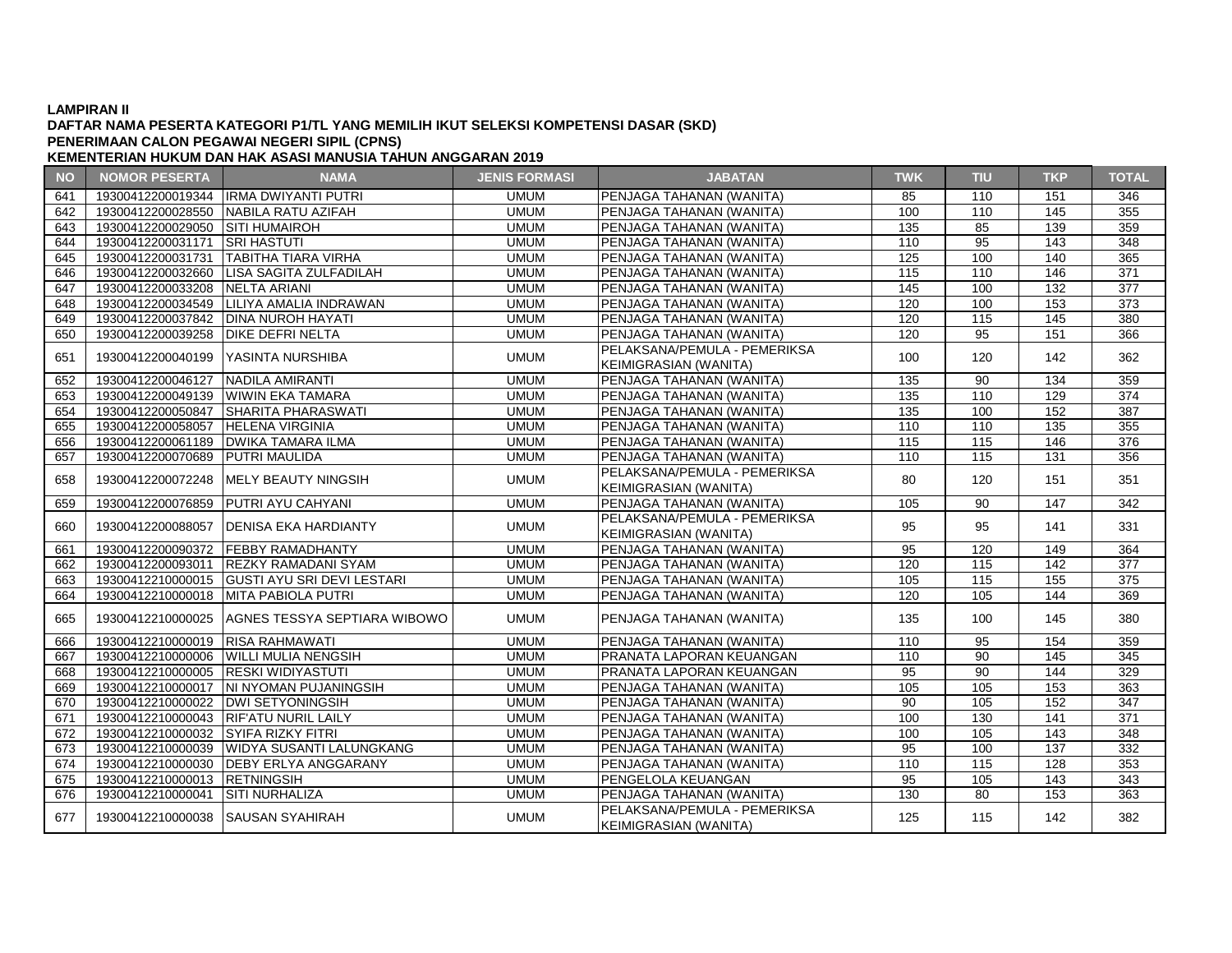### **DAFTAR NAMA PESERTA KATEGORI P1/TL YANG MEMILIH IKUT SELEKSI KOMPETENSI DASAR (SKD) PENERIMAAN CALON PEGAWAI NEGERI SIPIL (CPNS)**

| <b>NO</b> | <b>NOMOR PESERTA</b>                | <b>NAMA</b>                                    | <b>JENIS FORMASI</b> | <b>JABATAN</b>                                               | <b>TWK</b>       | <b>TIU</b>        | <b>TKP</b>        | <b>TOTAL</b>     |
|-----------|-------------------------------------|------------------------------------------------|----------------------|--------------------------------------------------------------|------------------|-------------------|-------------------|------------------|
| 641       |                                     | 19300412200019344 IRMA DWIYANTI PUTRI          | <b>UMUM</b>          | PENJAGA TAHANAN (WANITA)                                     | 85               | 110               | 151               | 346              |
| 642       |                                     | 19300412200028550 NABILA RATU AZIFAH           | <b>UMUM</b>          | PENJAGA TAHANAN (WANITA)                                     | 100              | 110               | 145               | 355              |
| 643       | 19300412200029050 SITI HUMAIROH     |                                                | <b>UMUM</b>          | PENJAGA TAHANAN (WANITA)                                     | 135              | 85                | 139               | 359              |
| 644       | 19300412200031171 SRI HASTUTI       |                                                | <b>UMUM</b>          | PENJAGA TAHANAN (WANITA)                                     | 110              | 95                | $\overline{143}$  | $\overline{348}$ |
| 645       |                                     | 19300412200031731 TABITHA TIARA VIRHA          | <b>UMUM</b>          | PENJAGA TAHANAN (WANITA)                                     | 125              | 100               | 140               | 365              |
| 646       |                                     | 19300412200032660 LISA SAGITA ZULFADILAH       | <b>UMUM</b>          | PENJAGA TAHANAN (WANITA)                                     | 115              | 110               | 146               | 371              |
| 647       | 19300412200033208 NELTA ARIANI      |                                                | <b>UMUM</b>          | PENJAGA TAHANAN (WANITA)                                     | 145              | 100               | 132               | 377              |
| 648       |                                     | 19300412200034549   LILIYA AMALIA INDRAWAN     | <b>UMUM</b>          | PENJAGA TAHANAN (WANITA)                                     | 120              | 100               | 153               | $\overline{373}$ |
| 649       |                                     | 19300412200037842   DINA NUROH HAYATI          | <b>UMUM</b>          | PENJAGA TAHANAN (WANITA)                                     | 120              | 115               | $\frac{145}{145}$ | 380              |
| 650       | 19300412200039258 DIKE DEFRI NELTA  |                                                | <b>UMUM</b>          | PENJAGA TAHANAN (WANITA)                                     | 120              | 95                | 151               | 366              |
| 651       |                                     | 19300412200040199   YASINTA NURSHIBA           | <b>UMUM</b>          | PELAKSANA/PEMULA - PEMERIKSA<br><b>KEIMIGRASIAN (WANITA)</b> | 100              | 120               | 142               | 362              |
| 652       | 19300412200046127 NADILA AMIRANTI   |                                                | <b>UMUM</b>          | PENJAGA TAHANAN (WANITA)                                     | 135              | 90                | 134               | 359              |
| 653       |                                     | 19300412200049139 WIWIN EKA TAMARA             | <b>UMUM</b>          | PENJAGA TAHANAN (WANITA)                                     | 135              | 110               | 129               | 374              |
| 654       |                                     | 19300412200050847 SHARITA PHARASWATI           | <b>UMUM</b>          | PENJAGA TAHANAN (WANITA)                                     | $\overline{135}$ | 100               | 152               | $\overline{387}$ |
| 655       | 19300412200058057 HELENA VIRGINIA   |                                                | <b>UMUM</b>          | PENJAGA TAHANAN (WANITA)                                     | 110              | 110               | 135               | 355              |
| 656       |                                     | 19300412200061189   DWIKA TAMARA ILMA          | <b>UMUM</b>          | PENJAGA TAHANAN (WANITA)                                     | 115              | 115               | 146               | 376              |
| 657       | 19300412200070689 PUTRI MAULIDA     |                                                | <b>UMUM</b>          | PENJAGA TAHANAN (WANITA)                                     | 110              | 115               | 131               | 356              |
|           |                                     |                                                |                      | PELAKSANA/PEMULA - PEMERIKSA                                 |                  |                   |                   |                  |
| 658       | 19300412200072248                   | IMELY BEAUTY NINGSIH                           | <b>UMUM</b>          | KEIMIGRASIAN (WANITA)                                        | 80               | 120               | 151               | 351              |
| 659       |                                     | 19300412200076859 PUTRI AYU CAHYANI            | <b>UMUM</b>          | PENJAGA TAHANAN (WANITA)                                     | 105              | 90                | 147               | 342              |
|           |                                     |                                                |                      | PELAKSANA/PEMULA - PEMERIKSA                                 |                  |                   |                   |                  |
| 660       | 19300412200088057                   | <b>DENISA EKA HARDIANTY</b>                    | <b>UMUM</b>          | <b>KEIMIGRASIAN (WANITA)</b>                                 | 95               | 95                | 141               | 331              |
| 661       |                                     | 19300412200090372 FEBBY RAMADHANTY             | <b>UMUM</b>          | PENJAGA TAHANAN (WANITA)                                     | 95               | 120               | 149               | 364              |
| 662       |                                     | 19300412200093011 REZKY RAMADANI SYAM          | <b>UMUM</b>          | PENJAGA TAHANAN (WANITA)                                     | 120              | $\frac{115}{115}$ | 142               | 377              |
| 663       |                                     | 19300412210000015 GUSTI AYU SRI DEVI LESTARI   | <b>UMUM</b>          | PENJAGA TAHANAN (WANITA)                                     | 105              | 115               | 155               | 375              |
| 664       |                                     | 19300412210000018 MITA PABIOLA PUTRI           | <b>UMUM</b>          | PENJAGA TAHANAN (WANITA)                                     | 120              | 105               | 144               | 369              |
| 665       |                                     | 19300412210000025 AGNES TESSYA SEPTIARA WIBOWO | <b>UMUM</b>          | PENJAGA TAHANAN (WANITA)                                     | 135              | 100               | 145               | 380              |
| 666       | 19300412210000019 RISA RAHMAWATI    |                                                | <b>UMUM</b>          | PENJAGA TAHANAN (WANITA)                                     | 110              | 95                | 154               | 359              |
| 667       |                                     | 19300412210000006 WILLI MULIA NENGSIH          | <b>UMUM</b>          | PRANATA LAPORAN KEUANGAN                                     | 110              | 90                | $\overline{145}$  | 345              |
| 668       | 19300412210000005 RESKI WIDIYASTUTI |                                                | <b>UMUM</b>          | PRANATA LAPORAN KEUANGAN                                     | 95               | 90                | 144               | 329              |
| 669       |                                     | 19300412210000017 NI NYOMAN PUJANINGSIH        | <b>UMUM</b>          | PENJAGA TAHANAN (WANITA)                                     | 105              | 105               | 153               | 363              |
| 670       |                                     | 19300412210000022   DWI SETYONINGSIH           | <b>UMUM</b>          | PENJAGA TAHANAN (WANITA)                                     | 90               | 105               | 152               | 347              |
| 671       |                                     | 19300412210000043 RIF'ATU NURIL LAILY          | <b>UMUM</b>          | PENJAGA TAHANAN (WANITA)                                     | 100              | 130               | 141               | 371              |
| 672       | 19300412210000032 SYIFA RIZKY FITRI |                                                | <b>UMUM</b>          | PENJAGA TAHANAN (WANITA)                                     | 100              | 105               | 143               | 348              |
| 673       |                                     | 19300412210000039 WIDYA SUSANTI LALUNGKANG     | <b>UMUM</b>          | PENJAGA TAHANAN (WANITA)                                     | 95               | 100               | 137               | 332              |
| 674       |                                     | 19300412210000030 DEBY ERLYA ANGGARANY         | <b>UMUM</b>          | PENJAGA TAHANAN (WANITA)                                     | 110              | 115               | 128               | 353              |
| 675       | 19300412210000013 RETNINGSIH        |                                                | <b>UMUM</b>          | PENGELOLA KEUANGAN                                           | 95               | 105               | 143               | 343              |
| 676       | 19300412210000041 SITI NURHALIZA    |                                                | <b>UMUM</b>          | PENJAGA TAHANAN (WANITA)                                     | 130              | 80                | 153               | 363              |
| 677       | 19300412210000038 SAUSAN SYAHIRAH   |                                                | <b>UMUM</b>          | PELAKSANA/PEMULA - PEMERIKSA<br>KEIMIGRASIAN (WANITA)        | 125              | 115               | 142               | 382              |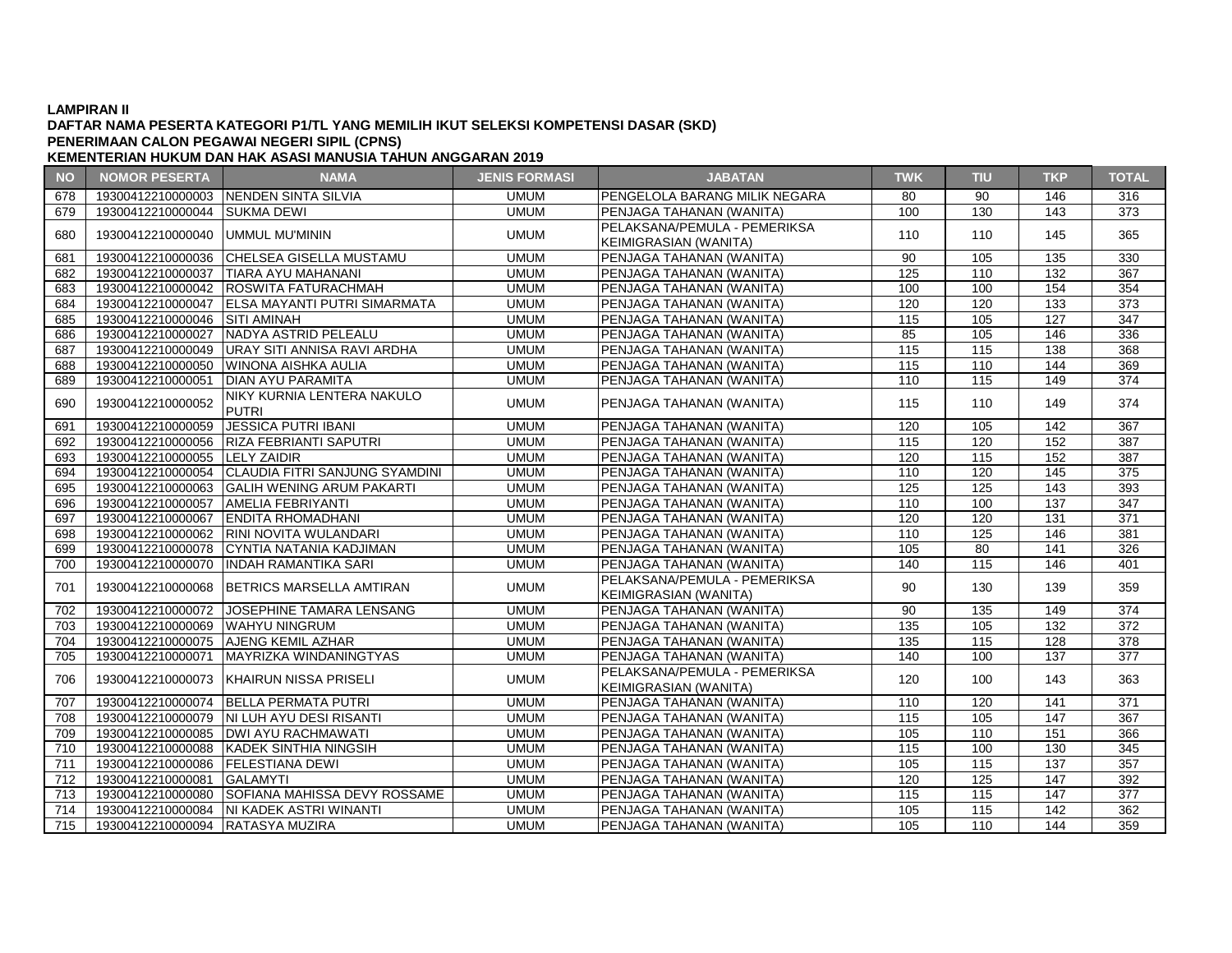### **DAFTAR NAMA PESERTA KATEGORI P1/TL YANG MEMILIH IKUT SELEKSI KOMPETENSI DASAR (SKD) PENERIMAAN CALON PEGAWAI NEGERI SIPIL (CPNS)**

| <b>NO</b> | <b>NOMOR PESERTA</b>                | <b>NAMA</b>                                      | <b>JENIS FORMASI</b> | <b>JABATAN</b>                                               | <b>TWK</b>       | <b>TIU</b> | <b>TKP</b>       | <b>TOTAL</b>     |
|-----------|-------------------------------------|--------------------------------------------------|----------------------|--------------------------------------------------------------|------------------|------------|------------------|------------------|
| 678       |                                     | 19300412210000003 NENDEN SINTA SILVIA            | <b>UMUM</b>          | PENGELOLA BARANG MILIK NEGARA                                | 80               | 90         | 146              | 316              |
| 679       | 19300412210000044 SUKMA DEWI        |                                                  | <b>UMUM</b>          | PENJAGA TAHANAN (WANITA)                                     | 100              | 130        | 143              | 373              |
| 680       | 19300412210000040 UMMUL MU'MININ    |                                                  | <b>UMUM</b>          | PELAKSANA/PEMULA - PEMERIKSA<br><b>KEIMIGRASIAN (WANITA)</b> | 110              | 110        | 145              | 365              |
| 681       |                                     | 19300412210000036 CHELSEA GISELLA MUSTAMU        | <b>UMUM</b>          | PENJAGA TAHANAN (WANITA)                                     | 90               | 105        | 135              | 330              |
| 682       |                                     | 19300412210000037 TIARA AYU MAHANANI             | <b>UMUM</b>          | PENJAGA TAHANAN (WANITA)                                     | 125              | 110        | 132              | 367              |
| 683       |                                     | 19300412210000042 ROSWITA FATURACHMAH            | <b>UMUM</b>          | PENJAGA TAHANAN (WANITA)                                     | 100              | 100        | 154              | 354              |
| 684       |                                     | 19300412210000047 ELSA MAYANTI PUTRI SIMARMATA   | <b>UMUM</b>          | PENJAGA TAHANAN (WANITA)                                     | 120              | 120        | 133              | 373              |
| 685       | 19300412210000046 SITI AMINAH       |                                                  | <b>UMUM</b>          | PENJAGA TAHANAN (WANITA)                                     | 115              | 105        | 127              | 347              |
| 686       |                                     | 19300412210000027 NADYA ASTRID PELEALU           | <b>UMUM</b>          | PENJAGA TAHANAN (WANITA)                                     | 85               | 105        | 146              | 336              |
| 687       |                                     | 19300412210000049   URAY SITI ANNISA RAVI ARDHA  | <b>UMUM</b>          | PENJAGA TAHANAN (WANITA)                                     | $\overline{115}$ | 115        | 138              | 368              |
| 688       |                                     | 19300412210000050 WINONA AISHKA AULIA            | <b>UMUM</b>          | PENJAGA TAHANAN (WANITA)                                     | 115              | 110        | 144              | 369              |
| 689       | 19300412210000051                   | <b>DIAN AYU PARAMITA</b>                         | <b>UMUM</b>          | PENJAGA TAHANAN (WANITA)                                     | 110              | 115        | 149              | 374              |
| 690       | 19300412210000052                   | NIKY KURNIA LENTERA NAKULO<br><b>PUTRI</b>       | <b>UMUM</b>          | PENJAGA TAHANAN (WANITA)                                     | 115              | 110        | 149              | 374              |
| 691       | 19300412210000059                   | <b>JESSICA PUTRI IBANI</b>                       | <b>UMUM</b>          | PENJAGA TAHANAN (WANITA)                                     | 120              | 105        | 142              | 367              |
| 692       |                                     | 19300412210000056 RIZA FEBRIANTI SAPUTRI         | <b>UMUM</b>          | PENJAGA TAHANAN (WANITA)                                     | 115              | 120        | 152              | 387              |
| 693       | 19300412210000055 LELY ZAIDIR       |                                                  | <b>UMUM</b>          | PENJAGA TAHANAN (WANITA)                                     | 120              | 115        | 152              | 387              |
| 694       |                                     | 19300412210000054 CLAUDIA FITRI SANJUNG SYAMDINI | <b>UMUM</b>          | PENJAGA TAHANAN (WANITA)                                     | 110              | 120        | 145              | 375              |
| 695       |                                     | 19300412210000063 GALIH WENING ARUM PAKARTI      | <b>UMUM</b>          | PENJAGA TAHANAN (WANITA)                                     | 125              | 125        | 143              | 393              |
| 696       |                                     | 19300412210000057 AMELIA FEBRIYANTI              | <b>UMUM</b>          | PENJAGA TAHANAN (WANITA)                                     | 110              | 100        | 137              | $\overline{347}$ |
| 697       |                                     | 19300412210000067 ENDITA RHOMADHANI              | <b>UMUM</b>          | PENJAGA TAHANAN (WANITA)                                     | 120              | 120        | 131              | 371              |
| 698       |                                     | 19300412210000062 RINI NOVITA WULANDARI          | <b>UMUM</b>          | PENJAGA TAHANAN (WANITA)                                     | 110              | 125        | 146              | 381              |
| 699       | 19300412210000078                   | CYNTIA NATANIA KADJIMAN                          | <b>UMUM</b>          | PENJAGA TAHANAN (WANITA)                                     | 105              | 80         | 141              | 326              |
| 700       |                                     | 19300412210000070   INDAH RAMANTIKA SARI         | <b>UMUM</b>          | PENJAGA TAHANAN (WANITA)                                     | 140              | 115        | 146              | 401              |
| 701       |                                     | 19300412210000068 BETRICS MARSELLA AMTIRAN       | <b>UMUM</b>          | PELAKSANA/PEMULA - PEMERIKSA<br><b>KEIMIGRASIAN (WANITA)</b> | 90               | 130        | 139              | 359              |
| 702       |                                     | 19300412210000072 JJOSEPHINE TAMARA LENSANG      | <b>UMUM</b>          | PENJAGA TAHANAN (WANITA)                                     | 90               | 135        | 149              | 374              |
| 703       | 19300412210000069 WAHYU NINGRUM     |                                                  | <b>UMUM</b>          | PENJAGA TAHANAN (WANITA)                                     | 135              | 105        | 132              | $\overline{372}$ |
| 704       |                                     | 19300412210000075 AJENG KEMIL AZHAR              | <b>UMUM</b>          | PENJAGA TAHANAN (WANITA)                                     | 135              | 115        | 128              | 378              |
| 705       | 19300412210000071                   | MAYRIZKA WINDANINGTYAS                           | <b>UMUM</b>          | PENJAGA TAHANAN (WANITA)                                     | 140              | 100        | 137              | 377              |
| 706       |                                     | 19300412210000073   KHAIRUN NISSA PRISELI        | <b>UMUM</b>          | PELAKSANA/PEMULA - PEMERIKSA<br><b>KEIMIGRASIAN (WANITA)</b> | 120              | 100        | 143              | 363              |
| 707       | 19300412210000074                   | BELLA PERMATA PUTRI                              | <b>UMUM</b>          | PENJAGA TAHANAN (WANITA)                                     | 110              | 120        | 141              | 371              |
| 708       |                                     | 19300412210000079 NI LUH AYU DESI RISANTI        | <b>UMUM</b>          | PENJAGA TAHANAN (WANITA)                                     | 115              | 105        | $\overline{147}$ | $\overline{367}$ |
| 709       |                                     |                                                  | <b>UMUM</b>          | PENJAGA TAHANAN (WANITA)                                     | 105              | 110        | 151              | 366              |
| 710       |                                     | 19300412210000088 KADEK SINTHIA NINGSIH          | <b>UMUM</b>          | PENJAGA TAHANAN (WANITA)                                     | 115              | 100        | 130              | 345              |
| 711       | 19300412210000086   FELESTIANA DEWI |                                                  | <b>UMUM</b>          | PENJAGA TAHANAN (WANITA)                                     | 105              | 115        | 137              | 357              |
| 712       | 19300412210000081                   | <b>GALAMYTI</b>                                  | <b>UMUM</b>          | PENJAGA TAHANAN (WANITA)                                     | 120              | 125        | $\overline{147}$ | 392              |
| 713       |                                     | 19300412210000080 SOFIANA MAHISSA DEVY ROSSAME   | <b>UMUM</b>          | PENJAGA TAHANAN (WANITA)                                     | 115              | 115        | 147              | $\overline{377}$ |
| 714       |                                     | 19300412210000084 NI KADEK ASTRI WINANTI         | <b>UMUM</b>          | PENJAGA TAHANAN (WANITA)                                     | 105              | 115        | 142              | 362              |
| 715       | 19300412210000094 RATASYA MUZIRA    |                                                  | <b>UMUM</b>          | PENJAGA TAHANAN (WANITA)                                     | 105              | 110        | 144              | 359              |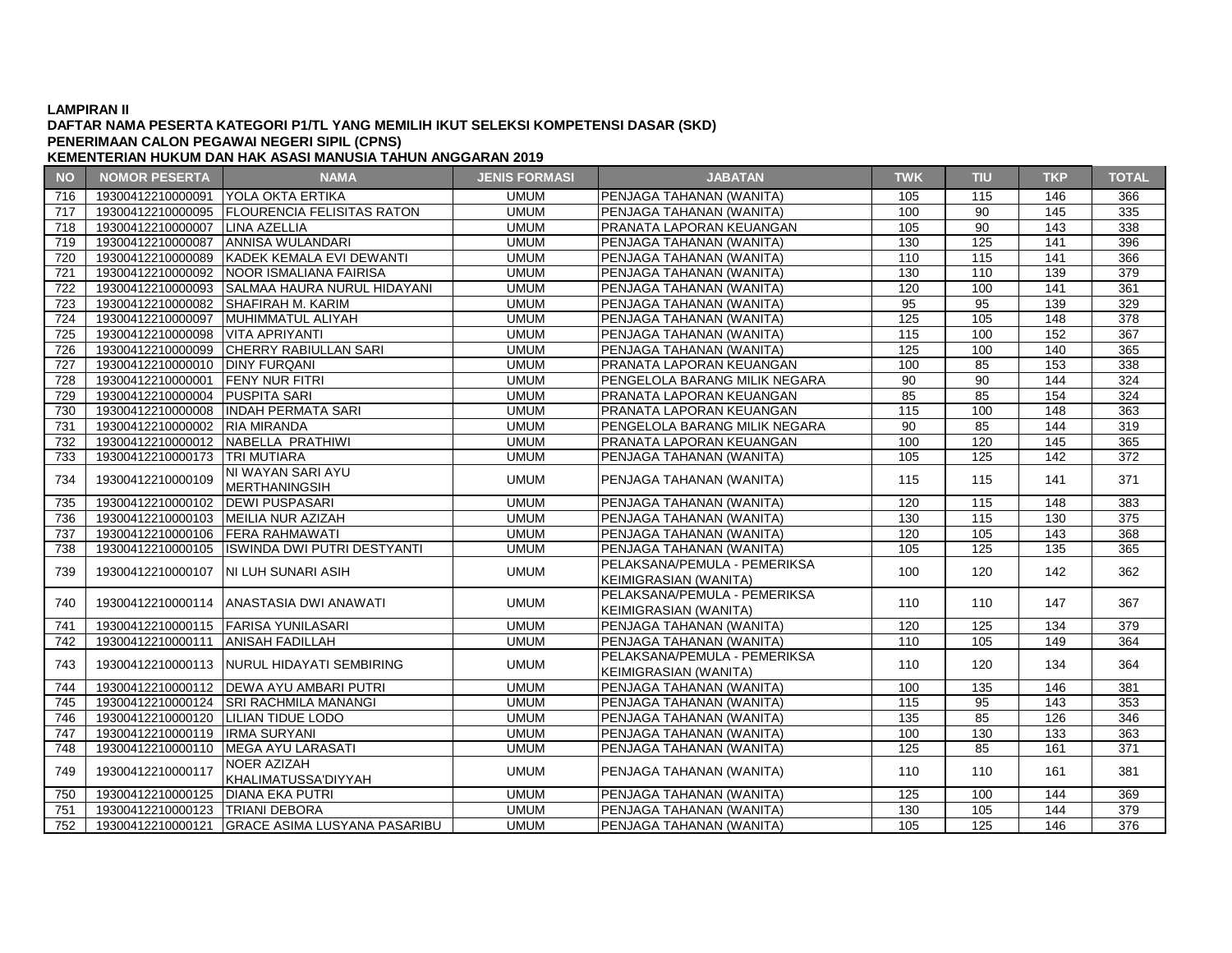### **DAFTAR NAMA PESERTA KATEGORI P1/TL YANG MEMILIH IKUT SELEKSI KOMPETENSI DASAR (SKD) PENERIMAAN CALON PEGAWAI NEGERI SIPIL (CPNS)**

| <b>NO</b> | <b>NOMOR PESERTA</b>                | <b>NAMA</b>                                    | <b>JENIS FORMASI</b> | <b>JABATAN</b>                  | <b>TWK</b>       | <b>TIU</b> | <b>TKP</b> | <b>TOTAL</b>     |
|-----------|-------------------------------------|------------------------------------------------|----------------------|---------------------------------|------------------|------------|------------|------------------|
| 716       | 19300412210000091                   | <b>IYOLA OKTA ERTIKA</b>                       | <b>UMUM</b>          | PENJAGA TAHANAN (WANITA)        | 105              | 115        | 146        | 366              |
| 717       | 19300412210000095                   | <b>IFLOURENCIA FELISITAS RATON</b>             | <b>UMUM</b>          | PENJAGA TAHANAN (WANITA)        | 100              | 90         | 145        | 335              |
| 718       | 19300412210000007                   | LINA AZELLIA                                   | <b>UMUM</b>          | PRANATA LAPORAN KEUANGAN        | 105              | 90         | 143        | 338              |
| 719       | 19300412210000087                   | <b>ANNISA WULANDARI</b>                        | <b>UMUM</b>          | PENJAGA TAHANAN (WANITA)        | 130              | 125        | 141        | 396              |
| 720       | 19300412210000089                   | KADEK KEMALA EVI DEWANTI                       | <b>UMUM</b>          | PENJAGA TAHANAN (WANITA)        | 110              | 115        | 141        | 366              |
| 721       | 19300412210000092                   | NOOR ISMALIANA FAIRISA                         | <b>UMUM</b>          | PENJAGA TAHANAN (WANITA)        | 130              | 110        | 139        | 379              |
| 722       |                                     | 19300412210000093 SALMAA HAURA NURUL HIDAYANI  | <b>UMUM</b>          | PENJAGA TAHANAN (WANITA)        | 120              | 100        | 141        | 361              |
| 723       | 19300412210000082                   | <b>SHAFIRAH M. KARIM</b>                       | <b>UMUM</b>          | PENJAGA TAHANAN (WANITA)        | $\overline{95}$  | 95         | 139        | 329              |
| 724       | 19300412210000097                   | MUHIMMATUL ALIYAH                              | <b>UMUM</b>          | PENJAGA TAHANAN (WANITA)        | 125              | 105        | 148        | 378              |
| 725       | 19300412210000098   VITA APRIYANTI  |                                                | <b>UMUM</b>          | PENJAGA TAHANAN (WANITA)        | 115              | 100        | 152        | 367              |
| 726       | 19300412210000099                   | <b>CHERRY RABIULLAN SARI</b>                   | <b>UMUM</b>          | PENJAGA TAHANAN (WANITA)        | 125              | 100        | 140        | 365              |
| 727       | 19300412210000010                   | <b>DINY FURQANI</b>                            | <b>UMUM</b>          | PRANATA LAPORAN KEUANGAN        | 100              | 85         | 153        | 338              |
| 728       | 19300412210000001                   | <b>FENY NUR FITRI</b>                          | <b>UMUM</b>          | PENGELOLA BARANG MILIK NEGARA   | 90               | 90         | 144        | 324              |
| 729       | 19300412210000004 PUSPITA SARI      |                                                | <b>UMUM</b>          | PRANATA LAPORAN KEUANGAN        | 85               | 85         | 154        | 324              |
| 730       | 19300412210000008                   | <b>INDAH PERMATA SARI</b>                      | <b>UMUM</b>          | PRANATA LAPORAN KEUANGAN        | 115              | 100        | 148        | 363              |
| 731       | 19300412210000002                   | <b>RIA MIRANDA</b>                             | <b>UMUM</b>          | PENGELOLA BARANG MILIK NEGARA   | 90               | 85         | 144        | 319              |
| 732       |                                     | 19300412210000012 NABELLA PRATHIWI             | <b>UMUM</b>          | PRANATA LAPORAN KEUANGAN        | 100              | 120        | 145        | 365              |
| 733       | 19300412210000173                   | <b>TRI MUTIARA</b>                             | <b>UMUM</b>          | PENJAGA TAHANAN (WANITA)        | 105              | 125        | 142        | $\overline{372}$ |
|           | 19300412210000109                   | NI WAYAN SARI AYU                              |                      |                                 |                  | 115        |            | 371              |
| 734       |                                     | <b>MERTHANINGSIH</b>                           | <b>UMUM</b>          | PENJAGA TAHANAN (WANITA)        | 115              |            | 141        |                  |
| 735       | 19300412210000102                   | <b>IDEWI PUSPASARI</b>                         | <b>UMUM</b>          | <b>PENJAGA TAHANAN (WANITA)</b> | 120              | 115        | 148        | 383              |
| 736       | 19300412210000103                   | MEILIA NUR AZIZAH                              | <b>UMUM</b>          | PENJAGA TAHANAN (WANITA)        | 130              | 115        | 130        | 375              |
| 737       | 19300412210000106                   | <b>FERA RAHMAWATI</b>                          | <b>UMUM</b>          | PENJAGA TAHANAN (WANITA)        | 120              | 105        | 143        | 368              |
| 738       | 19300412210000105                   | <b>ISWINDA DWI PUTRI DESTYANTI</b>             | <b>UMUM</b>          | <b>PENJAGA TAHANAN (WANITA)</b> | 105              | 125        | 135        | 365              |
|           |                                     |                                                | <b>UMUM</b>          | PELAKSANA/PEMULA - PEMERIKSA    |                  |            |            |                  |
| 739       | 19300412210000107                   | NI LUH SUNARI ASIH                             |                      | KEIMIGRASIAN (WANITA)           | 100              | 120        | 142        | 362              |
|           |                                     |                                                |                      | PELAKSANA/PEMULA - PEMERIKSA    |                  |            |            |                  |
| 740       |                                     | 19300412210000114   ANASTASIA DWI ANAWATI      | <b>UMUM</b>          | KEIMIGRASIAN (WANITA)           | 110              | 110        | 147        | 367              |
| 741       |                                     | 19300412210000115 FARISA YUNILASARI            | <b>UMUM</b>          | PENJAGA TAHANAN (WANITA)        | 120              | 125        | 134        | 379              |
| 742       | 19300412210000111                   | <b>ANISAH FADILLAH</b>                         | <b>UMUM</b>          | PENJAGA TAHANAN (WANITA)        | 110              | 105        | 149        | 364              |
|           |                                     |                                                |                      | PELAKSANA/PEMULA - PEMERIKSA    |                  |            | 134        |                  |
| 743       |                                     | 19300412210000113 NURUL HIDAYATI SEMBIRING     | <b>UMUM</b>          | KEIMIGRASIAN (WANITA)           | 110              | 120        |            | 364              |
| 744       |                                     | 19300412210000112   DEWA AYU AMBARI PUTRI      | <b>UMUM</b>          | PENJAGA TAHANAN (WANITA)        | 100              | 135        | 146        | 381              |
| 745       |                                     | 19300412210000124 SRI RACHMILA MANANGI         | <b>UMUM</b>          | PENJAGA TAHANAN (WANITA)        | 115              | 95         | 143        | 353              |
| 746       | 19300412210000120 LILIAN TIDUE LODO |                                                | <b>UMUM</b>          | PENJAGA TAHANAN (WANITA)        | $\overline{135}$ | 85         | 126        | 346              |
| 747       | 19300412210000119   IRMA SURYANI    |                                                | <b>UMUM</b>          | PENJAGA TAHANAN (WANITA)        | 100              | 130        | 133        | 363              |
| 748       | 19300412210000110                   | MEGA AYU LARASATI                              | <b>UMUM</b>          | PENJAGA TAHANAN (WANITA)        | 125              | 85         | 161        | 371              |
|           |                                     | <b>NOER AZIZAH</b>                             | <b>UMUM</b>          |                                 |                  |            | 161        | 381              |
| 749       | 19300412210000117                   | KHALIMATUSSA'DIYYAH                            |                      | PENJAGA TAHANAN (WANITA)        | 110              | 110        |            |                  |
| 750       | 19300412210000125                   | <b>DIANA EKA PUTRI</b>                         | <b>UMUM</b>          | <b>PENJAGA TAHANAN (WANITA)</b> | 125              | 100        | 144        | 369              |
| 751       | 19300412210000123                   | <b>TRIANI DEBORA</b>                           | <b>UMUM</b>          | PENJAGA TAHANAN (WANITA)        | 130              | 105        | 144        | 379              |
| 752       |                                     | 19300412210000121 GRACE ASIMA LUSYANA PASARIBU | <b>UMUM</b>          | PENJAGA TAHANAN (WANITA)        | 105              | 125        | 146        | 376              |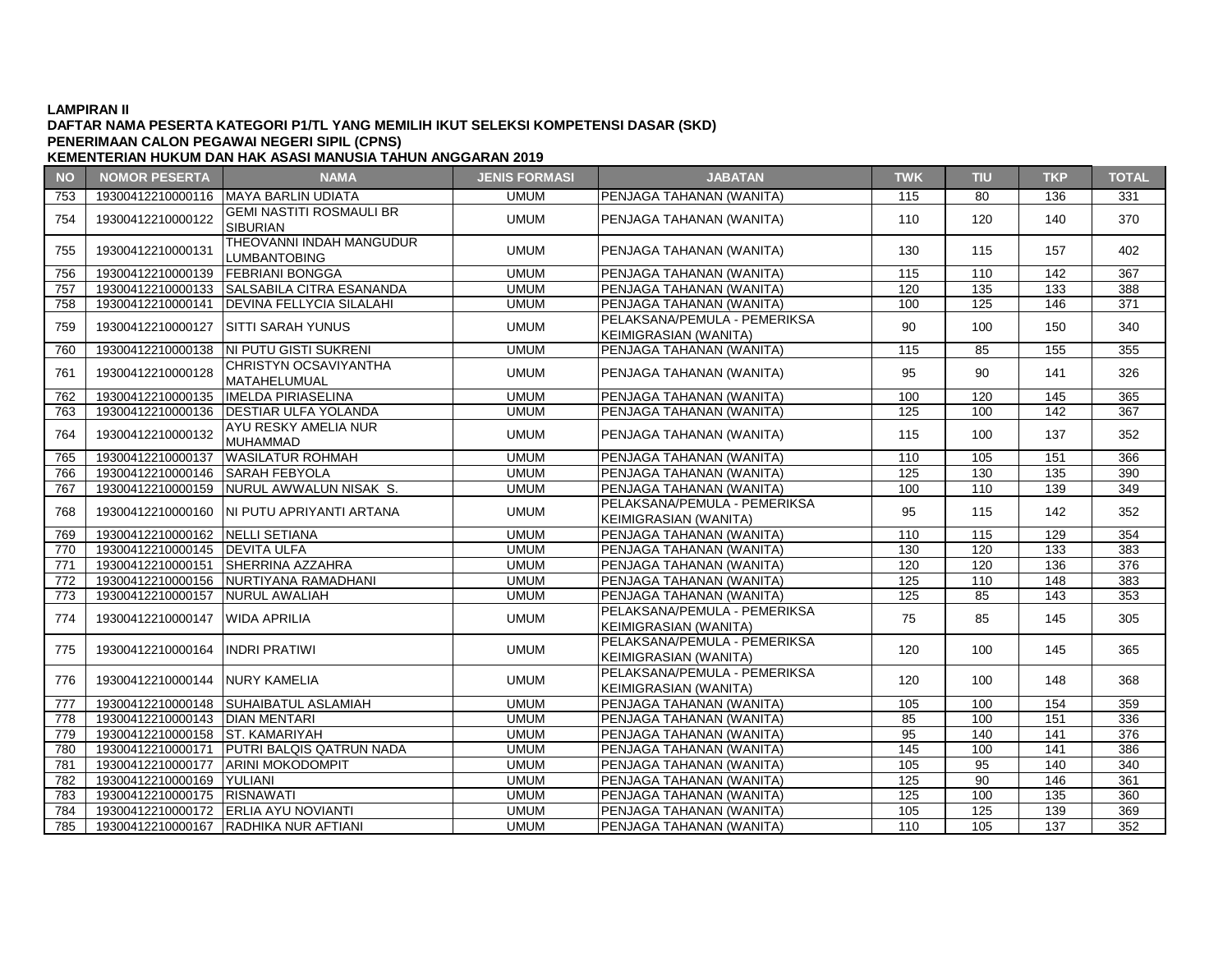### **DAFTAR NAMA PESERTA KATEGORI P1/TL YANG MEMILIH IKUT SELEKSI KOMPETENSI DASAR (SKD) KEMENTERIAN HUKUM DAN HAK ASASI MANUSIA TAHUN ANGGARAN 2019 PENERIMAAN CALON PEGAWAI NEGERI SIPIL (CPNS)**

**NO NOMOR PESERTA NAMA JENIS FORMASI JABATAN TWK TIU TKP TOTAL** 19300412210000116 MAYA BARLIN UDIATA UMUM PENJAGA TAHANAN (WANITA) 115 80 136 331 <sup>19300412210000122</sup> GEMI NASTITI ROSMAULI BR UMUM PENJAGA TAHANAN (WANITA)  $\begin{array}{|c|c|c|c|c|c|c|c|c|} \hline \text{MUM} & \text{PENJAGA TAHANAN (WANITA) } & \text{110} & 120 & 140 & 370 \ \hline \end{array}$  <sup>19300412210000131</sup> THEOVANNI INDAH MANGUDUR LUMBANTOBING UMUM PENJAGA TAHANAN (WANITA) <sup>130</sup> <sup>115</sup> <sup>157</sup> <sup>402</sup> 19300412210000139 FEBRIANI BONGGA UMUM PENJAGA TAHANAN (WANITA) 115 110 142 367 19300412210000133 SALSABILA CITRA ESANANDA UMUM PENJAGA TAHANAN (WANITA) 120 135 133 388 19300412210000141 DEVINA FELLYCIA SILALAHI UMUM PENJAGA TAHANAN (WANITA) 100 125 146 371 <sup>19300412210000127</sup> SITTI SARAH YUNUS UMUM PELAKSANA/PEMULA - PEMERIKSA PELANSANA/PEMULA PEMENINSA | 90 | 100 | 150 | 340<br>KEIMIGRASIAN (WANITA) 19300412210000138 NI PUTU GISTI SUKRENI UMUM PENJAGA TAHANAN (WANITA) 115 85 155 355 <sup>19300412210000128</sup> CHRISTYN OCSAVIYANTHA UMUM PENJAGA TAHANAN (WANITA)  $\begin{array}{|c|c|c|c|c|c|c|c|} \hline \text{UMI} & \text{95} & \text{90} & \text{141} & \text{326} \ \hline \end{array}$  19300412210000135 IMELDA PIRIASELINA UMUM PENJAGA TAHANAN (WANITA) 100 120 145 365 19300412210000136 DESTIAR ULFA YOLANDA UMUM PENJAGA TAHANAN (WANITA) 125 100 142 367 <sup>19300412210000132</sup> AYU RESKY AMELIA NUR UMUM PENJAGA TAHANAN (WANITA)  $\begin{array}{|c|c|c|c|c|c|c|c|c|} \hline \text{MUM} & \text{PENJAGA TAHANAN (WANITA) } & & 115 & 100 & 137 & 352 \hline \end{array}$  19300412210000137 WASILATUR ROHMAH UMUM PENJAGA TAHANAN (WANITA) 110 105 151 366 19300412210000146 SARAH FEBYOLA UMUM PENJAGA TAHANAN (WANITA) 125 130 135 390 19300412210000159 NURUL AWWALUN NISAK S. UMUM PENJAGA TAHANAN (WANITA) 100 110 139 349 <sup>19300412210000160</sup> NI PUTU APRIYANTI ARTANA UMUM PELAKSANA/PEMULA - PEMERIKSA KEIMIGRASIAN (WANITA) <sup>95</sup> <sup>115</sup> <sup>142</sup> <sup>352</sup> 19300412210000162 NELLI SETIANA UMUM PENJAGA TAHANAN (WANITA) 110 115 129 354 19300412210000145 DEVITA ULFA UMUM PENJAGA TAHANAN (WANITA) 130 120 133 383 19300412210000151 SHERRINA AZZAHRA UMUM PENJAGA TAHANAN (WANITA) 120 120 136 376 19300412210000156 NURTIYANA RAMADHANI UMUM PENJAGA TAHANAN (WANITA) 125 110 148 383 19300412210000157 NURUL AWALIAH UMUM PENJAGA TAHANAN (WANITA) 125 85 143 353 <sup>19300412210000147</sup> WIDA APRILIA UMUM PELAKSANA/PEMULA - PEMERIKSA PELANSANA/PEMULA PEMENINSA | 75 | 85 | 145 | 305<br>KEIMIGRASIAN (WANITA) <sup>19300412210000164</sup> INDRI PRATIWI UMUM PELAKSANA/PEMULA - PEMERIKSA KEIMIGRASIAN (WANITA) 120 100 145 365<br>PELAKSANA/PEMULA - PEMERIKSA <sup>19300412210000144</sup> NURY KAMELIA UMUM PELAKSANA/PEMULA - PEMERIKSA FELANSANA/FEMOLA FEMENTASA | 120 | 100 | 148 | 368<br>KEIMIGRASIAN (WANITA) 19300412210000148 SUHAIBATUL ASLAMIAH UMUM PENJAGA TAHANAN (WANITA) 105 100 154 359 19300412210000143 DIAN MENTARI UMUM PENJAGA TAHANAN (WANITA) 85 100 151 336 19300412210000158 ST. KAMARIYAH UMUM PENJAGA TAHANAN (WANITA) 95 140 141 376 19300412210000171 PUTRI BALQIS QATRUN NADA UMUM PENJAGA TAHANAN (WANITA) 145 100 141 386 19300412210000177 ARINI MOKODOMPIT UMUM PENJAGA TAHANAN (WANITA) 105 95 140 340 19300412210000169 YULIANI UMUM PENJAGA TAHANAN (WANITA) 125 90 146 361 19300412210000175 RISNAWATI UMUM PENJAGA TAHANAN (WANITA) 125 100 135 360 19300412210000172 ERLIA AYU NOVIANTI UMUM PENJAGA TAHANAN (WANITA) 105 125 139 369 19300412210000167 RADHIKA NUR AFTIANI UMUM PENJAGA TAHANAN (WANITA) 110 105 137 352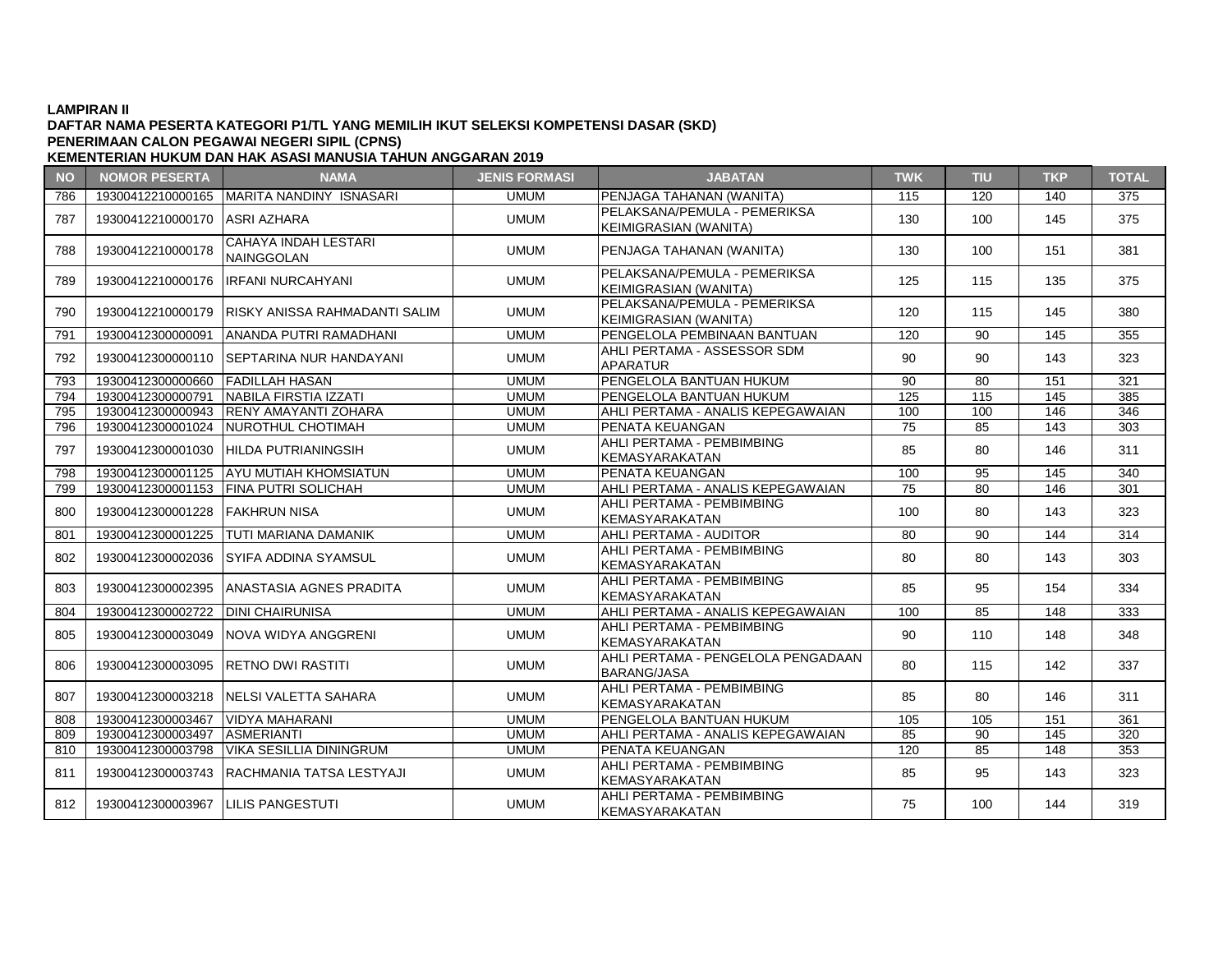### **DAFTAR NAMA PESERTA KATEGORI P1/TL YANG MEMILIH IKUT SELEKSI KOMPETENSI DASAR (SKD) KEMENTERIAN HUKUM DAN HAK ASASI MANUSIA TAHUN ANGGARAN 2019 PENERIMAAN CALON PEGAWAI NEGERI SIPIL (CPNS)**

**NO NOMOR PESERTA NAMA JENIS FORMASI JABATAN TWK TIU TKP TOTAL** 786 19300412210000165 MARITA NANDINY ISNASARI UMUM PENJAGA TAHANAN (WANITA) 115 120 140 375 <sup>787</sup> <sup>19300412210000170</sup> ASRI AZHARA UMUM PELAKSANA/PEMULA - PEMERIKSA PELANSANA/PEMULA PEMENINSA | 130 | 100 | 145 | 375<br>KEIMIGRASIAN (WANITA) <sup>788</sup> <sup>19300412210000178</sup> CAHAYA INDAH LESTARI NAINGGOLAN UMUM PENJAGA TAHANAN (WANITA) <sup>130</sup> <sup>100</sup> <sup>151</sup> <sup>381</sup> <sup>789</sup> <sup>19300412210000176</sup> IRFANI NURCAHYANI UMUM PELAKSANA/PEMULA - PEMERIKSA KEIMIGRASIAN (WANITA) <sup>125</sup> <sup>115</sup> <sup>135</sup> <sup>375</sup> <sup>790</sup> <sup>19300412210000179</sup> RISKY ANISSA RAHMADANTI SALIM UMUM PELAKSANA/PEMULA - PEMERIKSA FLANSANA/FLINDER FLINENINSA | 120 | 115 | 145 | 380<br>KEIMIGRASIAN (WANITA) 791 19300412300000091 ANANDA PUTRI RAMADHANI UMUM PENGELOLA PEMBINAAN BANTUAN 120 90 145 355 <sup>792</sup> <sup>19300412300000110</sup> SEPTARINA NUR HANDAYANI UMUM AHLI PERTAMA - ASSESSOR SDM APARATUR <sup>90</sup> <sup>90</sup> <sup>143</sup> <sup>323</sup> 793 19300412300000660 FADILLAH HASAN UMUM PENGELOLA BANTUAN HUKUM 90 80 151 321 794 19300412300000791 NABILA FIRSTIA IZZATI UMUM PENGELOLA BANTUAN HUKUM 125 115 145 385 795 19300412300000943 RENY AMAYANTI ZOHARA UMUM AHLI PERTAMA - ANALIS KEPEGAWAIAN 100 100 146 346 796 19300412300001024 NUROTHUL CHOTIMAH UMUM PENATA KEUANGAN 75 85 143 303 797 | 19300412300001030 HILDA PUTRIANINGSIH UMUM ANET ENTAMA PEMBRINDING | 85 | 80 | 146 | 311<br>KEMASYARAKATAN 798 19300412300001125 AYU MUTIAH KHOMSIATUN UMUM PENATA KEUANGAN 100 95 145 340 799 19300412300001153 FINA PUTRI SOLICHAH | UMUM AHLI PERTAMA - ANALIS KEPEGAWAIAN | 75 | 80 | 146 | 301 800 19300412300001228 FAKHRUN NISA UMUM UMUM AHLI PERTAMA - PEMBIMBING AHLI PERTAMA PEMBIMBING | 100 | 80 | 143 | 323<br>KEMASYARAKATAN 801 19300412300001225 TUTI MARIANA DAMANIK UMUM AHLI PERTAMA - AUDITOR 80 90 144 314 802 19300412300002036 SYIFA ADDINA SYAMSUL UMUM MUM AHLI PERTAMA - PEMBIMBING KEMASYARAKATAN **BUKU BUKU 200 | 143 | 303**<br>KEMASYARAKATAN  $\begin{array}{|c|c|c|c|c|c|c|c|c|}\n\hline\n803 & 19300412300002395 & \text{ANASTASIA AGNES PRADITA} & & & \text{UMUM} & & & \text{AFLIPERTAMA - PEMBIMBING}\n\hline\n\end{array}$ KEMASYARAKATAN | 85 | 95 | 154 | 334<br>KEMASYARAKATAN 804 19300412300002722 DINI CHAIRUNISA UMUM AHLI PERTAMA - ANALIS KEPEGAWAIAN 100 85 148 333 <sup>805</sup> <sup>19300412300003049</sup> NOVA WIDYA ANGGRENI UMUM AHLI PERTAMA - PEMBIMBING AHLI LINTAMA LEMBIMBING | 90 | 110 | 148 | 348<br>KEMASYARAKATAN 806 19300412300003095 RETNO DWI RASTITI UMUM AHLI PERTAMA - PENGELOLA PENGADAAN  $BARANG/JASA$   $\left| 80 \right| 115$  142  $337$ 807 19300412300003218 NELSI VALETTA SAHARA UMUM UMUM AHLI PERTAMA - PEMBIMBING KEMASYARAKATAN | 85 | 80 | 146 | 311 808 19300412300003467 VIDYA MAHARANI UMUM PENGELOLA BANTUAN HUKUM 105 105 151 361 809 19300412300003497 ASMERIANTI UMUM AHLI PERTAMA - ANALIS KEPEGAWAIAN 85 90 145 320 810 | 19300412300003798 | VIKA SESILLIA DININGRUM | UMUM | PENATA KEUANGAN | 120 | 85 | 148 | 353 811 19300412300003743 RACHMANIA TATSA LESTYAJI UMUM AHLI PERTAMA - PEMBIMBING AHLI PERTAMA - PEMBIMBING | 85 | 95 | 143 | 323<br>KEMASYARAKATAN 812 19300412300003967 LILIS PANGESTUTI UMUM MELLI PERTAMA - PEMBIMBING KEMASYARAKATAN | 75 | 100 | 144 | 319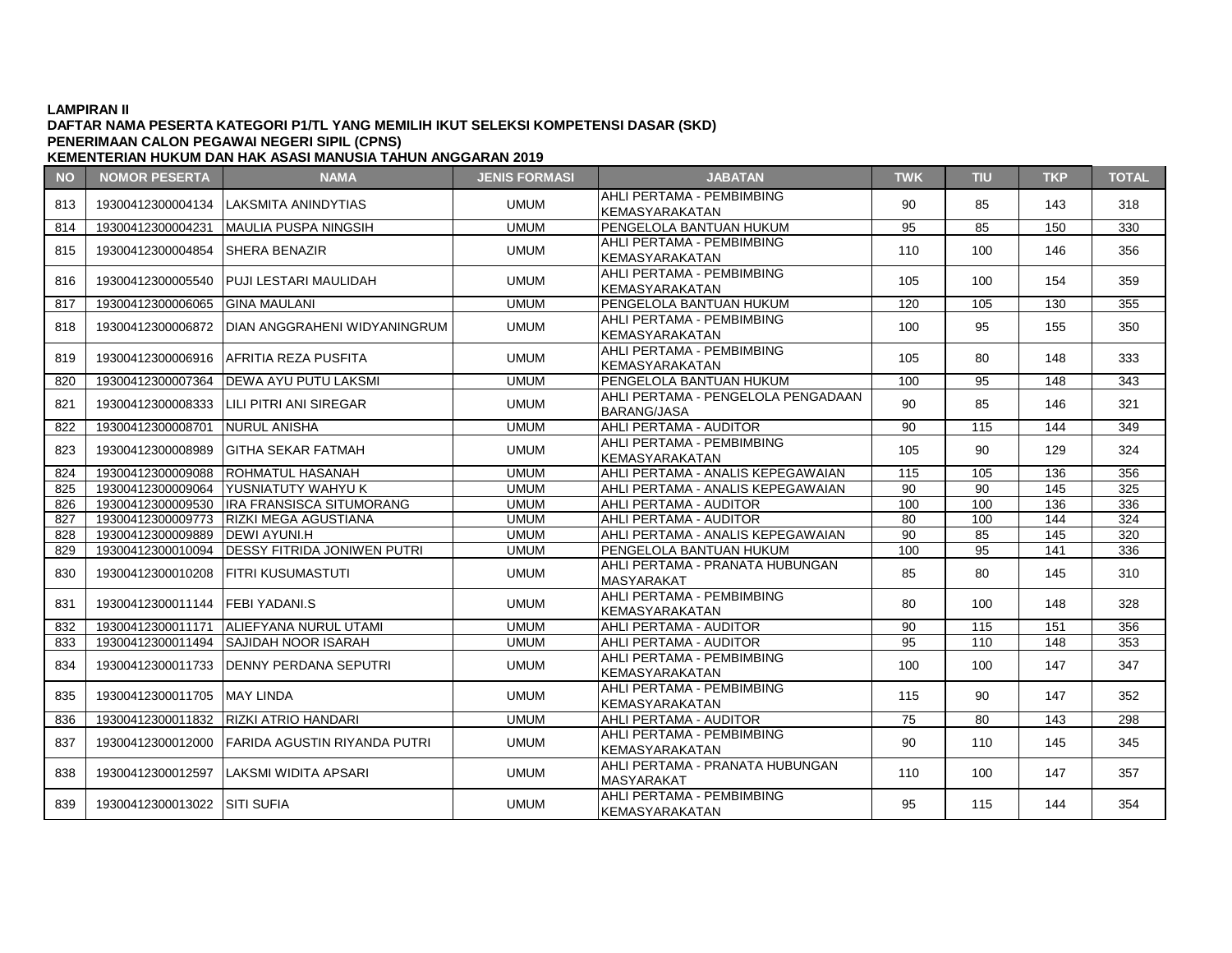# **DAFTAR NAMA PESERTA KATEGORI P1/TL YANG MEMILIH IKUT SELEKSI KOMPETENSI DASAR (SKD) PENERIMAAN CALON PEGAWAI NEGERI SIPIL (CPNS)**

| <b>NO</b> | <b>NOMOR PESERTA</b>              | <b>NAMA</b>                                    | <b>JENIS FORMASI</b> | <b>JABATAN</b>                                           | <b>TWK</b>      | TIU              | <b>TKP</b> | <b>TOTAL</b>     |
|-----------|-----------------------------------|------------------------------------------------|----------------------|----------------------------------------------------------|-----------------|------------------|------------|------------------|
| 813       | 19300412300004134                 | LAKSMITA ANINDYTIAS                            | <b>UMUM</b>          | AHLI PERTAMA - PEMBIMBING<br>KEMASYARAKATAN              | 90              | 85               | 143        | 318              |
| 814       | 19300412300004231                 | <b>MAULIA PUSPA NINGSIH</b>                    | <b>UMUM</b>          | PENGELOLA BANTUAN HUKUM                                  | 95              | 85               | 150        | 330              |
| 815       | 19300412300004854                 | <b>SHERA BENAZIR</b>                           | <b>UMUM</b>          | AHLI PERTAMA - PEMBIMBING<br>KEMASYARAKATAN              | 110             | 100              | 146        | 356              |
| 816       |                                   | 19300412300005540 PUJI LESTARI MAULIDAH        | <b>UMUM</b>          | AHLI PERTAMA - PEMBIMBING<br>KEMASYARAKATAN              | 105             | 100              | 154        | 359              |
| 817       | 19300412300006065 GINA MAULANI    |                                                | <b>UMUM</b>          | PENGELOLA BANTUAN HUKUM                                  | 120             | 105              | 130        | 355              |
| 818       | 19300412300006872                 | <b>DIAN ANGGRAHENI WIDYANINGRUM</b>            | <b>UMUM</b>          | AHLI PERTAMA - PEMBIMBING<br>KEMASYARAKATAN              | 100             | 95               | 155        | 350              |
| 819       |                                   | 19300412300006916 AFRITIA REZA PUSFITA         | <b>UMUM</b>          | AHLI PERTAMA - PEMBIMBING<br><b>KEMASYARAKATAN</b>       | 105             | 80               | 148        | 333              |
| 820       |                                   | 19300412300007364 DEWA AYU PUTU LAKSMI         | <b>UMUM</b>          | IPENGELOLA BANTUAN HUKUM                                 | 100             | 95               | 148        | 343              |
| 821       | 19300412300008333                 | ILILI PITRI ANI SIREGAR                        | <b>UMUM</b>          | AHLI PERTAMA - PENGELOLA PENGADAAN<br><b>BARANG/JASA</b> | 90              | 85               | 146        | 321              |
| 822       | 19300412300008701 NURUL ANISHA    |                                                | <b>UMUM</b>          | <b>AHLI PERTAMA - AUDITOR</b>                            | 90              | 115              | 144        | 349              |
| 823       | 19300412300008989                 | IGITHA SEKAR FATMAH                            | <b>UMUM</b>          | AHLI PERTAMA - PEMBIMBING<br><b>KEMASYARAKATAN</b>       | 105             | 90               | 129        | 324              |
| 824       |                                   | 19300412300009088 ROHMATUL HASANAH             | <b>UMUM</b>          | AHLI PERTAMA - ANALIS KEPEGAWAIAN                        | 115             | 105              | 136        | 356              |
| 825       |                                   | 19300412300009064 YUSNIATUTY WAHYU K           | <b>UMUM</b>          | AHLI PERTAMA - ANALIS KEPEGAWAIAN                        | 90              | 90               | 145        | 325              |
| 826       |                                   | 19300412300009530   IRA FRANSISCA SITUMORANG   | <b>UMUM</b>          | AHLI PERTAMA - AUDITOR                                   | 100             | 100              | 136        | 336              |
| 827       |                                   | 19300412300009773   RIZKI MEGA AGUSTIANA       | <b>UMUM</b>          | AHLI PERTAMA - AUDITOR                                   | 80              | 100              | 144        | 324              |
| 828       | 19300412300009889 DEWI AYUNI.H    |                                                | <b>UMUM</b>          | AHLI PERTAMA - ANALIS KEPEGAWAIAN                        | $\overline{90}$ | 85               | 145        | $\overline{320}$ |
| 829       | 19300412300010094                 | <b>DESSY FITRIDA JONIWEN PUTRI</b>             | <b>UMUM</b>          | PENGELOLA BANTUAN HUKUM                                  | 100             | 95               | 141        | 336              |
| 830       |                                   | 19300412300010208 FITRI KUSUMASTUTI            | <b>UMUM</b>          | AHLI PERTAMA - PRANATA HUBUNGAN<br><b>MASYARAKAT</b>     | 85              | 80               | 145        | 310              |
| 831       | 19300412300011144   FEBI YADANI.S |                                                | <b>UMUM</b>          | AHLI PERTAMA - PEMBIMBING<br><b>KEMASYARAKATAN</b>       | 80              | 100              | 148        | 328              |
| 832       |                                   | 19300412300011171 ALIEFYANA NURUL UTAMI        | <b>UMUM</b>          | AHLI PERTAMA - AUDITOR                                   | $\overline{90}$ | $\overline{115}$ | 151        | 356              |
| 833       |                                   | 19300412300011494 SAJIDAH NOOR ISARAH          | <b>UMUM</b>          | AHLI PERTAMA - AUDITOR                                   | 95              | 110              | 148        | 353              |
| 834       |                                   | 19300412300011733 IDENNY PERDANA SEPUTRI       | <b>UMUM</b>          | AHLI PERTAMA - PEMBIMBING<br>KEMASYARAKATAN              | 100             | 100              | 147        | 347              |
| 835       | 19300412300011705   MAY LINDA     |                                                | <b>UMUM</b>          | AHLI PERTAMA - PEMBIMBING<br><b>KEMASYARAKATAN</b>       | 115             | 90               | 147        | 352              |
| 836       |                                   | 19300412300011832 RIZKI ATRIO HANDARI          | <b>UMUM</b>          | AHLI PERTAMA - AUDITOR                                   | 75              | 80               | 143        | 298              |
| 837       |                                   | 19300412300012000 FARIDA AGUSTIN RIYANDA PUTRI | <b>UMUM</b>          | AHLI PERTAMA - PEMBIMBING<br>KEMASYARAKATAN              | 90              | 110              | 145        | 345              |
| 838       | 19300412300012597                 | LAKSMI WIDITA APSARI                           | <b>UMUM</b>          | AHLI PERTAMA - PRANATA HUBUNGAN<br><b>MASYARAKAT</b>     | 110             | 100              | 147        | 357              |
| 839       | 19300412300013022 SITI SUFIA      |                                                | <b>UMUM</b>          | AHLI PERTAMA - PEMBIMBING<br><b>KEMASYARAKATAN</b>       | 95              | 115              | 144        | 354              |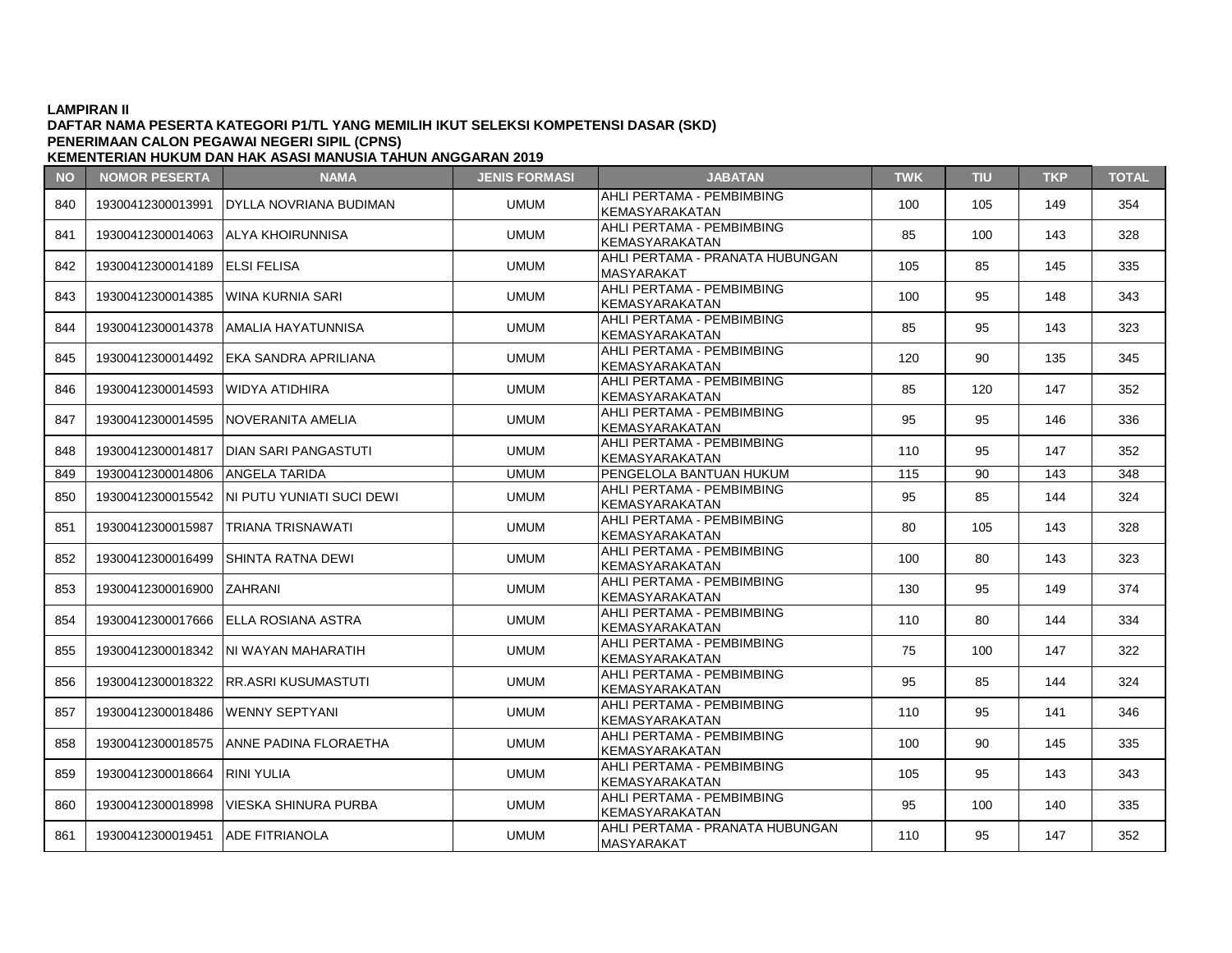### **LAMPIRAN II DAFTAR NAMA PESERTA KATEGORI P1/TL YANG MEMILIH IKUT SELEKSI KOMPETENSI DASAR (SKD) PENERIMAAN CALON PEGAWAI NEGERI SIPIL (CPNS)**

| <b>NO</b> | <b>NOMOR PESERTA</b>             | <b>NAMA</b>                                   | <b>JENIS FORMASI</b> | <b>JABATAN</b>                                       | <b>TWK</b> | <b>TIU</b> | <b>TKP</b> | <b>TOTAL</b> |
|-----------|----------------------------------|-----------------------------------------------|----------------------|------------------------------------------------------|------------|------------|------------|--------------|
| 840       | 19300412300013991                | IDYLLA NOVRIANA BUDIMAN                       | <b>UMUM</b>          | AHLI PERTAMA - PEMBIMBING<br>KEMASYARAKATAN          | 100        | 105        | 149        | 354          |
| 841       | 19300412300014063                | IALYA KHOIRUNNISA                             | <b>UMUM</b>          | AHLI PERTAMA - PEMBIMBING<br>KEMASYARAKATAN          | 85         | 100        | 143        | 328          |
| 842       | 19300412300014189 ELSI FELISA    |                                               | <b>UMUM</b>          | AHLI PERTAMA - PRANATA HUBUNGAN<br>MASYARAKAT        | 105        | 85         | 145        | 335          |
| 843       | 19300412300014385                | lWINA KURNIA SARI                             | <b>UMUM</b>          | AHLI PERTAMA - PEMBIMBING<br>KEMASYARAKATAN          | 100        | 95         | 148        | 343          |
| 844       | 19300412300014378                | AMALIA HAYATUNNISA                            | <b>UMUM</b>          | AHLI PERTAMA - PEMBIMBING<br>KEMASYARAKATAN          | 85         | 95         | 143        | 323          |
| 845       |                                  | 19300412300014492 EKA SANDRA APRILIANA        | <b>UMUM</b>          | AHLI PERTAMA - PEMBIMBING<br><b>KEMASYARAKATAN</b>   | 120        | 90         | 135        | 345          |
| 846       | 19300412300014593                | IWIDYA ATIDHIRA                               | <b>UMUM</b>          | AHLI PERTAMA - PEMBIMBING<br><b>KEMASYARAKATAN</b>   | 85         | 120        | 147        | 352          |
| 847       | 19300412300014595                | INOVERANITA AMELIA                            | <b>UMUM</b>          | AHLI PERTAMA - PEMBIMBING<br>KEMASYARAKATAN          | 95         | 95         | 146        | 336          |
| 848       |                                  | 19300412300014817   DIAN SARI PANGASTUTI      | <b>UMUM</b>          | AHLI PERTAMA - PEMBIMBING<br>KEMASYARAKATAN          | 110        | 95         | 147        | 352          |
| 849       | 19300412300014806 ANGELA TARIDA  |                                               | <b>UMUM</b>          | PENGELOLA BANTUAN HUKUM                              | 115        | 90         | 143        | 348          |
| 850       |                                  | 19300412300015542   NI PUTU YUNIATI SUCI DEWI | <b>UMUM</b>          | AHLI PERTAMA - PEMBIMBING<br><b>KEMASYARAKATAN</b>   | 95         | 85         | 144        | 324          |
| 851       | 19300412300015987                | TRIANA TRISNAWATI                             | <b>UMUM</b>          | AHLI PERTAMA - PEMBIMBING<br><b>KEMASYARAKATAN</b>   | 80         | 105        | 143        | 328          |
| 852       | 19300412300016499                | ISHINTA RATNA DEWI                            | <b>UMUM</b>          | AHLI PERTAMA - PEMBIMBING<br>KEMASYARAKATAN          | 100        | 80         | 143        | 323          |
| 853       | 19300412300016900                | ZAHRANI                                       | <b>UMUM</b>          | AHLI PERTAMA - PEMBIMBING<br><b>KEMASYARAKATAN</b>   | 130        | 95         | 149        | 374          |
| 854       | 19300412300017666                | <b>IELLA ROSIANA ASTRA</b>                    | <b>UMUM</b>          | AHLI PERTAMA - PEMBIMBING<br>KEMASYARAKATAN          | 110        | 80         | 144        | 334          |
| 855       |                                  | 19300412300018342 INI WAYAN MAHARATIH         | <b>UMUM</b>          | AHLI PERTAMA - PEMBIMBING<br><b>KEMASYARAKATAN</b>   | 75         | 100        | 147        | 322          |
| 856       | 19300412300018322                | IRR.ASRI KUSUMASTUTI                          | <b>UMUM</b>          | AHLI PERTAMA - PEMBIMBING<br><b>KEMASYARAKATAN</b>   | 95         | 85         | 144        | 324          |
| 857       | 19300412300018486                | IWENNY SEPTYANI                               | <b>UMUM</b>          | AHLI PERTAMA - PEMBIMBING<br>KEMASYARAKATAN          | 110        | 95         | 141        | 346          |
| 858       |                                  | 19300412300018575 ANNE PADINA FLORAETHA       | <b>UMUM</b>          | AHLI PERTAMA - PEMBIMBING<br>KEMASYARAKATAN          | 100        | 90         | 145        | 335          |
| 859       | 19300412300018664                | IRINI YULIA                                   | <b>UMUM</b>          | AHLI PERTAMA - PEMBIMBING<br><b>KEMASYARAKATAN</b>   | 105        | 95         | 143        | 343          |
| 860       | 19300412300018998                | IVIESKA SHINURA PURBA                         | <b>UMUM</b>          | AHLI PERTAMA - PEMBIMBING<br><b>KEMASYARAKATAN</b>   | 95         | 100        | 140        | 335          |
| 861       | 19300412300019451 ADE FITRIANOLA |                                               | <b>UMUM</b>          | AHLI PERTAMA - PRANATA HUBUNGAN<br><b>MASYARAKAT</b> | 110        | 95         | 147        | 352          |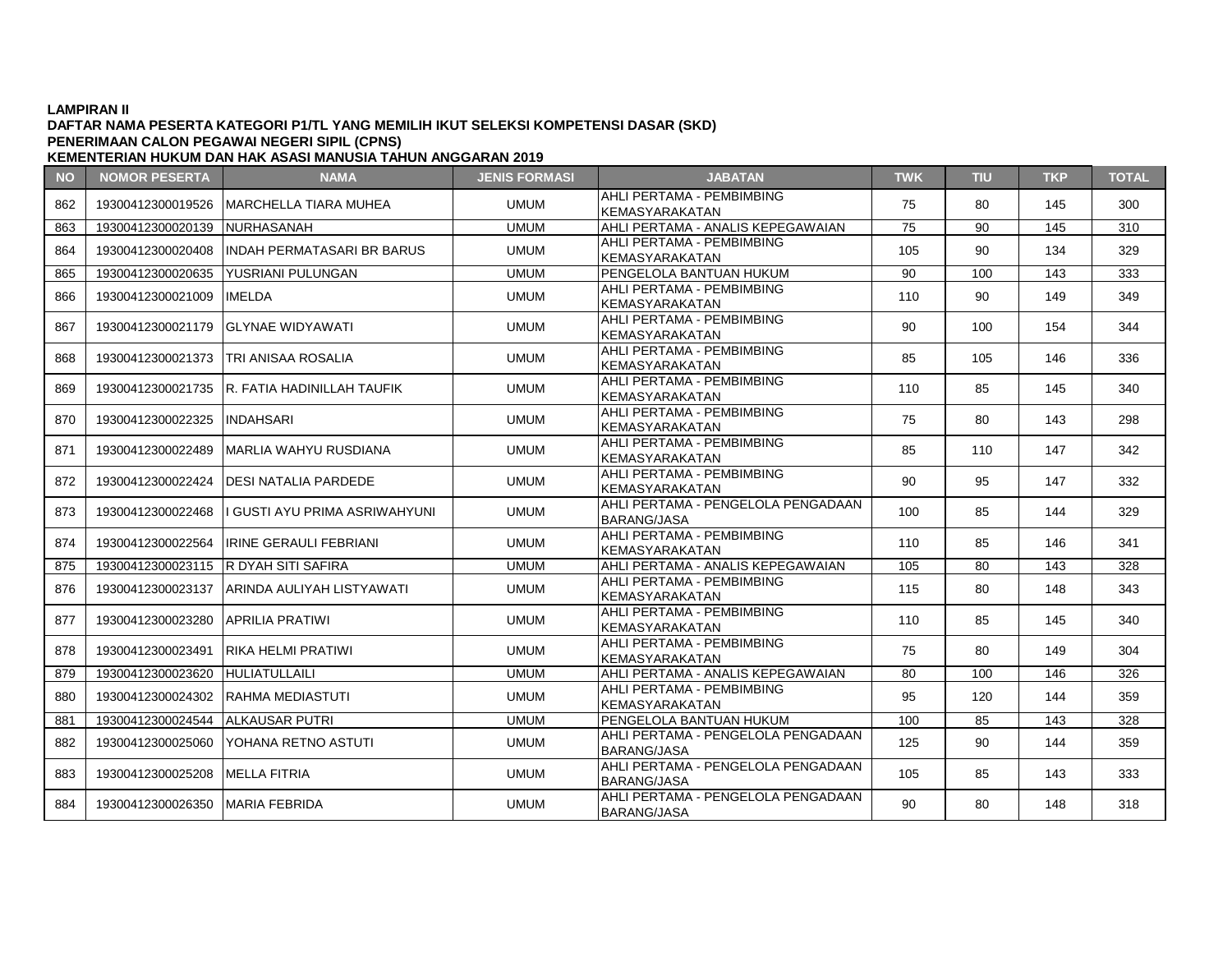# **DAFTAR NAMA PESERTA KATEGORI P1/TL YANG MEMILIH IKUT SELEKSI KOMPETENSI DASAR (SKD) PENERIMAAN CALON PEGAWAI NEGERI SIPIL (CPNS)**

**NO NOMOR PESERTA NAMA JENIS FORMASI JABATAN TWK TIU TKP TOTAL KEMENTERIAN HUKUM DAN HAK ASASI MANUSIA TAHUN ANGGARAN 2019** 862 19300412300019526 MARCHELLA TIARA MUHEA UMUM AHLI PERTAMA - PEMBIMBING KEMASYARAKATAN **1999 | 120 | 120 | 145 | 300**<br>KEMASYARAKATAN 863 19300412300020139 NURHASANAH UMUM AHLI PERTAMA - ANALIS KEPEGAWAIAN 75 90 145 310 864 19300412300020408 INDAH PERMATASARI BR BARUS UMUM AHLI PERTAMA - PEMBIMBING AHLI PERTAMA PEMBIMBING | 105 | 90 | 134 | 329<br>KEMASYARAKATAN 865 19300412300020635 YUSRIANI PULUNGAN TRIMINI PENGELOLA BANTUAN HUKUM 190 100 143 333 866 19300412300021009 IMELDA UMUM UMUM AHLI PERTAMA - PEMBIMBING ATILI PERTAMA PEMBIMBING | 110 | 90 | 149 | 349<br>KEMASYARAKATAN 867 19300412300021179 GLYNAE WIDYAWATI UMUM MUM AHLI PERTAMA - PEMBIMBING AHLI PERTAMA PEMBIMBING | 90 | 100 | 154 | 344<br>KEMASYARAKATAN 868 19300412300021373 TRI ANISAA ROSALIA UMUM HUMUM AHLI PERTAMA - PEMBIMBING KEMASYARAKATAN REMBINDING | 85 | 105 | 146 | 336 869 19300412300021735 R. FATIA HADINILLAH TAUFIK UMUM AHLI PERTAMA - PEMBIMBING KEMASYARAKATAN 110 | 85 | 145 | 340 870 19300412300022325 INDAHSARI UMUM UMUM AHLI PERTAMA - PEMBIMBING KEMASYARAKATAN | 75 | 80 | 143 | 298 871 19300412300022489 MARLIA WAHYU RUSDIANA UMUM MUM AHLI PERTAMA - PEMBIMBING KEMASYARAKATAN REMENTENTRANA PEMBINGKATAN KEMASYARAKATAN 1842 872 19300412300022424 DESI NATALIA PARDEDE UMUM AHLI PERTAMA - PEMBIMBING AHLI PERTIAMA PEMBIMBING | 90 | 95 | 147 | 332<br>KEMASYARAKATAN 873 19300412300022468 I GUSTI AYU PRIMA ASRIWAHYUNI UMUM AHLI PERTAMA - PENGELOLA PENGADAAN AND PERTAMA PERSECULA PERSADAAN | 100 | 85 | 144 | 329 874 19300412300022564 IRINE GERAULI FEBRIANI UMUM MUM AHLI PERTAMA - PEMBIMBING AHLI PENTAWA PEMBIMBING | 110 | 85 | 146 | 341<br>KEMASYARAKATAN 875 19300412300023115 R DYAH SITI SAFIRA UMUM AHLI PERTAMA - ANALIS KEPEGAWAIAN 105 80 143 328 876 19300412300023137 ARINDA AULIYAH LISTYAWATI UMUM AHLI PERTAMA - PEMBIMBING KEMASYARAKATAN | 115 | 80 | 148 | 343<br>KEMASYARAKATAN 877 19300412300023280 APRILIA PRATIWI UMUM UMUM AHLI PERTAMA - PEMBIMBING KEMASYARAKATAN | 110 | 85 | 145 | 340  $878$  19300412300023491 RIKA HELMI PRATIWI  $\frac{1}{100}$  UMUM  $\frac{1}{100}$  AHLI PERTAMA - PEMBIMBING KEMASYARAKATAN | 75 | 80 | 149 | 304<br>KEMASYARAKATAN 879 19300412300023620 HULIATULLAILI UMUM AHLI PERTAMA - ANALIS KEPEGAWAIAN 80 100 146 326 880 19300412300024302 RAHMA MEDIASTUTI JUMUM AHLI PERTAMA - PEMBIMBING ATILI PERTAMA PEMBIMBING | 95 | 120 | 144 | 359<br>KEMASYARAKATAN 881 19300412300024544 ALKAUSAR PUTRI UMUM PENGELOLA BANTUAN HUKUM 100 85 143 328 882 19300412300025060 YOHANA RETNO ASTUTI UMUM AHLI PERTAMA - PENGELOLA PENGADAAN ATLET ENTAMA TENOELOLAT ENOADAAN | 125 | 90 | 144 | 359 883 19300412300025208 MELLA FITRIA UMUM UMUM AHLI PERTAMA - PENGELOLA PENGADAAN

884 19300412300026350 MARIA FEBRIDA UMUM UMUM AHLI PERTAMA - PENGELOLA PENGADAAN

ATLET ENTAMA TENOELOLAT ENOADAAN | 105 | 85 | 143 | 333

ATLET ENTAMA FENOLLOLAT ENOADAAN | 90 | 80 | 148 | 318<br>BARANG/JASA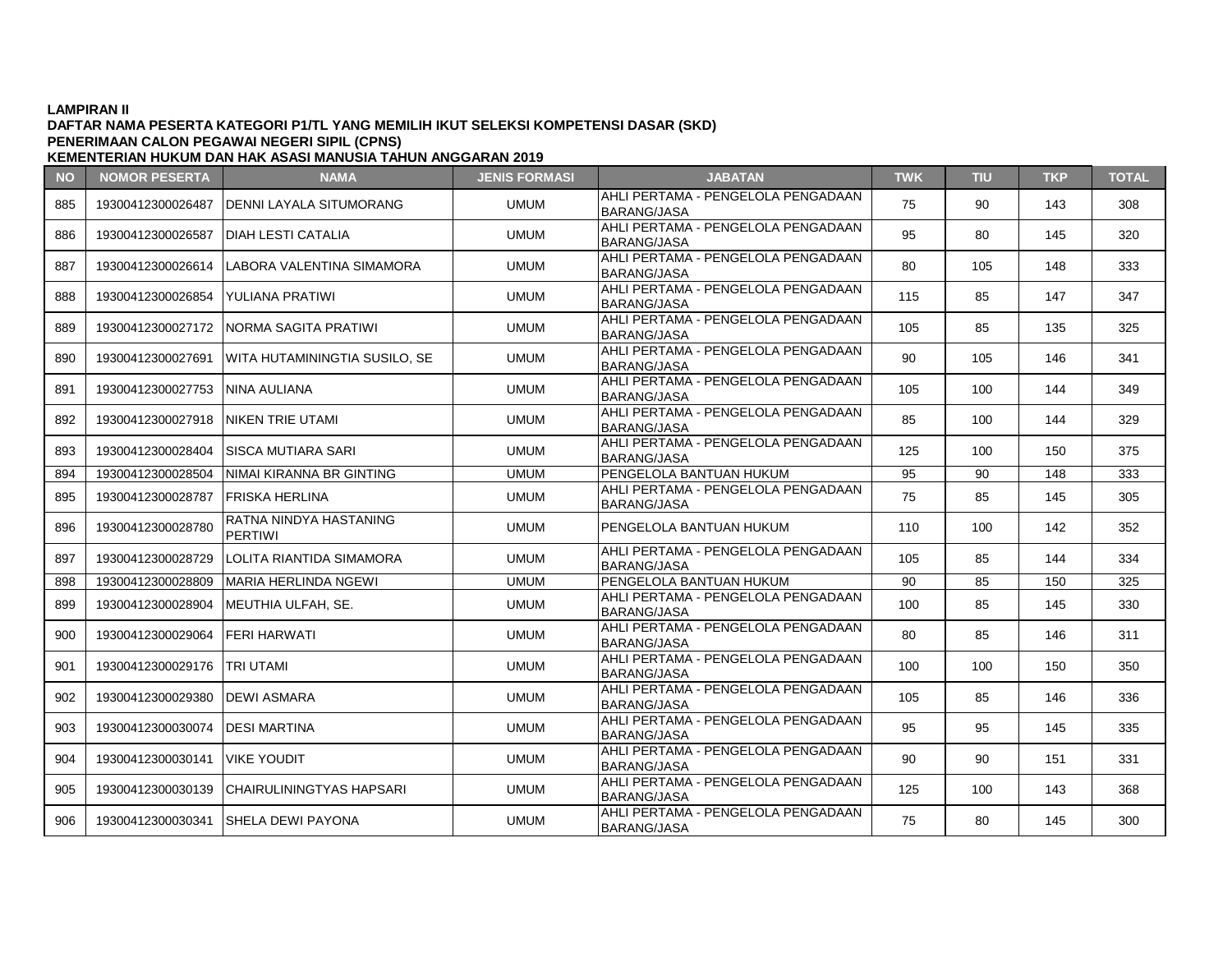### **DAFTAR NAMA PESERTA KATEGORI P1/TL YANG MEMILIH IKUT SELEKSI KOMPETENSI DASAR (SKD) KEMENTERIAN HUKUM DAN HAK ASASI MANUSIA TAHUN ANGGARAN 2019 PENERIMAAN CALON PEGAWAI NEGERI SIPIL (CPNS)**

**NO NOMOR PESERTA NAMA JENIS FORMASI JABATAN TWK TIU TKP TOTAL** 885 19300412300026487 DENNI LAYALA SITUMORANG UMUM AHLI PERTAMA - PENGELOLA PENGADAAN ATLET ENTAMA TENOELOLAT ENOADAAN | 75 | 90 | 143 | 308<br>BARANG/JASA 886 19300412300026587 DIAH LESTI CATALIA UMUM UMUM AHLI PERTAMA - PENGELOLA PENGADAAN BARANG/JASA <sup>95</sup> <sup>80</sup> <sup>145</sup> <sup>320</sup> 887 19300412300026614 LABORA VALENTINA SIMAMORA UMUM HAHLI PERTAMA - PENGELOLA PENGADAAN  $BARANG/JASA$   $\left| 80 \right| 105$  148  $333$ 888 19300412300026854 YULIANA PRATIWI AHLI PERTAMA - PENGELOLA PENGADAAN AHLI LINTAWA LANGLEGEAT ENGADAAN | 115 | 85 | 147 | 347 889 19300412300027172 NORMA SAGITA PRATIWI | UMUM AHLI PERTAMA - PENGELOLA PENGADAAN ATLET ENTAMA TENOELOLAT ENOADAAN | 105 | 85 | 135 | 325 890 19300412300027691 WITA HUTAMININGTIA SUSILO, SE UMUM AHLI PERTAMA - PENGELOLA PENGADAAN ATLET ENTAMA FENOLLOLAT ENOADAAN | 90 | 105 | 146 | 341 891 | 19300412300027753 NINA AULIANA UMUM | UMUM | AHLI PERTAMA - PENGELOLA PENGADAAN ATLET ENTAMA TENOELOLAT ENOADAAN | 105 | 100 | 144 | 349 892 19300412300027918 NIKEN TRIE UTAMI NERRAMA AHLI PERTAMA - PENGELOLA PENGADAAN ANELI ENTAMA I ENGELGENT ENGABRANG | 85 | 100 | 144 | 329 893 19300412300028404 SISCA MUTIARA SARI UMUM AHLI PERTAMA - PENGELOLA PENGADAAN ATLET ENTAMA 1 ENGELOLAT ENGADAAN | 125 | 100 | 150 | 375 894 19300412300028504 NIMAI KIRANNA BR GINTING UMUM PENGELOLA BANTUAN HUKUM 95 90 148 333 895 19300412300028787 FRISKA HERLINA AHLI PERTAMA - PENGELOLA PENGADAAN ATLET ENTAMA TENOELOLAT ENOADAAN | 75 | 85 | 145 | 305<br>BARANG/JASA 896 19300412300028780 RATNA NINDYA HASTANING UMUM PENGELOLA BANTUAN HUKUM | 110 | 100 | 142 | 352 897 19300412300028729 LOLITA RIANTIDA SIMAMORA UMUM HAHLI PERTAMA - PENGELOLA PENGADAAN ATLET ENTAMA TENOELOLAT ENOADAAN | 105 | 85 | 144 | 334 898 19300412300028809 MARIA HERLINDA NGEWI UMUM PENGELOLA BANTUAN HUKUM 90 85 150 325 899 19300412300028904 MEUTHIA ULFAH, SE. UMUM AHLI PERTAMA - PENGELOLA PENGADAAN ATLET ENTAMA TENOELOLAT ENOADAAN | 100 | 85 | 145 | 330 900 19300412300029064 FERI HARWATI WILLI PERTAMA - PENGELOLA PENGADAAN ATEN ENTAMA FENOLEOLAT ENOADAAN | 80 | 85 | 146 | 311 901 19300412300029176 TRI UTAMI UMUM AHLI PERTAMA - PENGELOLA PENGADAAN ATLET ENTAMA TENOELOLAT ENOADAAN | 100 | 100 | 150 | 350 902 19300412300029380 DEWI ASMARA UMUM UMUM AHLI PERTAMA - PENGELOLA PENGADAAN  $BARANG/JASA$  105 | 85 | 146 | 336 903 19300412300030074 DESI MARTINA AHLI PERTAMA - PENGELOLA PENGADAAN ATLET ENTAMA FENOLLOLAT ENOADAAN | 95 | 95 | 145 | 335 904 19300412300030141 VIKE YOUDIT UMUM AHLI PERTAMA - PENGELOLA PENGADAAN ATLET ENTAMA FENOLLOLAT ENOADAAN | 90 | 90 | 151 | 331 905 19300412300030139 CHAIRULININGTYAS HAPSARI UMUM AHLI PERTAMA - PENGELOLA PENGADAAN ATLET ENTAMA TENOELOLAT ENOADAAN | 125 | 100 | 143 | 368<br>BARANG/JASA 906 19300412300030341 SHELA DEWI PAYONA UMUM AHLI PERTAMA - PENGELOLA PENGADAAN ATLET ENTAMA TENOELOLAT ENOADAAN | 75 | 80 | 145 | 300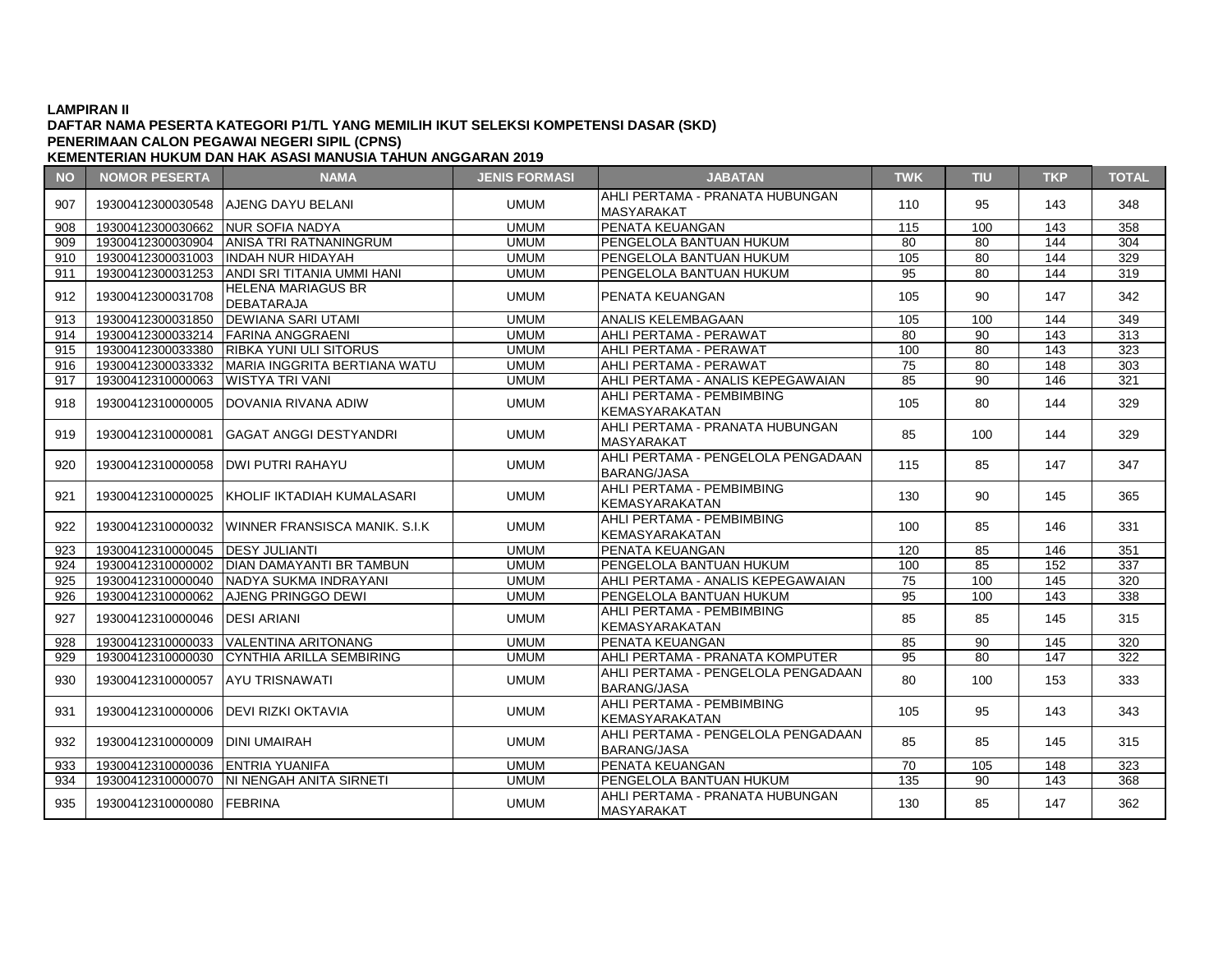# **DAFTAR NAMA PESERTA KATEGORI P1/TL YANG MEMILIH IKUT SELEKSI KOMPETENSI DASAR (SKD) PENERIMAAN CALON PEGAWAI NEGERI SIPIL (CPNS)**

| <b>NO</b> | <b>NOMOR PESERTA</b>              | <b>NAMA</b>                                     | <b>JENIS FORMASI</b> | <b>JABATAN</b>                                           | <b>TWK</b> | TIU             | <b>TKP</b> | <b>TOTAL</b>     |
|-----------|-----------------------------------|-------------------------------------------------|----------------------|----------------------------------------------------------|------------|-----------------|------------|------------------|
| 907       | 19300412300030548                 | <b>AJENG DAYU BELANI</b>                        | <b>UMUM</b>          | AHLI PERTAMA - PRANATA HUBUNGAN<br><b>MASYARAKAT</b>     | 110        | 95              | 143        | 348              |
| 908       | 19300412300030662 NUR SOFIA NADYA |                                                 | <b>UMUM</b>          | PENATA KEUANGAN                                          | 115        | 100             | 143        | 358              |
| 909       | 19300412300030904                 | <b>ANISA TRI RATNANINGRUM</b>                   | <b>UMUM</b>          | PENGELOLA BANTUAN HUKUM                                  | 80         | 80              | 144        | 304              |
| 910       | 19300412300031003                 | <b>INDAH NUR HIDAYAH</b>                        | <b>UMUM</b>          | PENGELOLA BANTUAN HUKUM                                  | 105        | 80              | 144        | 329              |
| 911       |                                   | 19300412300031253 ANDI SRI TITANIA UMMI HANI    | <b>UMUM</b>          | PENGELOLA BANTUAN HUKUM                                  | 95         | 80              | 144        | 319              |
| 912       | 19300412300031708                 | <b>HELENA MARIAGUS BR</b><br>DEBATARAJA         | <b>UMUM</b>          | <b>IPENATA KEUANGAN</b>                                  | 105        | 90              | 147        | 342              |
| 913       | 19300412300031850                 | <b>DEWIANA SARI UTAMI</b>                       | <b>UMUM</b>          | <b>ANALIS KELEMBAGAAN</b>                                | 105        | 100             | 144        | 349              |
| 914       | 19300412300033214                 | <b>FARINA ANGGRAENI</b>                         | <b>UMUM</b>          | AHLI PERTAMA - PERAWAT                                   | 80         | 90              | 143        | 313              |
| 915       | 19300412300033380                 | <b>RIBKA YUNI ULI SITORUS</b>                   | <b>UMUM</b>          | AHLI PERTAMA - PERAWAT                                   | 100        | 80              | 143        | 323              |
| 916       |                                   | 19300412300033332 MARIA INGGRITA BERTIANA WATU  | <b>UMUM</b>          | AHLI PERTAMA - PERAWAT                                   | 75         | 80              | 148        | 303              |
| 917       | 19300412310000063                 | <b>WISTYA TRI VANI</b>                          | <b>UMUM</b>          | AHLI PERTAMA - ANALIS KEPEGAWAIAN                        | 85         | 90              | 146        | 321              |
| 918       |                                   | 19300412310000005 DOVANIA RIVANA ADIW           | <b>UMUM</b>          | AHLI PERTAMA - PEMBIMBING<br>KEMASYARAKATAN              | 105        | 80              | 144        | 329              |
| 919       | 19300412310000081                 | <b>GAGAT ANGGI DESTYANDRI</b>                   | <b>UMUM</b>          | AHLI PERTAMA - PRANATA HUBUNGAN<br><b>MASYARAKAT</b>     | 85         | 100             | 144        | 329              |
| 920       | 19300412310000058                 | <b>DWI PUTRI RAHAYU</b>                         | <b>UMUM</b>          | AHLI PERTAMA - PENGELOLA PENGADAAN<br><b>BARANG/JASA</b> | 115        | 85              | 147        | 347              |
| 921       |                                   | 19300412310000025   KHOLIF IKTADIAH KUMALASARI  | <b>UMUM</b>          | AHLI PERTAMA - PEMBIMBING<br><b>KEMASYARAKATAN</b>       | 130        | 90              | 145        | 365              |
| 922       |                                   | 19300412310000032 WINNER FRANSISCA MANIK. S.I.K | <b>UMUM</b>          | AHLI PERTAMA - PEMBIMBING<br><b>KEMASYARAKATAN</b>       | 100        | 85              | 146        | 331              |
| 923       | 19300412310000045 DESY JULIANTI   |                                                 | <b>UMUM</b>          | PENATA KEUANGAN                                          | 120        | 85              | 146        | 351              |
| 924       |                                   | 19300412310000002 DIAN DAMAYANTI BR TAMBUN      | <b>UMUM</b>          | PENGELOLA BANTUAN HUKUM                                  | 100        | 85              | 152        | 337              |
| 925       |                                   | 19300412310000040 NADYA SUKMA INDRAYANI         | <b>UMUM</b>          | AHLI PERTAMA - ANALIS KEPEGAWAIAN                        | 75         | 100             | 145        | 320              |
| 926       |                                   | 19300412310000062 AJENG PRINGGO DEWI            | <b>UMUM</b>          | PENGELOLA BANTUAN HUKUM                                  | 95         | 100             | 143        | 338              |
| 927       | 19300412310000046   DESI ARIANI   |                                                 | <b>UMUM</b>          | AHLI PERTAMA - PEMBIMBING<br><b>KEMASYARAKATAN</b>       | 85         | 85              | 145        | 315              |
| 928       | 19300412310000033                 | VALENTINA ARITONANG                             | <b>UMUM</b>          | PENATA KEUANGAN                                          | 85         | $\overline{90}$ | 145        | $\overline{320}$ |
| 929       |                                   | 19300412310000030 CYNTHIA ARILLA SEMBIRING      | <b>UMUM</b>          | AHLI PERTAMA - PRANATA KOMPUTER                          | 95         | 80              | 147        | 322              |
| 930       | 19300412310000057 AYU TRISNAWATI  |                                                 | <b>UMUM</b>          | AHLI PERTAMA - PENGELOLA PENGADAAN<br><b>BARANG/JASA</b> | 80         | 100             | 153        | 333              |
| 931       |                                   | 19300412310000006   DEVI RIZKI OKTAVIA          | <b>UMUM</b>          | AHLI PERTAMA - PEMBIMBING<br>KEMASYARAKATAN              | 105        | 95              | 143        | 343              |
| 932       | 19300412310000009 DINI UMAIRAH    |                                                 | <b>UMUM</b>          | AHLI PERTAMA - PENGELOLA PENGADAAN<br><b>BARANG/JASA</b> | 85         | 85              | 145        | 315              |
| 933       | 19300412310000036                 | <b>LENTRIA YUANIFA</b>                          | <b>UMUM</b>          | <b>PENATA KEUANGAN</b>                                   | 70         | 105             | 148        | 323              |
| 934       |                                   | 19300412310000070 NI NENGAH ANITA SIRNETI       | <b>UMUM</b>          | PENGELOLA BANTUAN HUKUM                                  | 135        | 90              | 143        | 368              |
| 935       | 19300412310000080 FEBRINA         |                                                 | <b>UMUM</b>          | AHLI PERTAMA - PRANATA HUBUNGAN<br><b>MASYARAKAT</b>     | 130        | 85              | 147        | 362              |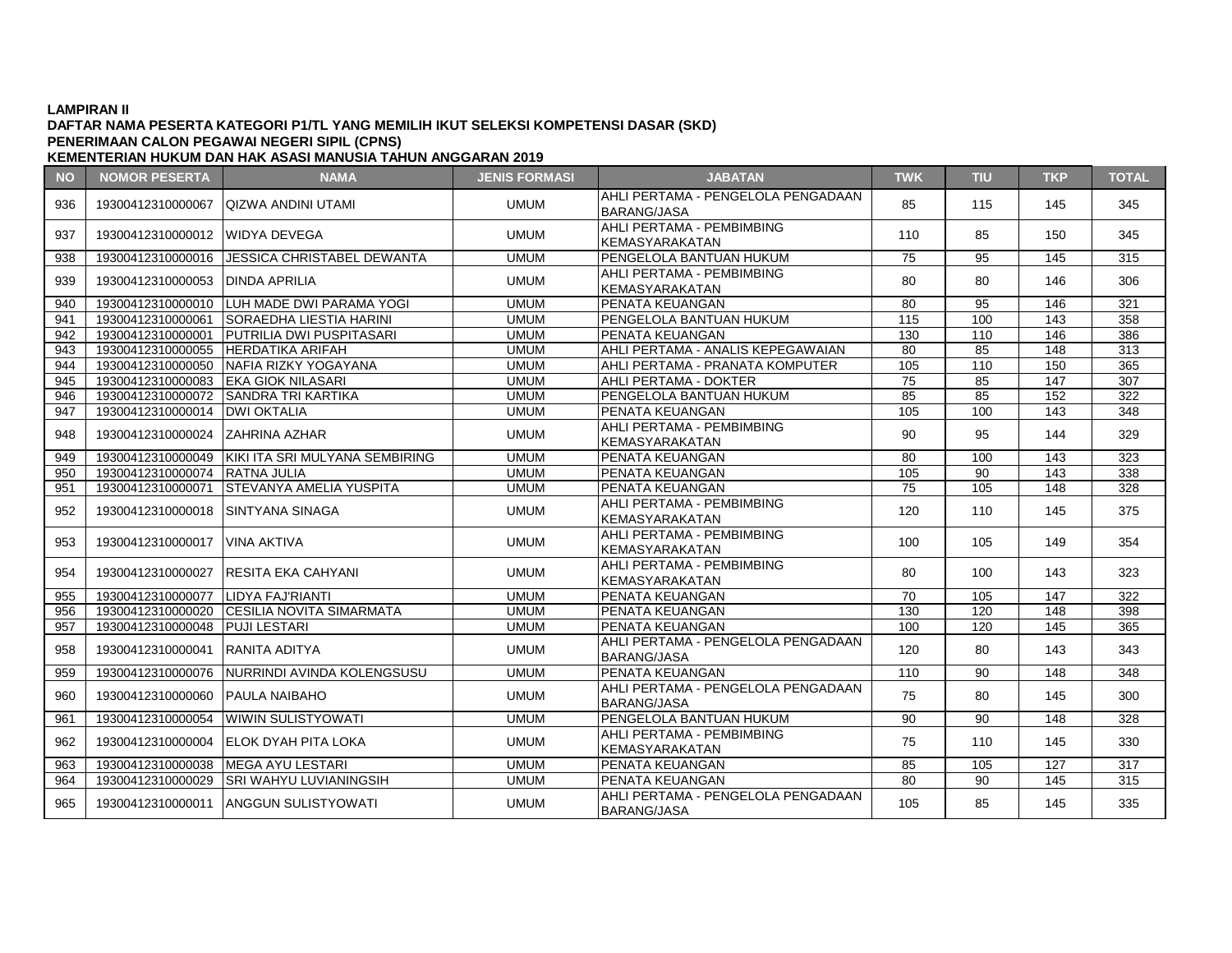# **DAFTAR NAMA PESERTA KATEGORI P1/TL YANG MEMILIH IKUT SELEKSI KOMPETENSI DASAR (SKD) PENERIMAAN CALON PEGAWAI NEGERI SIPIL (CPNS)**

| <b>NO</b> | <b>NOMOR PESERTA</b>              | <b>NAMA</b>                                      | <b>JENIS FORMASI</b> | <b>JABATAN</b>                                           | <b>TWK</b>      | <b>TIU</b>      | <b>TKP</b>       | <b>TOTAL</b>     |
|-----------|-----------------------------------|--------------------------------------------------|----------------------|----------------------------------------------------------|-----------------|-----------------|------------------|------------------|
| 936       | 19300412310000067                 | <b>QIZWA ANDINI UTAMI</b>                        | <b>UMUM</b>          | AHLI PERTAMA - PENGELOLA PENGADAAN<br><b>BARANG/JASA</b> | 85              | 115             | 145              | 345              |
| 937       | 19300412310000012 WIDYA DEVEGA    |                                                  | <b>UMUM</b>          | AHLI PERTAMA - PEMBIMBING<br><b>KEMASYARAKATAN</b>       | 110             | 85              | 150              | 345              |
| 938       | 19300412310000016                 | <b>JESSICA CHRISTABEL DEWANTA</b>                | <b>UMUM</b>          | PENGELOLA BANTUAN HUKUM                                  | 75              | 95              | 145              | 315              |
| 939       | 19300412310000053   DINDA APRILIA |                                                  | <b>UMUM</b>          | AHLI PERTAMA - PEMBIMBING<br>KEMASYARAKATAN              | 80              | 80              | 146              | 306              |
| 940       |                                   | 19300412310000010 LUH MADE DWI PARAMA YOGI       | <b>UMUM</b>          | PENATA KEUANGAN                                          | $\overline{80}$ | 95              | 146              | 321              |
| 941       | 19300412310000061                 | <b>SORAEDHA LIESTIA HARINI</b>                   | <b>UMUM</b>          | PENGELOLA BANTUAN HUKUM                                  | 115             | 100             | 143              | 358              |
| 942       | 19300412310000001                 | <b>PUTRILIA DWI PUSPITASARI</b>                  | <b>UMUM</b>          | PENATA KEUANGAN                                          | 130             | 110             | 146              | 386              |
| 943       | 19300412310000055                 | <b>HERDATIKA ARIFAH</b>                          | <b>UMUM</b>          | AHLI PERTAMA - ANALIS KEPEGAWAIAN                        | 80              | 85              | 148              | 313              |
| 944       |                                   | 19300412310000050 NAFIA RIZKY YOGAYANA           | <b>UMUM</b>          | AHLI PERTAMA - PRANATA KOMPUTER                          | 105             | 110             | 150              | 365              |
| 945       | 19300412310000083                 | <b>EKA GIOK NILASARI</b>                         | <b>UMUM</b>          | AHLI PERTAMA - DOKTER                                    | 75              | 85              | 147              | 307              |
| 946       |                                   | 19300412310000072 SANDRA TRI KARTIKA             | <b>UMUM</b>          | PENGELOLA BANTUAN HUKUM                                  | 85              | 85              | 152              | 322              |
| 947       | 19300412310000014                 | <b>IDWI OKTALIA</b>                              | <b>UMUM</b>          | PENATA KEUANGAN                                          | 105             | 100             | 143              | 348              |
| 948       | 19300412310000024 ZAHRINA AZHAR   |                                                  | <b>UMUM</b>          | AHLI PERTAMA - PEMBIMBING<br><b>KEMASYARAKATAN</b>       | 90              | 95              | 144              | 329              |
| 949       |                                   | 19300412310000049 KIKI ITA SRI MULYANA SEMBIRING | <b>UMUM</b>          | PENATA KEUANGAN                                          | 80              | 100             | 143              | 323              |
| 950       | 19300412310000074                 | <b>RATNA JULIA</b>                               | <b>UMUM</b>          | PENATA KEUANGAN                                          | 105             | $\overline{90}$ | $\overline{143}$ | 338              |
| 951       | 19300412310000071                 | <b>STEVANYA AMELIA YUSPITA</b>                   | <b>UMUM</b>          | PENATA KEUANGAN                                          | 75              | 105             | 148              | 328              |
| 952       | 19300412310000018 SINTYANA SINAGA |                                                  | <b>UMUM</b>          | AHLI PERTAMA - PEMBIMBING<br><b>KEMASYARAKATAN</b>       | 120             | 110             | 145              | 375              |
| 953       | 19300412310000017 VINA AKTIVA     |                                                  | <b>UMUM</b>          | AHLI PERTAMA - PEMBIMBING<br><b>KEMASYARAKATAN</b>       | 100             | 105             | 149              | 354              |
| 954       | 19300412310000027                 | IRESITA EKA CAHYANI                              | <b>UMUM</b>          | AHLI PERTAMA - PEMBIMBING<br><b>KEMASYARAKATAN</b>       | 80              | 100             | 143              | 323              |
| 955       | 19300412310000077                 | LIDYA FAJ'RIANTI                                 | <b>UMUM</b>          | PENATA KEUANGAN                                          | $\overline{70}$ | 105             | 147              | $\overline{322}$ |
| 956       | 19300412310000020                 | <b>CESILIA NOVITA SIMARMATA</b>                  | <b>UMUM</b>          | PENATA KEUANGAN                                          | 130             | 120             | 148              | 398              |
| 957       | 19300412310000048 PUJI LESTARI    |                                                  | <b>UMUM</b>          | <b>PENATA KEUANGAN</b>                                   | 100             | 120             | 145              | 365              |
| 958       | 19300412310000041                 | <b>IRANITA ADITYA</b>                            | <b>UMUM</b>          | AHLI PERTAMA - PENGELOLA PENGADAAN<br><b>BARANG/JASA</b> | 120             | 80              | 143              | 343              |
| 959       | 19300412310000076                 | NURRINDI AVINDA KOLENGSUSU                       | <b>UMUM</b>          | PENATA KEUANGAN                                          | 110             | 90              | 148              | 348              |
| 960       | 19300412310000060 PAULA NAIBAHO   |                                                  | <b>UMUM</b>          | AHLI PERTAMA - PENGELOLA PENGADAAN<br><b>BARANG/JASA</b> | 75              | 80              | 145              | 300              |
| 961       |                                   | 19300412310000054 WIWIN SULISTYOWATI             | <b>UMUM</b>          | PENGELOLA BANTUAN HUKUM                                  | 90              | 90              | 148              | 328              |
| 962       | 19300412310000004                 | IELOK DYAH PITA LOKA                             | <b>UMUM</b>          | AHLI PERTAMA - PEMBIMBING<br><b>KEMASYARAKATAN</b>       | 75              | 110             | 145              | 330              |
| 963       | 19300412310000038                 | <b>IMEGA AYU LESTARI</b>                         | <b>UMUM</b>          | PENATA KEUANGAN                                          | 85              | 105             | 127              | 317              |
| 964       | 19300412310000029                 | <b>SRI WAHYU LUVIANINGSIH</b>                    | <b>UMUM</b>          | PENATA KEUANGAN                                          | 80              | 90              | 145              | 315              |
| 965       |                                   | 19300412310000011 ANGGUN SULISTYOWATI            | <b>UMUM</b>          | AHLI PERTAMA - PENGELOLA PENGADAAN<br><b>BARANG/JASA</b> | 105             | 85              | 145              | 335              |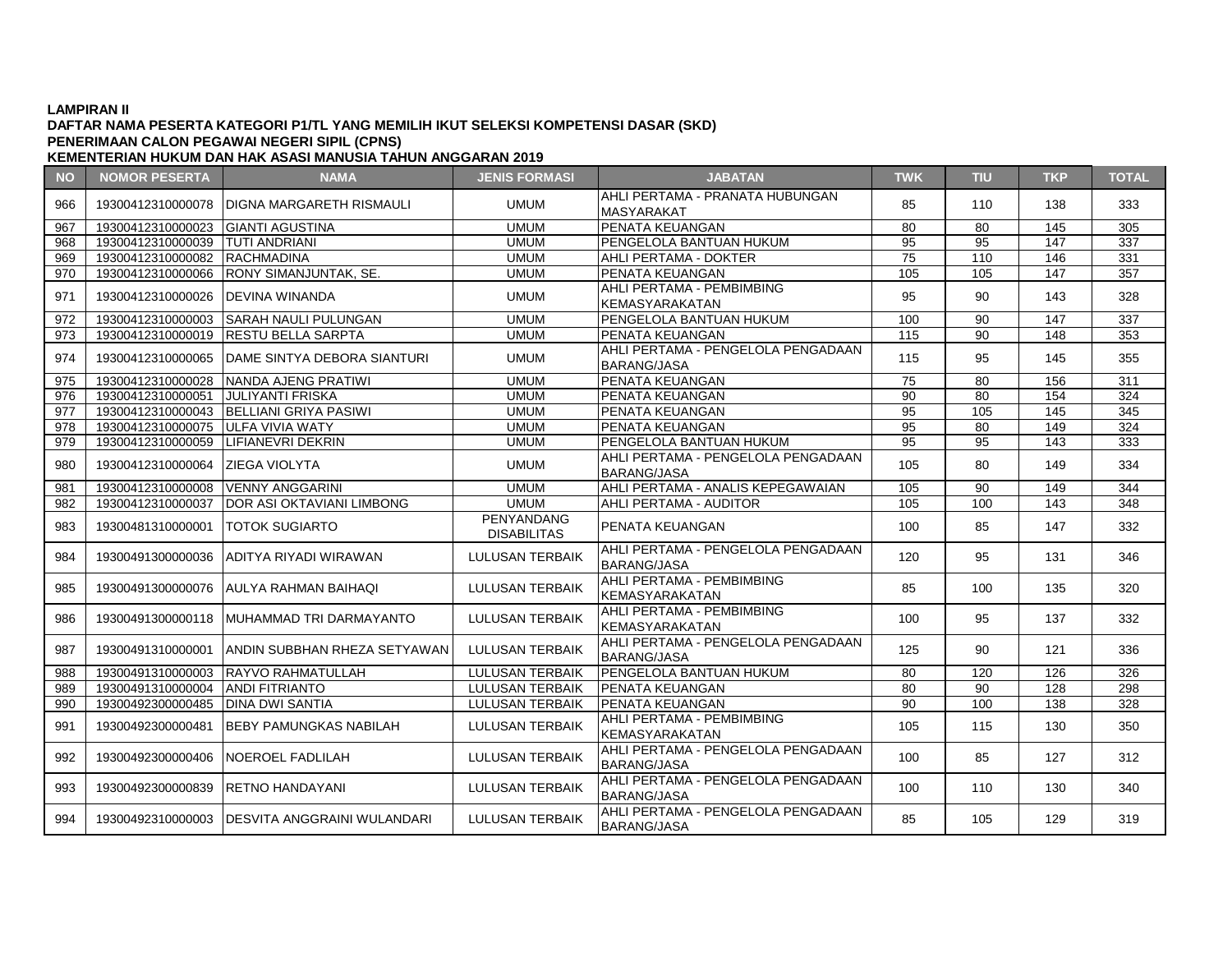### **DAFTAR NAMA PESERTA KATEGORI P1/TL YANG MEMILIH IKUT SELEKSI KOMPETENSI DASAR (SKD) KEMENTERIAN HUKUM DAN HAK ASASI MANUSIA TAHUN ANGGARAN 2019 PENERIMAAN CALON PEGAWAI NEGERI SIPIL (CPNS)**

**NO NOMOR PESERTA NAMA JENIS FORMASI JABATAN TWK TIU TKP TOTAL** 966 19300412310000078 DIGNA MARGARETH RISMAULI UMUM MASYARAKAT MASYARAKAT MASYARAKAT MAMATATIODONOAN | 85 | 110 | 138 | 333 967 19300412310000023 GIANTI AGUSTINA UMUM PENATA KEUANGAN 80 80 145 305 968 19300412310000039 TUTI ANDRIANI UMUM PENGELOLA BANTUAN HUKUM 95 95 147 337 969 19300412310000082 RACHMADINA UMUM AHLI PERTAMA - DOKTER 75 110 146 331 970 | 19300412310000066 |RONY SIMANJUNTAK. SE. | UMUM |PENATA KEUANGAN 105 | 105 | 147 | 357 971 19300412310000026 DEVINA WINANDA UMUM UMUM KEMACIANA - PEMBIMBING KEMASYARAKATAN | 95 | 90 | 143 | 328 972 19300412310000003 SARAH NAULI PULUNGAN NEMBELOLA DANUM PENGELOLA BANTUAN HUKUM 100 100 100 147 337 973 19300412310000019 RESTU BELLA SARPTA UMUM PENATA KEUANGAN 115 90 148 353 974 | 19300412310000065 DAME SINTYA DEBORA SIANTURI | UMUM | AHLI PERTAMA - PENGELOLA PENGADAAN ATLET ENTAMA TENOELOLAT ENOADAAN | 115 | 95 | 145 | 355 975 19300412310000028 NANDA AJENG PRATIWI UMUM PENATA KEUANGAN 75 80 156 311 976 19300412310000051 JULIYANTI FRISKA UMUM PENATA KEUANGAN 90 80 154 324 977 19300412310000043 BELLIANI GRIYA PASIWI UMUM PENATA KEUANGAN 95 105 145 345 978 19300412310000075 ULFA VIVIA WATY UMUM PENATA KEUANGAN 95 80 149 324 979 19300412310000059 LIFIANEVRI DEKRIN UMUM PENGELOLA BANTUAN HUKUM 95 95 143 333 980 19300412310000064 ZIEGA VIOLYTA AHLI PERTAMA - PENGELOLA PENGADAAN ATLET ENTAMA TENOELOLAT ENOADAAN | 105 | 80 | 149 | 334 981 19300412310000008 VENNY ANGGARINI UMUM AHLI PERTAMA - ANALIS KEPEGAWAIAN 105 90 149 344 982 19300412310000037 DOR ASI OKTAVIANI LIMBONG UMUM AHLI PERTAMA - AUDITOR 105 105 100 143 348 <sup>983</sup> <sup>19300481310000001</sup> TOTOK SUGIARTO PENYANDANG DISABILITAS PENATA KEUANGAN 100 100 85 147 332 984 19300491300000036 ADITYA RIYADI WIRAWAN LULUSAN TERBAIK BARANG/JASA ATLET ENTAMA TENOELOLAT ENOADAAN | 120 | 95 | 131 | 346 985 19300491300000076 AULYA RAHMAN BAIHAQI LULUSAN TERBAIK AHLI PERTAMA - PEMBIMBING ANLI PERTAMA PEMBIMBING | 85 | 100 | 135 | 320<br>KEMASYARAKATAN 986 19300491300000118 MUHAMMAD TRI DARMAYANTO LULUSAN TERBAIK AHLI PERTAMA - PEMBIMBING AHLI PERTAMA PEMBIMBING | 100 | 95 | 137 | 332<br>KEMASYARAKATAN 987 19300491310000001 ANDIN SUBBHAN RHEZA SETYAWAN LULUSAN TERBAIK BARANG/JASA ANELI ENTAMA I ENGELGENT ENGABRANG | 125 | 90 | 121 | 336<br>BARANG/JASA 988 | 19300491310000003 RAYVO RAHMATULLAH | LULUSAN TERBAIK PENGELOLA BANTUAN HUKUM | 80 | 120 | 126 | 326 989 19300491310000004 ANDI FITRIANTO LULUSAN TERBAIK PENATA KEUANGAN 80 90 128 298 990 19300492300000485 DINA DWI SANTIA LULUSAN TERBAIK PENATA KEUANGAN 90 100 138 328 991 19300492300000481 BEBY PAMUNGKAS NABILAH LULUSAN TERBAIK AHLI PERTAMA - PEMBIMBING AHLI LINTAMA LEMBIMBING | 105 | 115 | 130 | 350<br>KEMASYARAKATAN 992 19300492300000406 NOEROEL FADLILAH LULUSAN TERBAIK AHLI PERTAMA - PENGELOLA PENGADAAN  $BRANG/JASA$  100 85 127 312 993 19300492300000839 RETNO HANDAYANI LULUSAN TERBAIK AHLI PERTAMA - PENGELOLA PENGADAAN ARLI PERTAMA - PENGELOLA PENGADAAN | 100 | 110 | 130 | 340<br>BARANG/JASA 994 19300492310000003 DESVITA ANGGRAINI WULANDARI LULUSAN TERBAIK AHLI PERTAMA - PENGELOLA PENGADAAN RHEH ENTAMA TENOELOLAT ENOADAAN | 85 | 105 | 129 | 319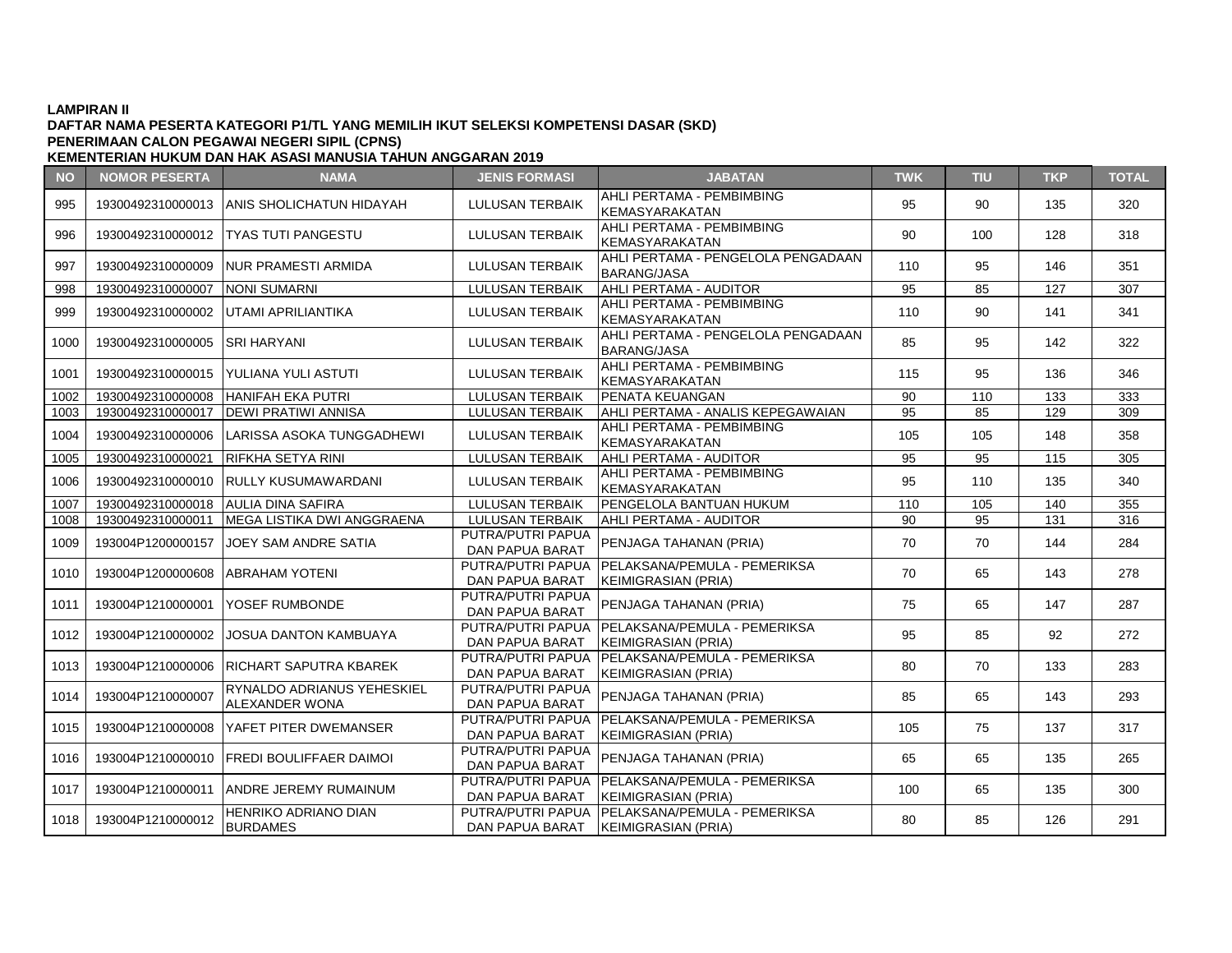# **DAFTAR NAMA PESERTA KATEGORI P1/TL YANG MEMILIH IKUT SELEKSI KOMPETENSI DASAR (SKD) PENERIMAAN CALON PEGAWAI NEGERI SIPIL (CPNS)**

| <b>NO</b> | <b>NOMOR PESERTA</b>                | <b>NAMA</b>                                         | <b>JENIS FORMASI</b>                        | <b>JABATAN</b>                                                          | <b>TWK</b> | <b>TIU</b> | <b>TKP</b> | <b>TOTAL</b> |
|-----------|-------------------------------------|-----------------------------------------------------|---------------------------------------------|-------------------------------------------------------------------------|------------|------------|------------|--------------|
| 995       |                                     | 19300492310000013 ANIS SHOLICHATUN HIDAYAH          | <b>LULUSAN TERBAIK</b>                      | AHLI PERTAMA - PEMBIMBING<br><b>KEMASYARAKATAN</b>                      | 95         | 90         | 135        | 320          |
| 996       |                                     | 19300492310000012   TYAS TUTI PANGESTU              | <b>LULUSAN TERBAIK</b>                      | AHLI PERTAMA - PEMBIMBING<br><b>KEMASYARAKATAN</b>                      | 90         | 100        | 128        | 318          |
| 997       |                                     | 19300492310000009 NUR PRAMESTI ARMIDA               | <b>LULUSAN TERBAIK</b>                      | AHLI PERTAMA - PENGELOLA PENGADAAN<br><b>BARANG/JASA</b>                | 110        | 95         | 146        | 351          |
| 998       | 19300492310000007                   | NONI SUMARNI                                        | <b>LULUSAN TERBAIK</b>                      | AHLI PERTAMA - AUDITOR                                                  | 95         | 85         | 127        | 307          |
| 999       |                                     | 19300492310000002 UTAMI APRILIANTIKA                | <b>LULUSAN TERBAIK</b>                      | AHLI PERTAMA - PEMBIMBING<br>KEMASYARAKATAN                             | 110        | 90         | 141        | 341          |
| 1000      | 19300492310000005 SRI HARYANI       |                                                     | <b>LULUSAN TERBAIK</b>                      | AHLI PERTAMA - PENGELOLA PENGADAAN<br><b>BARANG/JASA</b>                | 85         | 95         | 142        | 322          |
| 1001      |                                     | 19300492310000015   YULIANA YULI ASTUTI             | <b>LULUSAN TERBAIK</b>                      | AHLI PERTAMA - PEMBIMBING<br><b>KEMASYARAKATAN</b>                      | 115        | 95         | 136        | 346          |
| 1002      | 19300492310000008                   | <b>HANIFAH EKA PUTRI</b>                            | <b>LULUSAN TERBAIK</b>                      | <b>PENATA KEUANGAN</b>                                                  | 90         | 110        | 133        | 333          |
| 1003      | 19300492310000017                   | <b>IDEWI PRATIWI ANNISA</b>                         | <b>LULUSAN TERBAIK</b>                      | AHLI PERTAMA - ANALIS KEPEGAWAIAN                                       | 95         | 85         | 129        | 309          |
| 1004      | 19300492310000006                   | LARISSA ASOKA TUNGGADHEWI                           | <b>LULUSAN TERBAIK</b>                      | AHLI PERTAMA - PEMBIMBING<br>KEMASYARAKATAN                             | 105        | 105        | 148        | 358          |
| 1005      | 19300492310000021                   | <b>RIFKHA SETYA RINI</b>                            | <b>LULUSAN TERBAIK</b>                      | AHLI PERTAMA - AUDITOR                                                  | 95         | 95         | 115        | 305          |
| 1006      |                                     | 19300492310000010 RULLY KUSUMAWARDANI               | <b>LULUSAN TERBAIK</b>                      | AHLI PERTAMA - PEMBIMBING<br>KEMASYARAKATAN                             | 95         | 110        | 135        | 340          |
| 1007      | 19300492310000018 AULIA DINA SAFIRA |                                                     | <b>LULUSAN TERBAIK</b>                      | <b>PENGELOLA BANTUAN HUKUM</b>                                          | 110        | 105        | 140        | 355          |
| 1008      | 19300492310000011                   | MEGA LISTIKA DWI ANGGRAENA                          | <b>LULUSAN TERBAIK</b>                      | AHLI PERTAMA - AUDITOR                                                  | 90         | 95         | 131        | 316          |
| 1009      | 193004P1200000157                   | JOEY SAM ANDRE SATIA                                | PUTRA/PUTRI PAPUA<br><b>DAN PAPUA BARAT</b> | PENJAGA TAHANAN (PRIA)                                                  | 70         | 70         | 144        | 284          |
| 1010      | 193004P1200000608 ABRAHAM YOTENI    |                                                     | PUTRA/PUTRI PAPUA<br>DAN PAPUA BARAT        | PELAKSANA/PEMULA - PEMERIKSA<br>IKEIMIGRASIAN (PRIA)                    | 70         | 65         | 143        | 278          |
| 1011      | 193004P1210000001                   | <b>IYOSEF RUMBONDE</b>                              | PUTRA/PUTRI PAPUA<br><b>DAN PAPUA BARAT</b> | PENJAGA TAHANAN (PRIA)                                                  | 75         | 65         | 147        | 287          |
| 1012      | 193004P1210000002                   | JOSUA DANTON KAMBUAYA                               | PUTRA/PUTRI PAPUA<br><b>DAN PAPUA BARAT</b> | PELAKSANA/PEMULA - PEMERIKSA<br><b>KEIMIGRASIAN (PRIA)</b>              | 95         | 85         | 92         | 272          |
| 1013      |                                     | 193004P1210000006 RICHART SAPUTRA KBAREK            | PUTRA/PUTRI PAPUA<br>DAN PAPUA BARAT        | PELAKSANA/PEMULA - PEMERIKSA<br><b>KEIMIGRASIAN (PRIA)</b>              | 80         | 70         | 133        | 283          |
| 1014      | 193004P1210000007                   | RYNALDO ADRIANUS YEHESKIEL<br><b>ALEXANDER WONA</b> | PUTRA/PUTRI PAPUA<br><b>DAN PAPUA BARAT</b> | PENJAGA TAHANAN (PRIA)                                                  | 85         | 65         | 143        | 293          |
| 1015      |                                     | 193004P1210000008 YAFET PITER DWEMANSER             | PUTRA/PUTRI PAPUA<br>DAN PAPUA BARAT        | PELAKSANA/PEMULA - PEMERIKSA<br>KEIMIGRASIAN (PRIA)                     | 105        | 75         | 137        | 317          |
| 1016      |                                     | 193004P1210000010 FREDI BOULIFFAER DAIMOI           | PUTRA/PUTRI PAPUA<br>DAN PAPUA BARAT        | PENJAGA TAHANAN (PRIA)                                                  | 65         | 65         | 135        | 265          |
| 1017      |                                     | 193004P1210000011 ANDRE JEREMY RUMAINUM             | DAN PAPUA BARAT                             | PUTRA/PUTRI PAPUA   PELAKSANA/PEMULA - PEMERIKSA<br>KEIMIGRASIAN (PRIA) | 100        | 65         | 135        | 300          |
| 1018      | 193004P1210000012                   | HENRIKO ADRIANO DIAN<br><b>BURDAMES</b>             | PUTRA/PUTRI PAPUA<br>DAN PAPUA BARAT        | PELAKSANA/PEMULA - PEMERIKSA<br>KEIMIGRASIAN (PRIA)                     | 80         | 85         | 126        | 291          |